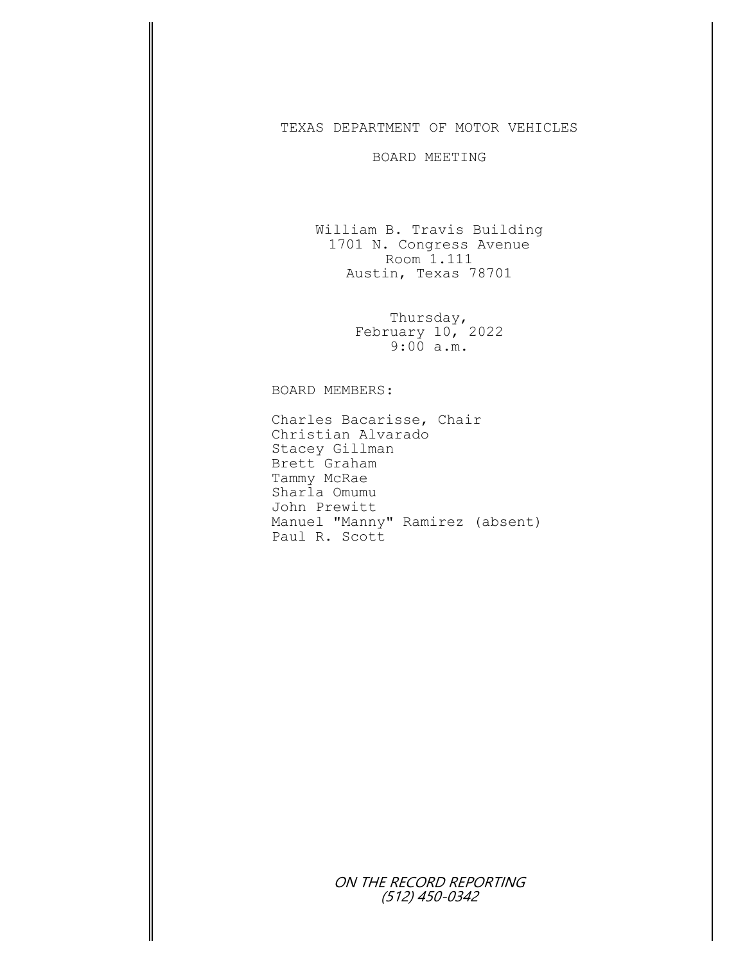## TEXAS DEPARTMENT OF MOTOR VEHICLES

## BOARD MEETING

William B. Travis Building 1701 N. Congress Avenue Room 1.111 Austin, Texas 78701

> Thursday, February 10, 2022 9:00 a.m.

BOARD MEMBERS:

Charles Bacarisse, Chair Christian Alvarado Stacey Gillman Brett Graham Tammy McRae Sharla Omumu John Prewitt Manuel "Manny" Ramirez (absent) Paul R. Scott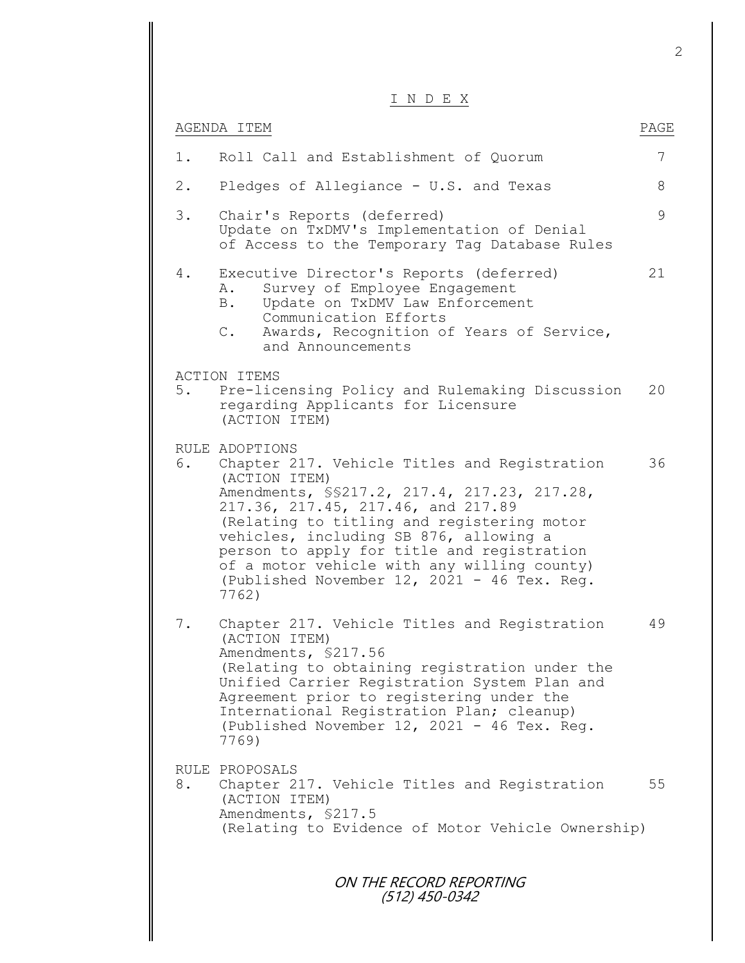## I N D E X

|       | ע החוד א                                                                                                                                                                                                                                                                                                                                                                                                            |      |
|-------|---------------------------------------------------------------------------------------------------------------------------------------------------------------------------------------------------------------------------------------------------------------------------------------------------------------------------------------------------------------------------------------------------------------------|------|
|       | AGENDA ITEM                                                                                                                                                                                                                                                                                                                                                                                                         | PAGE |
| 1.    | Roll Call and Establishment of Quorum                                                                                                                                                                                                                                                                                                                                                                               | 7    |
| $2$ . | Pledges of Allegiance - U.S. and Texas                                                                                                                                                                                                                                                                                                                                                                              | 8    |
| 3.    | Chair's Reports (deferred)<br>Update on TxDMV's Implementation of Denial<br>of Access to the Temporary Tag Database Rules                                                                                                                                                                                                                                                                                           | 9    |
| 4.    | Executive Director's Reports (deferred)<br>Survey of Employee Engagement<br>Α.<br>Update on TxDMV Law Enforcement<br><b>B</b> .<br>Communication Efforts<br>Awards, Recognition of Years of Service,<br>$\mathbb{C}$ .<br>and Announcements                                                                                                                                                                         | 21   |
| 5.    | <b>ACTION ITEMS</b><br>Pre-licensing Policy and Rulemaking Discussion<br>regarding Applicants for Licensure<br>(ACTION ITEM)                                                                                                                                                                                                                                                                                        | 20   |
| 6.    | RULE ADOPTIONS<br>Chapter 217. Vehicle Titles and Registration<br>(ACTION ITEM)<br>Amendments, \$\$217.2, 217.4, 217.23, 217.28,<br>217.36, 217.45, 217.46, and 217.89<br>(Relating to titling and registering motor<br>vehicles, including SB 876, allowing a<br>person to apply for title and registration<br>of a motor vehicle with any willing county)<br>(Published November 12, 2021 - 46 Tex. Req.<br>7762) | 36   |
| $7$ . | Chapter 217. Vehicle Titles and Registration<br>(ACTION ITEM)<br>Amendments, \$217.56<br>(Relating to obtaining registration under the<br>Unified Carrier Registration System Plan and<br>Agreement prior to registering under the<br>International Registration Plan; cleanup)<br>(Published November 12, 2021 - 46 Tex. Req.<br>7769)                                                                             | 49   |
| 8.    | RULE PROPOSALS<br>Chapter 217. Vehicle Titles and Registration<br>(ACTION ITEM)<br>Amendments, \$217.5<br>(Relating to Evidence of Motor Vehicle Ownership)                                                                                                                                                                                                                                                         | 55   |
|       | ON THE RECORD REPORTING<br>(512) 450-0342                                                                                                                                                                                                                                                                                                                                                                           |      |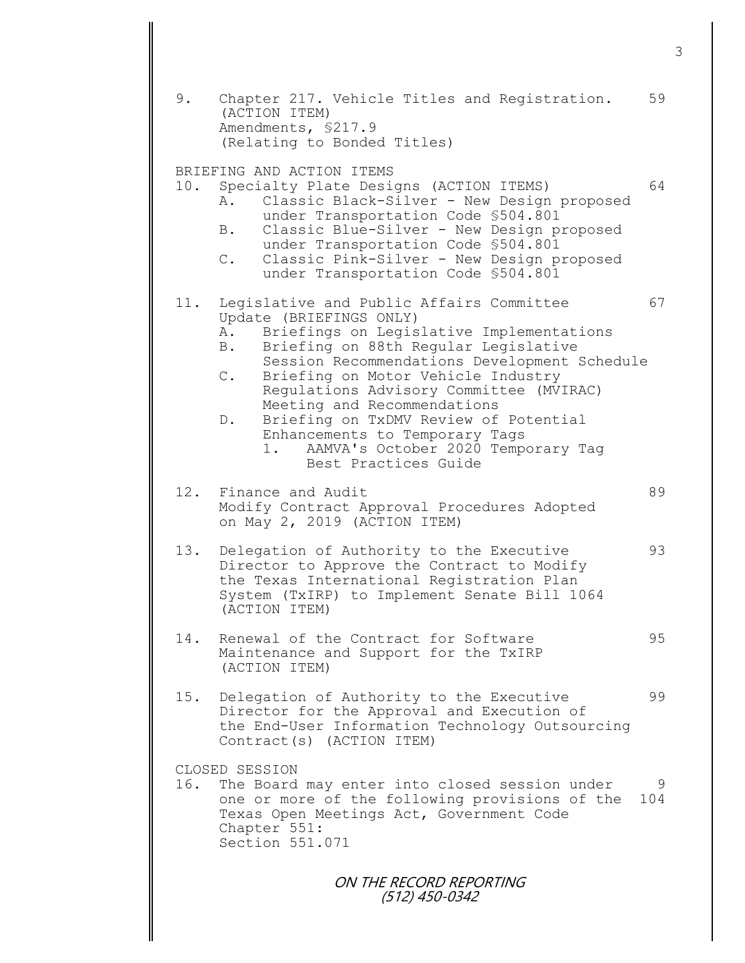ON THE RECORD REPORTING 9. Chapter 217. Vehicle Titles and Registration. 59 (ACTION ITEM) Amendments, §217.9 (Relating to Bonded Titles) BRIEFING AND ACTION ITEMS 10. Specialty Plate Designs (ACTION ITEMS) 64 A. Classic Black-Silver - New Design proposed under Transportation Code §504.801 B. Classic Blue-Silver - New Design proposed under Transportation Code §504.801 C. Classic Pink-Silver - New Design proposed under Transportation Code §504.801 11. Legislative and Public Affairs Committee 67 Update (BRIEFINGS ONLY) A. Briefings on Legislative Implementations B. Briefing on 88th Regular Legislative Session Recommendations Development Schedule C. Briefing on Motor Vehicle Industry Regulations Advisory Committee (MVIRAC) Meeting and Recommendations D. Briefing on TxDMV Review of Potential Enhancements to Temporary Tags 1. AAMVA's October 2020 Temporary Tag Best Practices Guide 12. Finance and Audit 89 Modify Contract Approval Procedures Adopted on May 2, 2019 (ACTION ITEM) 13. Delegation of Authority to the Executive 93 Director to Approve the Contract to Modify the Texas International Registration Plan System (TxIRP) to Implement Senate Bill 1064 (ACTION ITEM) 14. Renewal of the Contract for Software  $95$ Maintenance and Support for the TxIRP (ACTION ITEM) 15. Delegation of Authority to the Executive 99 Director for the Approval and Execution of the End-User Information Technology Outsourcing Contract(s) (ACTION ITEM) CLOSED SESSION 16. The Board may enter into closed session under 9 one or more of the following provisions of the 104 Texas Open Meetings Act, Government Code Chapter 551: Section 551.071

(512) 450-0342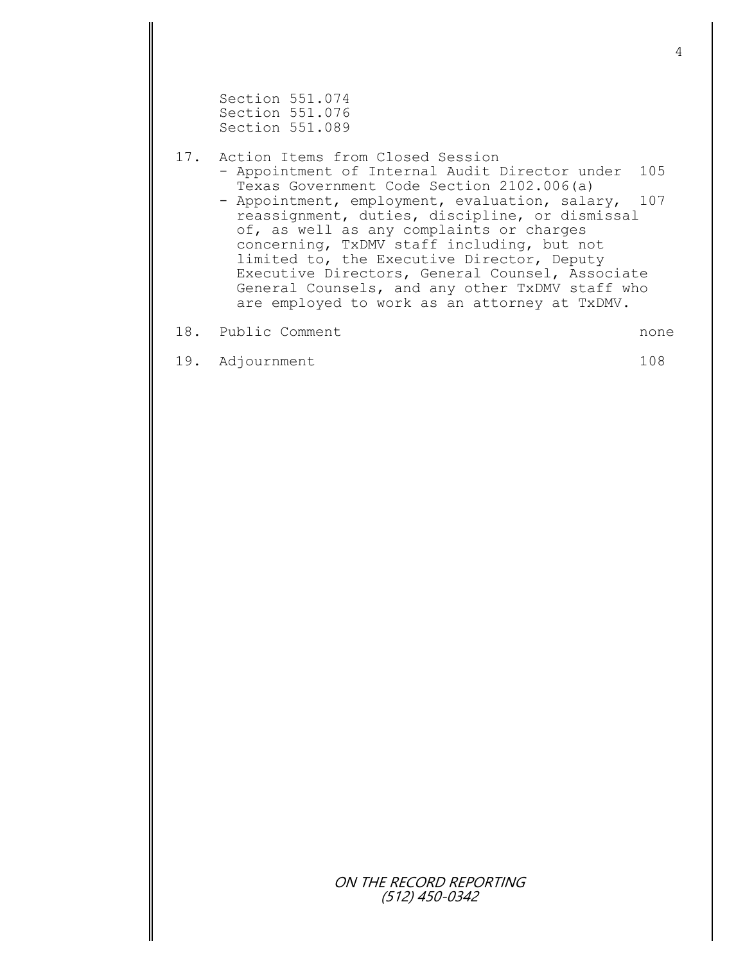Section 551.074 Section 551.076 Section 551.089

17. Action Items from Closed Session

- Appointment of Internal Audit Director under 105 Texas Government Code Section 2102.006(a)
	- Appointment, employment, evaluation, salary, 107 reassignment, duties, discipline, or dismissal of, as well as any complaints or charges concerning, TxDMV staff including, but not limited to, the Executive Director, Deputy Executive Directors, General Counsel, Associate General Counsels, and any other TxDMV staff who are employed to work as an attorney at TxDMV.

18. Public Comment and the state of the state of the state of the state of the state of the state of the state of the state of the state of the state of the state of the state of the state of the state of the state of the

19. Adjournment 108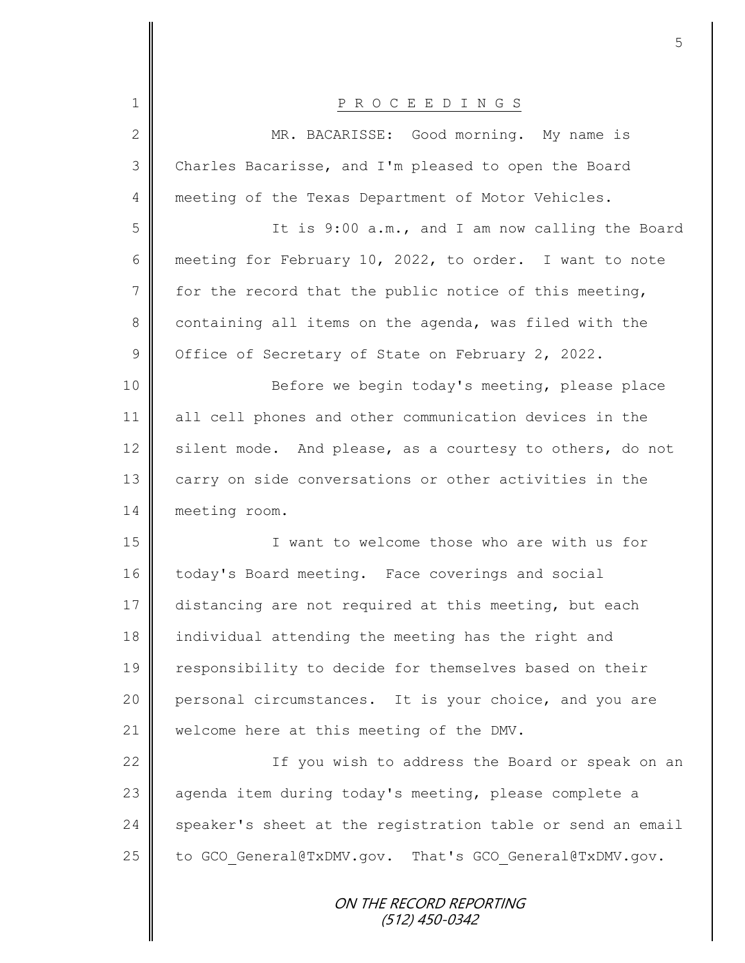| $\mathbf 1$    | PROCEEDINGS                                                |
|----------------|------------------------------------------------------------|
| $\mathbf{2}$   | MR. BACARISSE: Good morning. My name is                    |
| 3              | Charles Bacarisse, and I'm pleased to open the Board       |
| 4              | meeting of the Texas Department of Motor Vehicles.         |
| 5              | It is 9:00 a.m., and I am now calling the Board            |
| 6              | meeting for February 10, 2022, to order. I want to note    |
| $7\phantom{.}$ | for the record that the public notice of this meeting,     |
| 8              | containing all items on the agenda, was filed with the     |
| $\mathcal{G}$  | Office of Secretary of State on February 2, 2022.          |
| 10             | Before we begin today's meeting, please place              |
| 11             | all cell phones and other communication devices in the     |
| 12             | silent mode. And please, as a courtesy to others, do not   |
| 13             | carry on side conversations or other activities in the     |
| 14             | meeting room.                                              |
| 15             | I want to welcome those who are with us for                |
| 16             | today's Board meeting. Face coverings and social           |
| 17             | distancing are not required at this meeting, but each      |
| 18             | individual attending the meeting has the right and         |
| 19             | responsibility to decide for themselves based on their     |
| 20             | personal circumstances. It is your choice, and you are     |
| 21             | welcome here at this meeting of the DMV.                   |
| 22             | If you wish to address the Board or speak on an            |
| 23             | agenda item during today's meeting, please complete a      |
| 24             | speaker's sheet at the registration table or send an email |
| 25             | to GCO General@TxDMV.gov. That's GCO General@TxDMV.gov.    |
|                | ON THE RECORD REPORTING<br>(512) 450-0342                  |

Ш II

II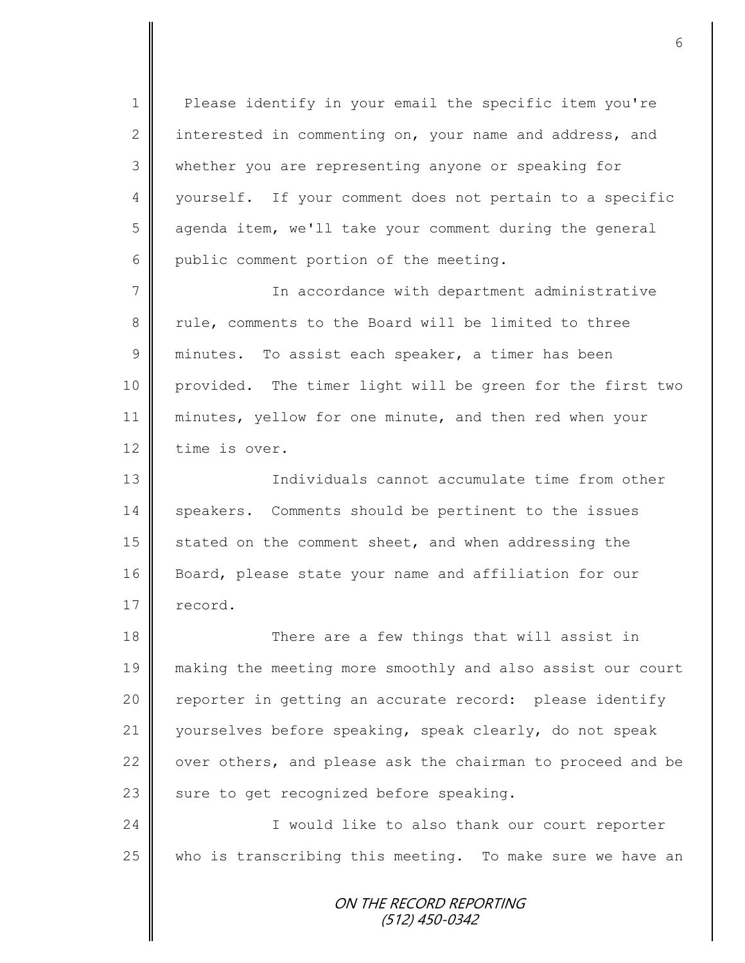1 | Please identify in your email the specific item you're 2 interested in commenting on, your name and address, and 3 whether you are representing anyone or speaking for 4 || yourself. If your comment does not pertain to a specific 5 | agenda item, we'll take your comment during the general  $6 \parallel$  public comment portion of the meeting.

7 In accordance with department administrative 8 Tule, comments to the Board will be limited to three 9 minutes. To assist each speaker, a timer has been 10 provided. The timer light will be green for the first two 11 minutes, yellow for one minute, and then red when your 12 time is over.

13 Individuals cannot accumulate time from other 14 speakers. Comments should be pertinent to the issues 15 stated on the comment sheet, and when addressing the 16 Board, please state your name and affiliation for our 17 record.

18 There are a few things that will assist in making the meeting more smoothly and also assist our court 20 || reporter in getting an accurate record: please identify yourselves before speaking, speak clearly, do not speak  $\parallel$  over others, and please ask the chairman to proceed and be  $\parallel$  sure to get recognized before speaking.

24 | Christophe I would like to also thank our court reporter  $25$  who is transcribing this meeting. To make sure we have an

> ON THE RECORD REPORTING (512) 450-0342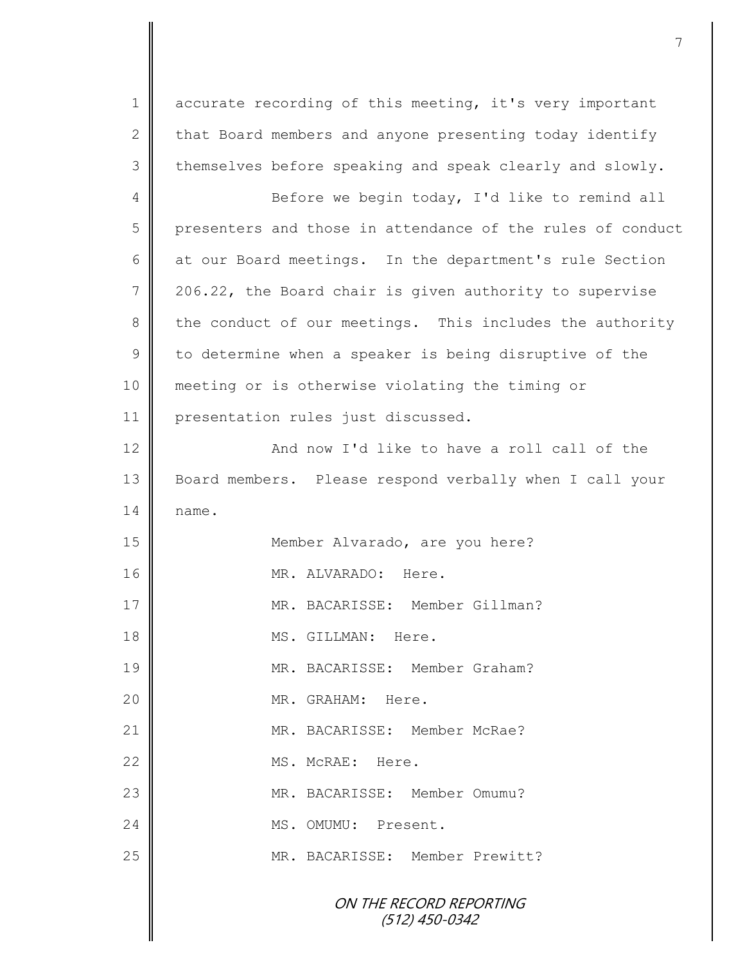1 accurate recording of this meeting, it's very important 2 that Board members and anyone presenting today identify 3 themselves before speaking and speak clearly and slowly.

4 Before we begin today, I'd like to remind all 5 presenters and those in attendance of the rules of conduct 6 at our Board meetings. In the department's rule Section 7 | 206.22, the Board chair is given authority to supervise 8 the conduct of our meetings. This includes the authority  $9 \parallel$  to determine when a speaker is being disruptive of the 10 meeting or is otherwise violating the timing or 11 | presentation rules just discussed.

12 **And now I'd like to have a roll call of the** 13 Board members. Please respond verbally when I call your  $14 \parallel$  name. 15 || Member Alvarado, are you here?

16 **I** MR. ALVARADO: Here. 17 || MR. BACARISSE: Member Gillman? 18 **I** MS. GILLMAN: Here. 19 MR. BACARISSE: Member Graham? 20 || MR. GRAHAM: Here. 21 || MR. BACARISSE: Member McRae? 22 MS. McRAE: Here. 23 MR. BACARISSE: Member Omumu? 24 MS. OMUMU: Present. 25 || MR. BACARISSE: Member Prewitt?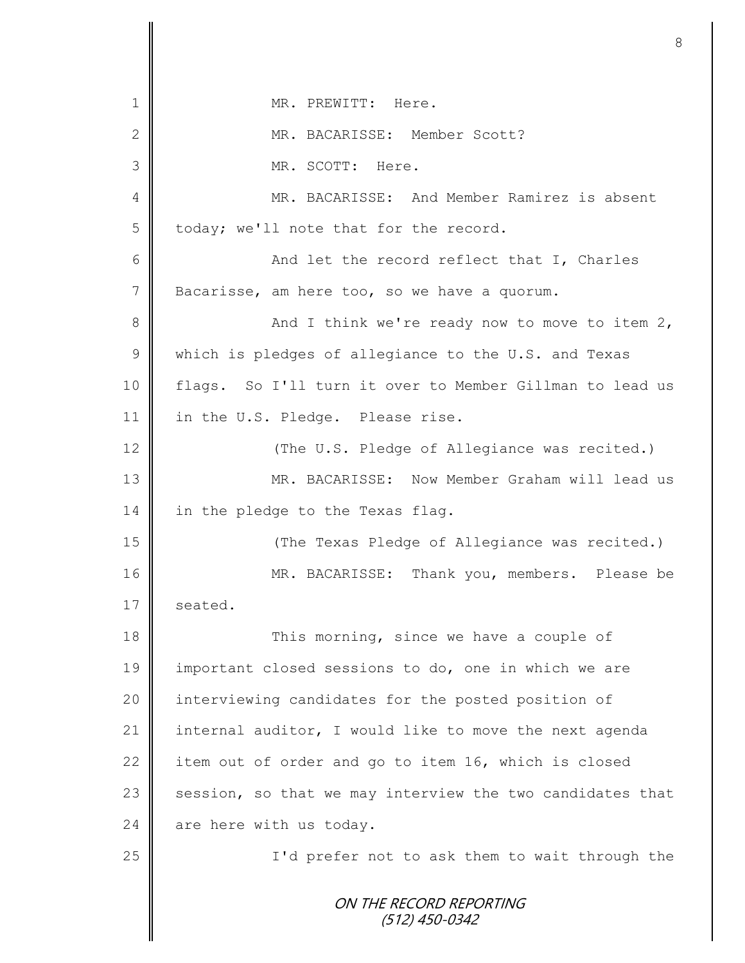|               | 8                                                         |
|---------------|-----------------------------------------------------------|
| 1             | MR. PREWITT: Here.                                        |
| $\mathbf{2}$  | MR. BACARISSE: Member Scott?                              |
| 3             | MR. SCOTT: Here.                                          |
| 4             | MR. BACARISSE: And Member Ramirez is absent               |
| 5             | today; we'll note that for the record.                    |
| 6             | And let the record reflect that I, Charles                |
| 7             | Bacarisse, am here too, so we have a quorum.              |
| 8             | And I think we're ready now to move to item 2,            |
| $\mathcal{G}$ | which is pledges of allegiance to the U.S. and Texas      |
| 10            | flags. So I'll turn it over to Member Gillman to lead us  |
| 11            | in the U.S. Pledge. Please rise.                          |
| 12            | (The U.S. Pledge of Allegiance was recited.)              |
| 13            | MR. BACARISSE: Now Member Graham will lead us             |
| 14            | in the pledge to the Texas flag.                          |
| 15            | (The Texas Pledge of Allegiance was recited.)             |
| 16            | MR. BACARISSE: Thank you, members. Please be              |
| 17            | seated.                                                   |
| 18            | This morning, since we have a couple of                   |
| 19            | important closed sessions to do, one in which we are      |
| 20            | interviewing candidates for the posted position of        |
| 21            | internal auditor, I would like to move the next agenda    |
| 22            | item out of order and go to item 16, which is closed      |
| 23            | session, so that we may interview the two candidates that |
| 24            | are here with us today.                                   |
| 25            | I'd prefer not to ask them to wait through the            |
|               | ON THE RECORD REPORTING<br>(512) 450-0342                 |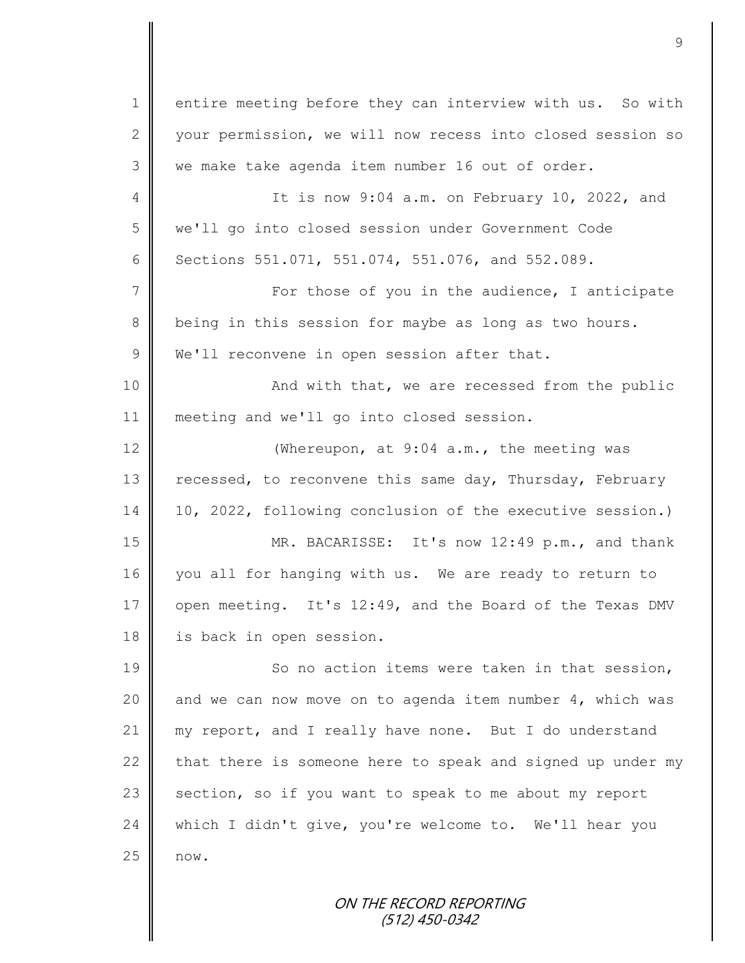1 entire meeting before they can interview with us. So with 2 vour permission, we will now recess into closed session so 3 we make take agenda item number 16 out of order. 4 It is now 9:04 a.m. on February 10, 2022, and 5 we'll go into closed session under Government Code 6 | Sections 551.071, 551.074, 551.076, and 552.089. 7 | For those of you in the audience, I anticipate 8 being in this session for maybe as long as two hours. 9 We'll reconvene in open session after that. 10 || And with that, we are recessed from the public 11 meeting and we'll go into closed session. 12 Whereupon, at 9:04 a.m., the meeting was 13 | recessed, to reconvene this same day, Thursday, February 14 10, 2022, following conclusion of the executive session.) 15 MR. BACARISSE: It's now 12:49 p.m., and thank 16 you all for hanging with us. We are ready to return to 17 open meeting. It's 12:49, and the Board of the Texas DMV 18 | is back in open session. 19 So no action items were taken in that session, 20  $\parallel$  and we can now move on to agenda item number 4, which was 21 my report, and I really have none. But I do understand 22  $\parallel$  that there is someone here to speak and signed up under my 23 section, so if you want to speak to me about my report 24 which I didn't give, you're welcome to. We'll hear you 25 now.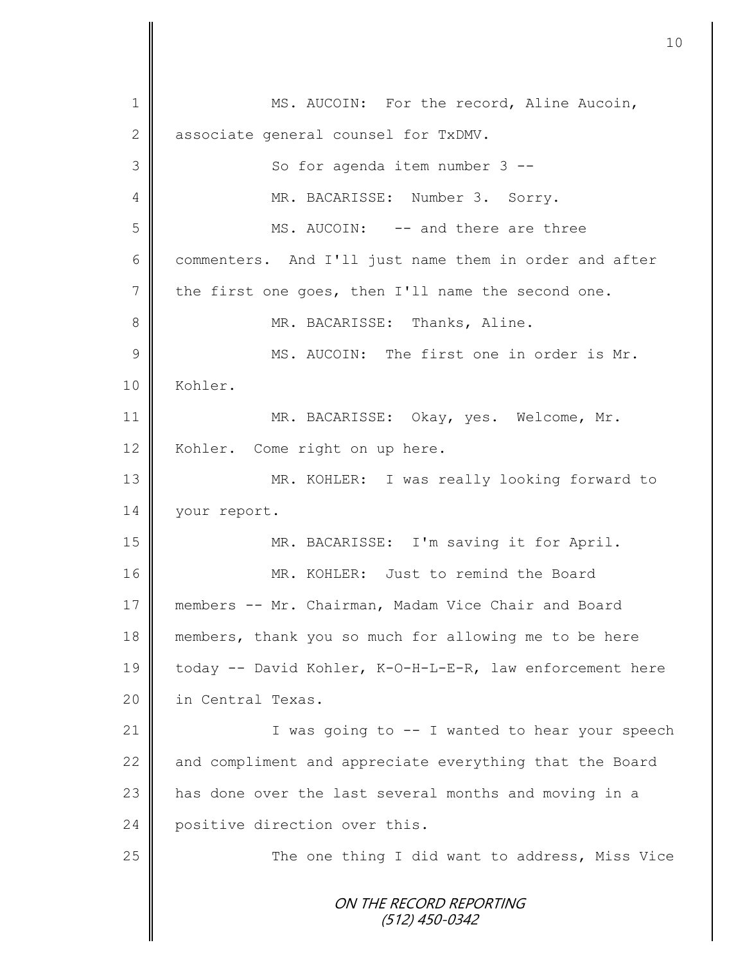ON THE RECORD REPORTING (512) 450-0342 1 MS. AUCOIN: For the record, Aline Aucoin, 2 associate general counsel for TxDMV. 3 || So for agenda item number 3 --4 MR. BACARISSE: Number 3. Sorry. 5 MS. AUCOIN: -- and there are three 6 commenters. And I'll just name them in order and after 7 the first one goes, then I'll name the second one. 8 || MR. BACARISSE: Thanks, Aline. 9 || MS. AUCOIN: The first one in order is Mr. 10 | Kohler. 11 MR. BACARISSE: Okay, yes. Welcome, Mr. 12 | Kohler. Come right on up here. 13 MR. KOHLER: I was really looking forward to 14 | your report. 15 MR. BACARISSE: I'm saving it for April. 16 MR. KOHLER: Just to remind the Board 17 members -- Mr. Chairman, Madam Vice Chair and Board 18 members, thank you so much for allowing me to be here 19 today -- David Kohler, K-O-H-L-E-R, law enforcement here 20 | in Central Texas. 21  $\parallel$  I was going to  $-$  I wanted to hear your speech 22  $\parallel$  and compliment and appreciate everything that the Board 23  $\parallel$  has done over the last several months and moving in a 24 positive direction over this. 25 | The one thing I did want to address, Miss Vice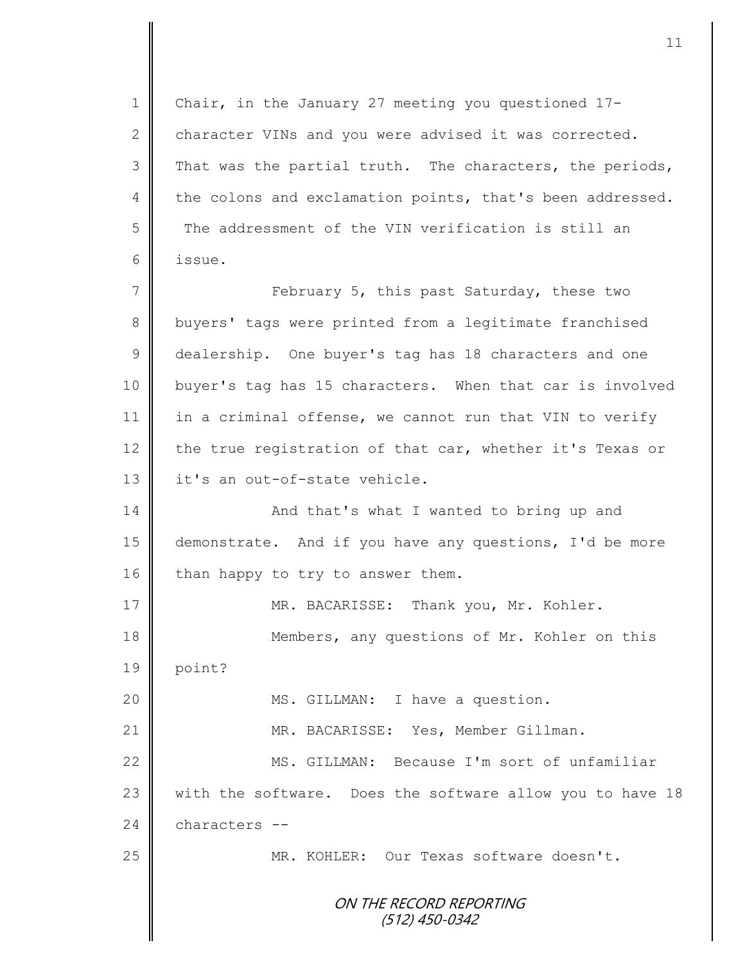ON THE RECORD REPORTING (512) 450-0342 1 | Chair, in the January 27 meeting you questioned 17-2 character VINs and you were advised it was corrected.  $3 \parallel$  That was the partial truth. The characters, the periods, 4 the colons and exclamation points, that's been addressed. 5 The addressment of the VIN verification is still an 6 issue. 7 || February 5, this past Saturday, these two 8 buyers' tags were printed from a legitimate franchised 9 dealership. One buyer's tag has 18 characters and one 10 buyer's tag has 15 characters. When that car is involved 11 in a criminal offense, we cannot run that VIN to verify 12  $\parallel$  the true registration of that car, whether it's Texas or 13 || it's an out-of-state vehicle. 14 | And that's what I wanted to bring up and 15 demonstrate. And if you have any questions, I'd be more 16 than happy to try to answer them. 17 || MR. BACARISSE: Thank you, Mr. Kohler. 18 **Members, any questions of Mr. Kohler on this** 19 point? 20 || MS. GILLMAN: I have a question. 21 MR. BACARISSE: Yes, Member Gillman. 22 || MS. GILLMAN: Because I'm sort of unfamiliar 23 with the software. Does the software allow you to have 18 24 characters --25 MR. KOHLER: Our Texas software doesn't.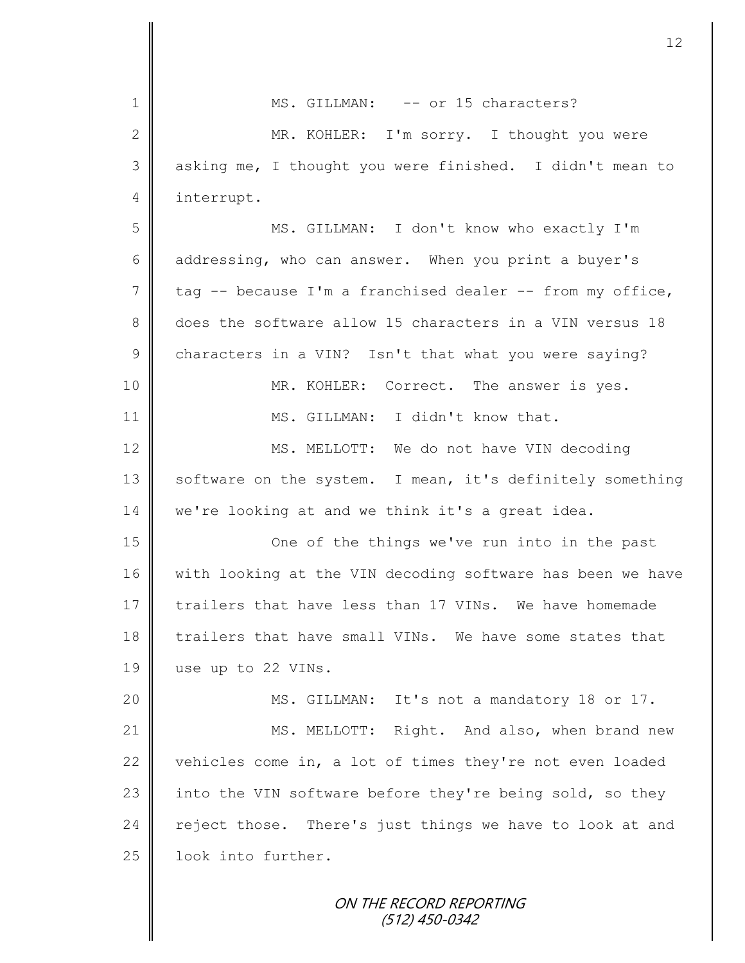| $\mathbf 1$     | MS. GILLMAN: -- or 15 characters?                          |
|-----------------|------------------------------------------------------------|
| $\mathbf{2}$    | MR. KOHLER: I'm sorry. I thought you were                  |
| $\mathfrak{Z}$  | asking me, I thought you were finished. I didn't mean to   |
| 4               | interrupt.                                                 |
| 5               | MS. GILLMAN: I don't know who exactly I'm                  |
| $6\,$           | addressing, who can answer. When you print a buyer's       |
| $7\phantom{.0}$ | tag -- because I'm a franchised dealer -- from my office,  |
| 8               | does the software allow 15 characters in a VIN versus 18   |
| $\overline{9}$  | characters in a VIN? Isn't that what you were saying?      |
| 10              | MR. KOHLER: Correct. The answer is yes.                    |
| 11              | MS. GILLMAN: I didn't know that.                           |
| 12              | MS. MELLOTT: We do not have VIN decoding                   |
| 13              | software on the system. I mean, it's definitely something  |
| 14              | we're looking at and we think it's a great idea.           |
| 15              | One of the things we've run into in the past               |
| 16              | with looking at the VIN decoding software has been we have |
| 17              | trailers that have less than 17 VINs. We have homemade     |
| 18              | trailers that have small VINs. We have some states that    |
| 19              | use up to 22 VINs.                                         |
| 20              | MS. GILLMAN: It's not a mandatory 18 or 17.                |
| 21              | MS. MELLOTT: Right. And also, when brand new               |
| 22              | vehicles come in, a lot of times they're not even loaded   |
| 23              | into the VIN software before they're being sold, so they   |
| 24              | reject those. There's just things we have to look at and   |
| 25              | look into further.                                         |
|                 | ON THE RECORD REPORTING                                    |

(512) 450-0342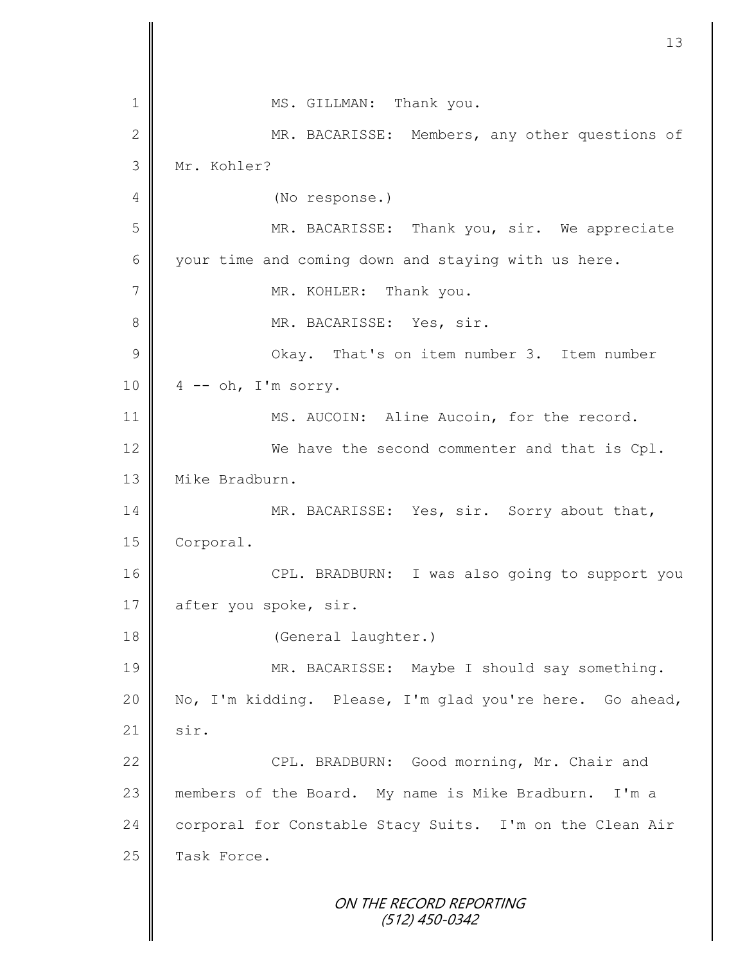|                | 13                                                       |
|----------------|----------------------------------------------------------|
| 1              | MS. GILLMAN: Thank you.                                  |
| $\overline{2}$ | MR. BACARISSE: Members, any other questions of           |
| 3              | Mr. Kohler?                                              |
| 4              |                                                          |
|                | (No response.)                                           |
| 5              | MR. BACARISSE: Thank you, sir. We appreciate             |
| 6              | your time and coming down and staying with us here.      |
| 7              | MR. KOHLER: Thank you.                                   |
| 8              | MR. BACARISSE: Yes, sir.                                 |
| $\mathcal{G}$  | Okay. That's on item number 3. Item number               |
| 10             | $4$ -- oh, I'm sorry.                                    |
| 11             | MS. AUCOIN: Aline Aucoin, for the record.                |
| 12             | We have the second commenter and that is Cpl.            |
| 13             | Mike Bradburn.                                           |
| 14             | MR. BACARISSE: Yes, sir. Sorry about that,               |
| 15             | Corporal.                                                |
| 16             | CPL. BRADBURN: I was also going to support you           |
| 17             | after you spoke, sir.                                    |
| 18             | (General laughter.)                                      |
| 19             | MR. BACARISSE: Maybe I should say something.             |
| 20             | No, I'm kidding. Please, I'm glad you're here. Go ahead, |
| 21             | sir.                                                     |
| 22             | CPL. BRADBURN: Good morning, Mr. Chair and               |
| 23             | members of the Board. My name is Mike Bradburn. I'm a    |
| 24             | corporal for Constable Stacy Suits. I'm on the Clean Air |
| 25             | Task Force.                                              |
|                | ON THE RECORD REPORTING<br>$(512)$ 450-0342              |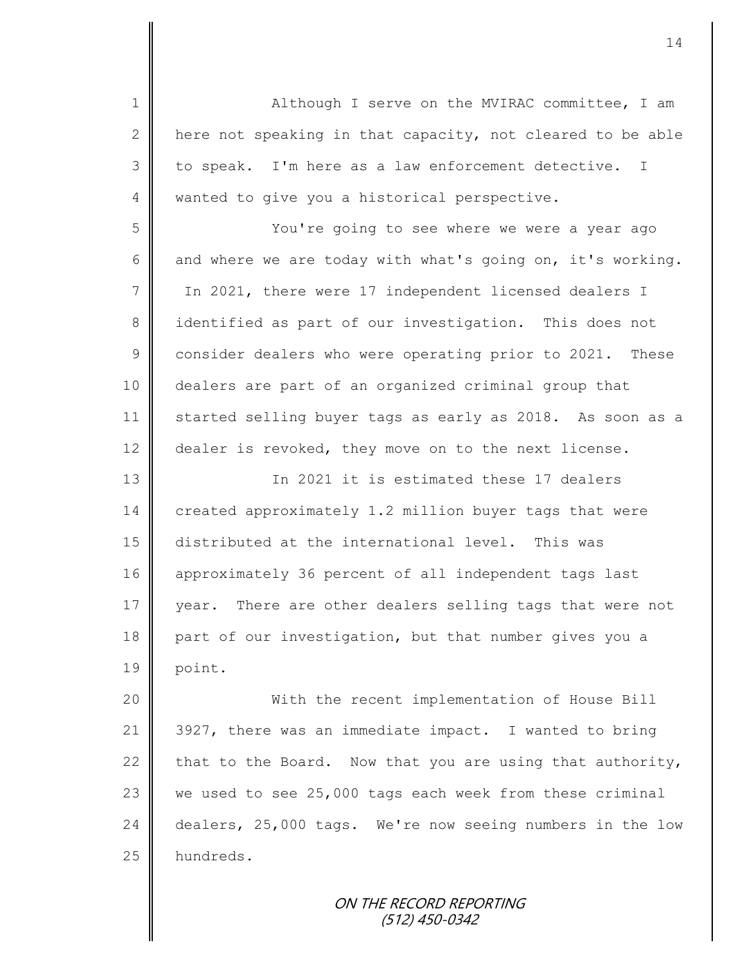1 || Although I serve on the MVIRAC committee, I am 2 here not speaking in that capacity, not cleared to be able  $3 \parallel$  to speak. I'm here as a law enforcement detective. I 4 wanted to give you a historical perspective. 5 You're going to see where we were a year ago 6 and where we are today with what's going on, it's working. 7 | In 2021, there were 17 independent licensed dealers I 8 identified as part of our investigation. This does not 9 consider dealers who were operating prior to 2021. These 10 dealers are part of an organized criminal group that 11 started selling buyer tags as early as 2018. As soon as a 12 dealer is revoked, they move on to the next license. 13 | The 2021 it is estimated these 17 dealers 14 created approximately 1.2 million buyer tags that were 15 distributed at the international level. This was 16 approximately 36 percent of all independent tags last 17 year. There are other dealers selling tags that were not 18 part of our investigation, but that number gives you a 19 point. 20 With the recent implementation of House Bill 21 3927, there was an immediate impact. I wanted to bring 22 that to the Board. Now that you are using that authority, 23  $\parallel$  we used to see 25,000 tags each week from these criminal 24 dealers, 25,000 tags. We're now seeing numbers in the low 25 | hundreds.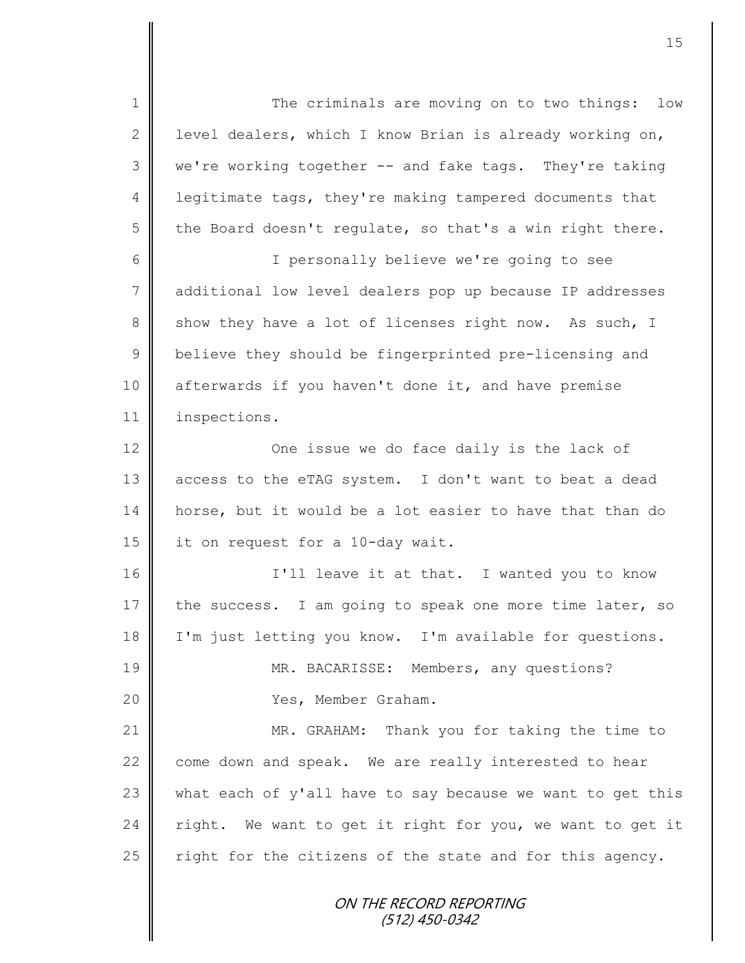ON THE RECORD REPORTING 1 || The criminals are moving on to two things: low 2 | level dealers, which I know Brian is already working on, 3 we're working together -- and fake tags. They're taking 4 | legitimate tags, they're making tampered documents that  $5 \parallel$  the Board doesn't regulate, so that's a win right there. 6 I personally believe we're going to see 7 ddditional low level dealers pop up because IP addresses 8 show they have a lot of licenses right now. As such, I 9 believe they should be fingerprinted pre-licensing and 10 afterwards if you haven't done it, and have premise 11 inspections. 12 **| Comen in Solution** One issue we do face daily is the lack of 13 access to the eTAG system. I don't want to beat a dead 14 horse, but it would be a lot easier to have that than do 15 | it on request for a 10-day wait. 16 || I'll leave it at that. I wanted you to know 17 the success. I am going to speak one more time later, so 18 | I'm just letting you know. I'm available for questions. 19 MR. BACARISSE: Members, any questions? 20 Yes, Member Graham. 21 MR. GRAHAM: Thank you for taking the time to 22  $\parallel$  come down and speak. We are really interested to hear 23  $\parallel$  what each of y'all have to say because we want to get this  $24$  right. We want to get it right for you, we want to get it 25  $\parallel$  right for the citizens of the state and for this agency.

(512) 450-0342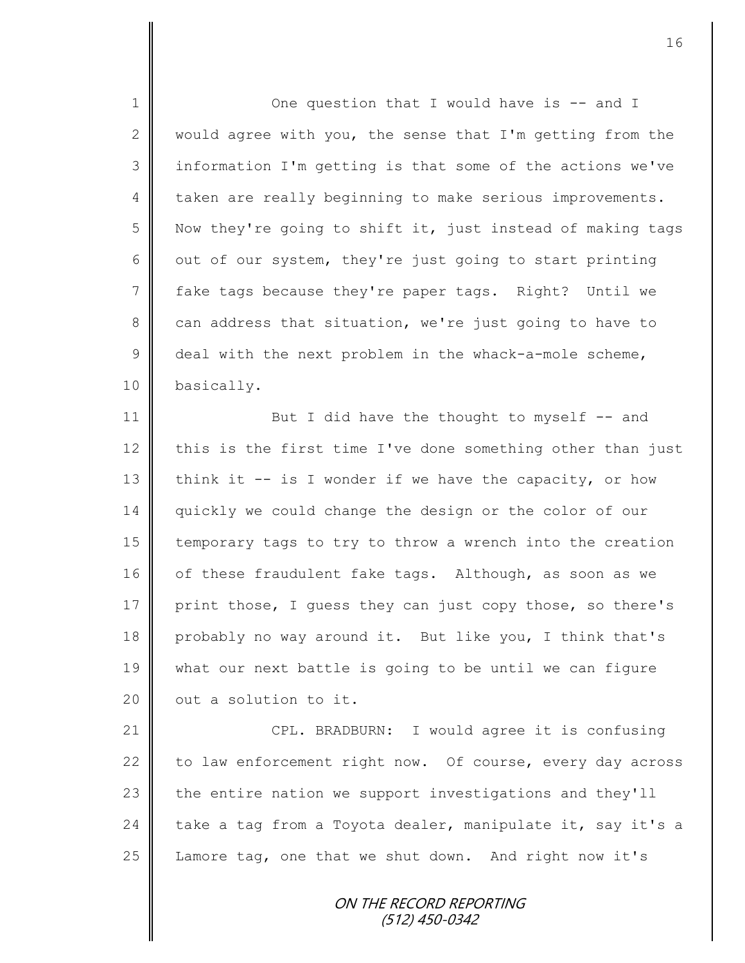1 || One question that I would have is -- and I 2 would agree with you, the sense that I'm getting from the 3 || information I'm getting is that some of the actions we've 4 taken are really beginning to make serious improvements.  $5 \parallel$  Now they're going to shift it, just instead of making tags 6  $\parallel$  out of our system, they're just going to start printing 7 fake tags because they're paper tags. Right? Until we  $8 \parallel$  can address that situation, we're just going to have to  $9 \parallel$  deal with the next problem in the whack-a-mole scheme, 10 basically. 11 But I did have the thought to myself -- and 12 this is the first time I've done something other than just 13 think it  $-$  is I wonder if we have the capacity, or how 14 quickly we could change the design or the color of our 15 | temporary tags to try to throw a wrench into the creation 16 of these fraudulent fake tags. Although, as soon as we 17 print those, I quess they can just copy those, so there's 18 probably no way around it. But like you, I think that's 19 what our next battle is going to be until we can figure  $20$  | out a solution to it. 21 | CPL. BRADBURN: I would agree it is confusing 22 to law enforcement right now. Of course, every day across 23  $\parallel$  the entire nation we support investigations and they'll 24 take a tag from a Toyota dealer, manipulate it, say it's a 25  $\parallel$  Lamore tag, one that we shut down. And right now it's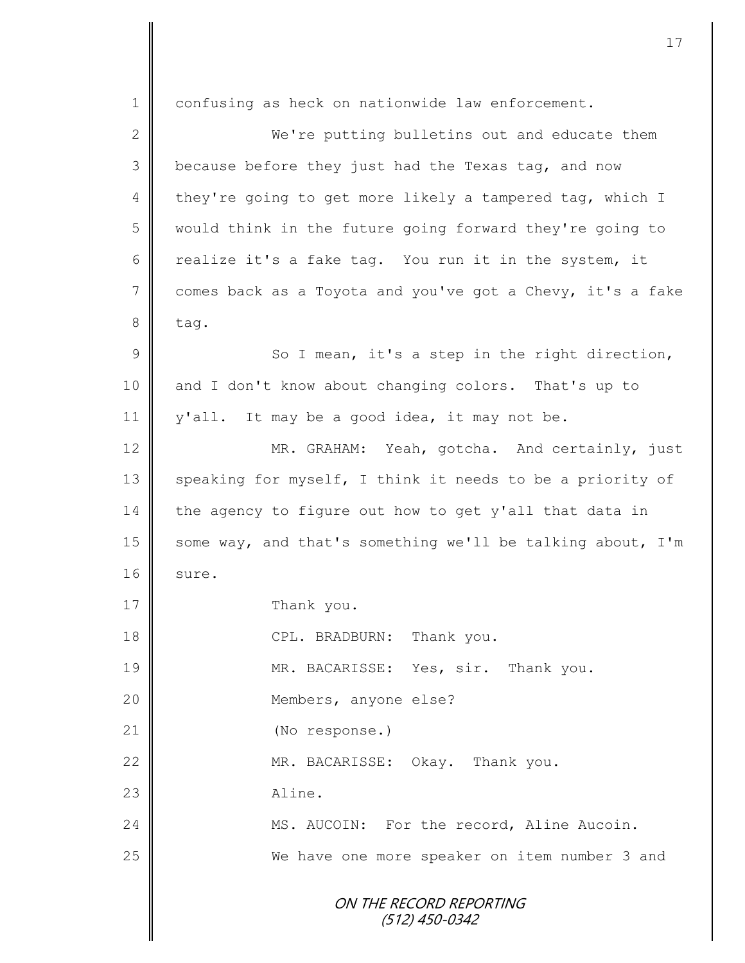ON THE RECORD REPORTING (512) 450-0342 1 confusing as heck on nationwide law enforcement. 2 || We're putting bulletins out and educate them  $3 \parallel$  because before they just had the Texas tag, and now 4 they're going to get more likely a tampered tag, which I 5 would think in the future going forward they're going to 6 calize it's a fake tag. You run it in the system, it  $7 \parallel$  comes back as a Toyota and you've got a Chevy, it's a fake  $8$  tag.  $9 \parallel$  So I mean, it's a step in the right direction, 10 and I don't know about changing colors. That's up to 11 | y'all. It may be a good idea, it may not be. 12 MR. GRAHAM: Yeah, gotcha. And certainly, just 13 speaking for myself, I think it needs to be a priority of 14 the agency to figure out how to get y'all that data in 15 some way, and that's something we'll be talking about, I'm  $16$  sure. 17 Thank you. 18 **CPL. BRADBURN:** Thank you. 19 MR. BACARISSE: Yes, sir. Thank you. 20 | Members, anyone else? 21 | (No response.) 22 MR. BACARISSE: Okay. Thank you. 23 Aline. 24 MS. AUCOIN: For the record, Aline Aucoin. 25 || We have one more speaker on item number 3 and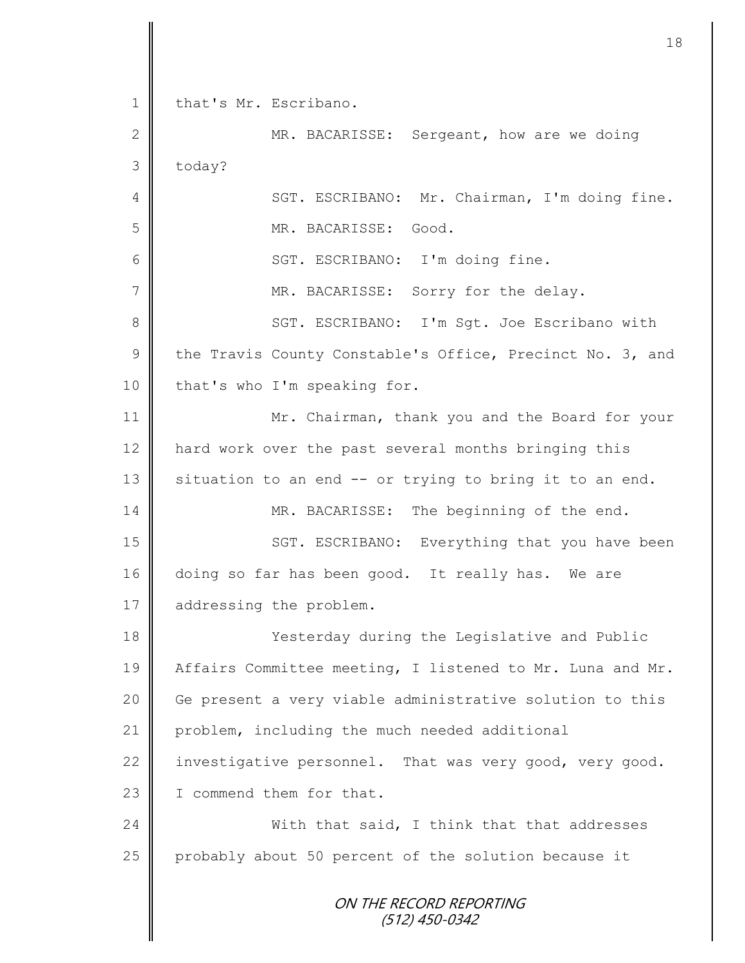ON THE RECORD REPORTING (512) 450-0342 1 | that's Mr. Escribano. 2 MR. BACARISSE: Sergeant, how are we doing  $3$  today? 4 || SGT. ESCRIBANO: Mr. Chairman, I'm doing fine. 5 MR. BACARISSE: Good. 6 || SGT. ESCRIBANO: I'm doing fine. 7 MR. BACARISSE: Sorry for the delay. 8 || SGT. ESCRIBANO: I'm Sqt. Joe Escribano with 9 the Travis County Constable's Office, Precinct No. 3, and 10 | that's who I'm speaking for. 11 Mr. Chairman, thank you and the Board for your 12 | hard work over the past several months bringing this 13  $\parallel$  situation to an end -- or trying to bring it to an end. 14 MR. BACARISSE: The beginning of the end. 15 | SGT. ESCRIBANO: Everything that you have been 16 doing so far has been good. It really has. We are 17 addressing the problem. 18 Vesterday during the Legislative and Public 19 | Affairs Committee meeting, I listened to Mr. Luna and Mr. 20 | Ge present a very viable administrative solution to this 21 | problem, including the much needed additional 22 investigative personnel. That was very good, very good. 23 I I commend them for that. 24 With that said, I think that that addresses 25 probably about 50 percent of the solution because it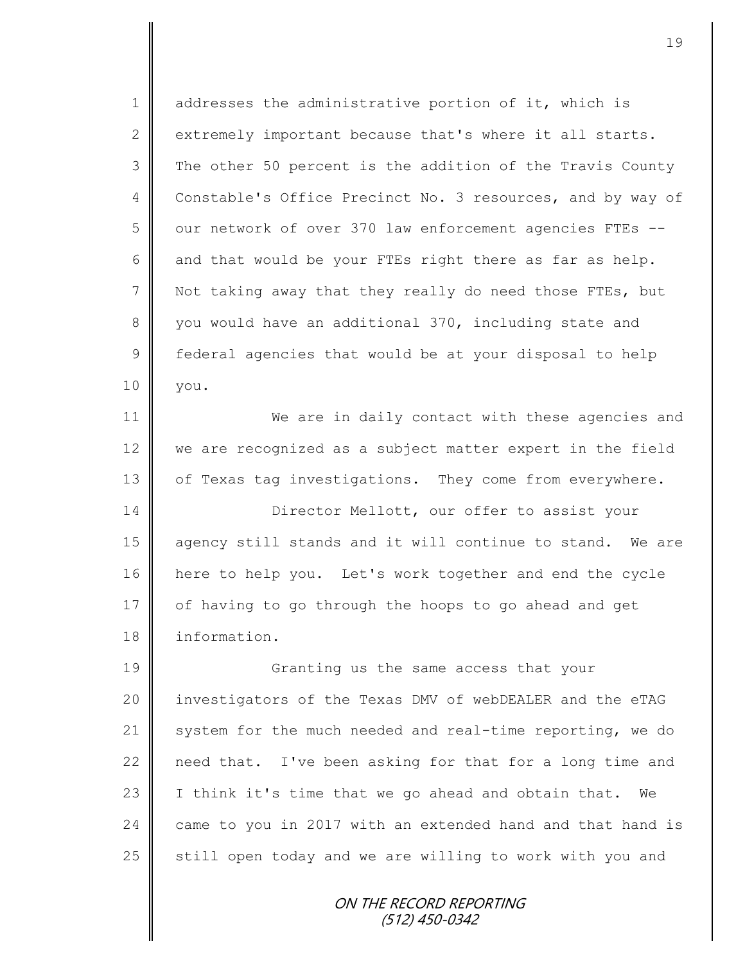1 addresses the administrative portion of it, which is 2 extremely important because that's where it all starts. 3 The other 50 percent is the addition of the Travis County 4 Constable's Office Precinct No. 3 resources, and by way of 5 | our network of over 370 law enforcement agencies FTEs --6 and that would be your FTEs right there as far as help. 7  $\parallel$  Not taking away that they really do need those FTEs, but 8 vou would have an additional 370, including state and 9 | federal agencies that would be at your disposal to help 10 you. 11 We are in daily contact with these agencies and 12 we are recognized as a subject matter expert in the field 13 | of Texas tag investigations. They come from everywhere. 14 Director Mellott, our offer to assist your 15 agency still stands and it will continue to stand. We are 16 | here to help you. Let's work together and end the cycle 17 | of having to go through the hoops to go ahead and get 18 information. 19 Granting us the same access that your 20 | investigators of the Texas DMV of webDEALER and the eTAG 21 system for the much needed and real-time reporting, we do 22  $\parallel$  need that. I've been asking for that for a long time and 23 | I think it's time that we go ahead and obtain that. We 24  $\parallel$  came to you in 2017 with an extended hand and that hand is  $25$  still open today and we are willing to work with you and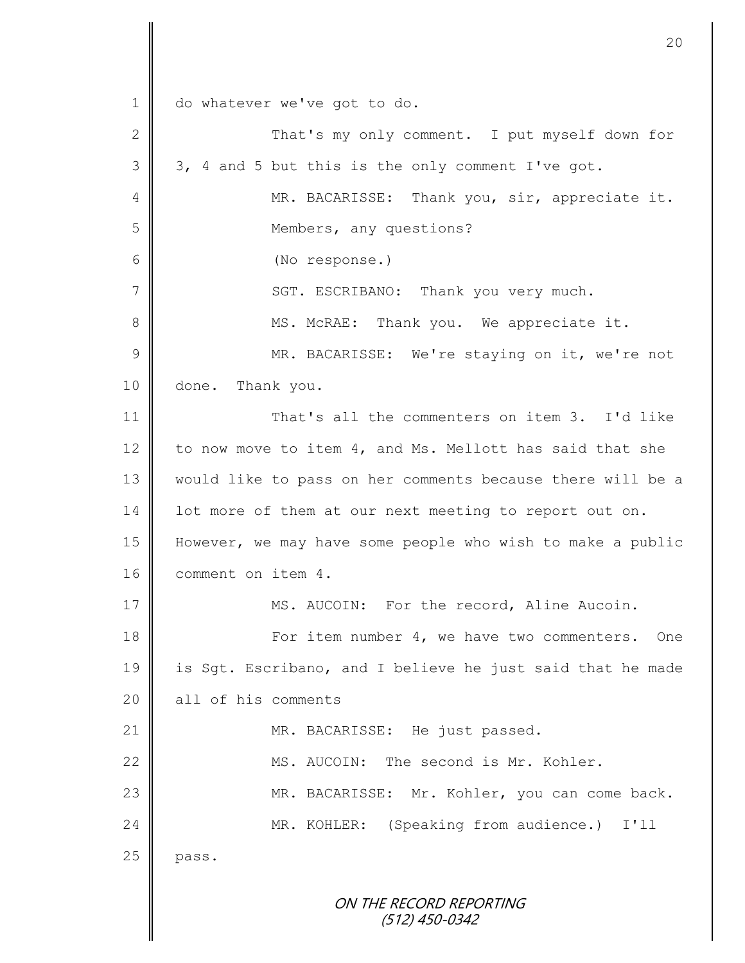ON THE RECORD REPORTING (512) 450-0342 1 | do whatever we've got to do. 2 || That's my only comment. I put myself down for  $3 \parallel 3$ , 4 and 5 but this is the only comment I've got. 4 || MR. BACARISSE: Thank you, sir, appreciate it. 5 Members, any questions? 6 (No response.) 7 SGT. ESCRIBANO: Thank you very much. 8 || MS. McRAE: Thank you. We appreciate it. 9 || MR. BACARISSE: We're staying on it, we're not 10 done. Thank you. 11 || That's all the commenters on item 3. I'd like 12 to now move to item 4, and Ms. Mellott has said that she 13 would like to pass on her comments because there will be a 14 | lot more of them at our next meeting to report out on. 15 However, we may have some people who wish to make a public 16 comment on item 4. 17 | MS. AUCOIN: For the record, Aline Aucoin. 18 **For item number 4, we have two commenters.** One 19 is Sgt. Escribano, and I believe he just said that he made 20 all of his comments 21 MR. BACARISSE: He just passed. 22 || MS. AUCOIN: The second is Mr. Kohler. 23 | MR. BACARISSE: Mr. Kohler, you can come back. 24 MR. KOHLER: (Speaking from audience.) I'll  $25$  pass.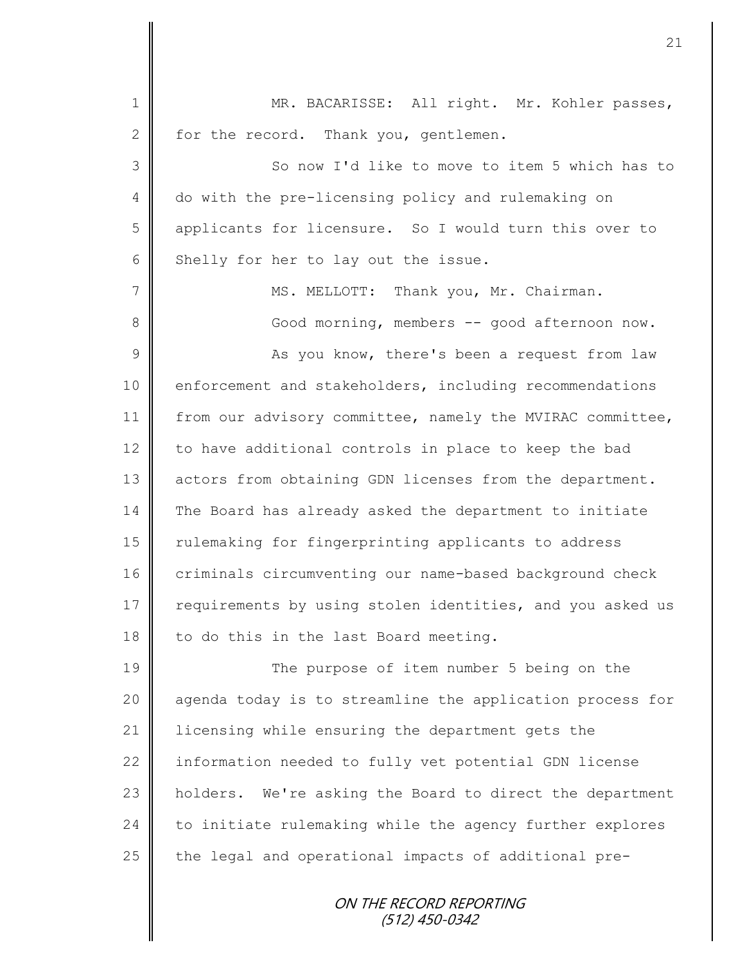| $\mathbf 1$     | MR. BACARISSE: All right. Mr. Kohler passes,              |
|-----------------|-----------------------------------------------------------|
| $\mathbf{2}$    | for the record. Thank you, gentlemen.                     |
| $\mathfrak{Z}$  | So now I'd like to move to item 5 which has to            |
| 4               | do with the pre-licensing policy and rulemaking on        |
| 5               | applicants for licensure. So I would turn this over to    |
| 6               | Shelly for her to lay out the issue.                      |
| $7\phantom{.0}$ | MS. MELLOTT: Thank you, Mr. Chairman.                     |
| 8               | Good morning, members -- good afternoon now.              |
| $\mathcal{G}$   | As you know, there's been a request from law              |
| 10              | enforcement and stakeholders, including recommendations   |
| 11              | from our advisory committee, namely the MVIRAC committee, |
| 12              | to have additional controls in place to keep the bad      |
| 13              | actors from obtaining GDN licenses from the department.   |
| 14              | The Board has already asked the department to initiate    |
| 15              | rulemaking for fingerprinting applicants to address       |
| 16              | criminals circumventing our name-based background check   |
| 17              | requirements by using stolen identities, and you asked us |
| 18              | to do this in the last Board meeting.                     |
| 19              | The purpose of item number 5 being on the                 |
| 20              | agenda today is to streamline the application process for |
| 21              | licensing while ensuring the department gets the          |
| 22              | information needed to fully vet potential GDN license     |
| 23              | holders. We're asking the Board to direct the department  |
| 24              | to initiate rulemaking while the agency further explores  |
| 25              | the legal and operational impacts of additional pre-      |
|                 | ON THE RECORD REPORTING<br>(512) 450-0342                 |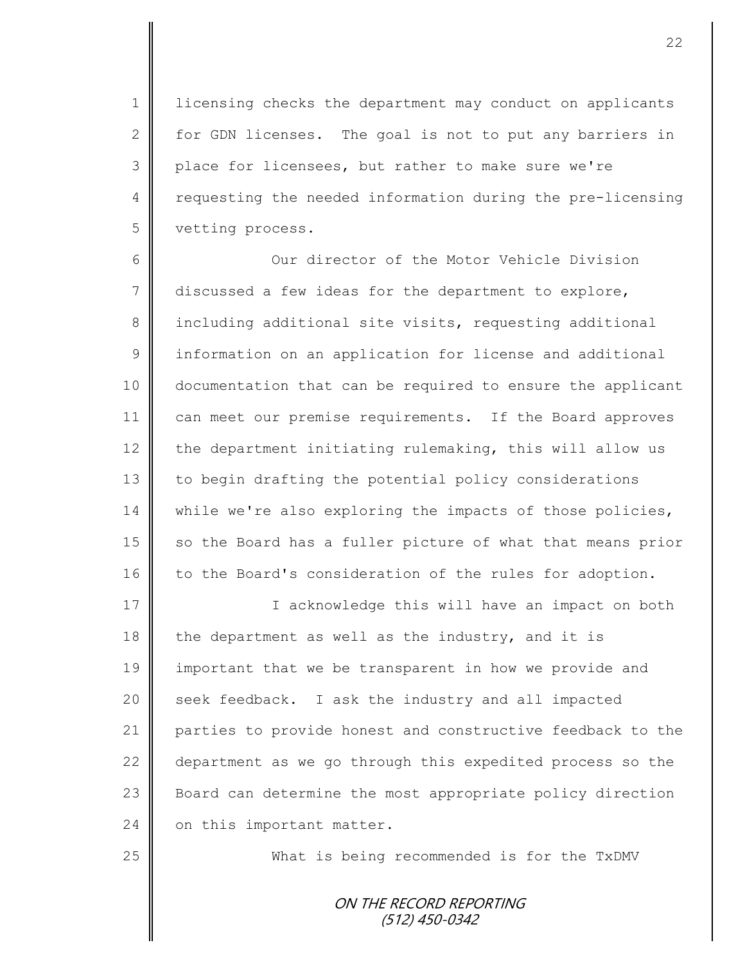1 | licensing checks the department may conduct on applicants 2  $\parallel$  for GDN licenses. The goal is not to put any barriers in 3 place for licensees, but rather to make sure we're 4 Tequesting the needed information during the pre-licensing 5 vetting process.

6 Our director of the Motor Vehicle Division  $7 \parallel$  discussed a few ideas for the department to explore, 8 including additional site visits, requesting additional 9 | information on an application for license and additional 10 documentation that can be required to ensure the applicant 11 can meet our premise requirements. If the Board approves 12  $\parallel$  the department initiating rulemaking, this will allow us 13 | to begin drafting the potential policy considerations 14 while we're also exploring the impacts of those policies, 15 so the Board has a fuller picture of what that means prior 16 to the Board's consideration of the rules for adoption.

17 | I acknowledge this will have an impact on both 18 the department as well as the industry, and it is 19 important that we be transparent in how we provide and 20 | seek feedback. I ask the industry and all impacted 21 parties to provide honest and constructive feedback to the 22 department as we go through this expedited process so the 23 Board can determine the most appropriate policy direction  $24$  on this important matter.

25 What is being recommended is for the TxDMV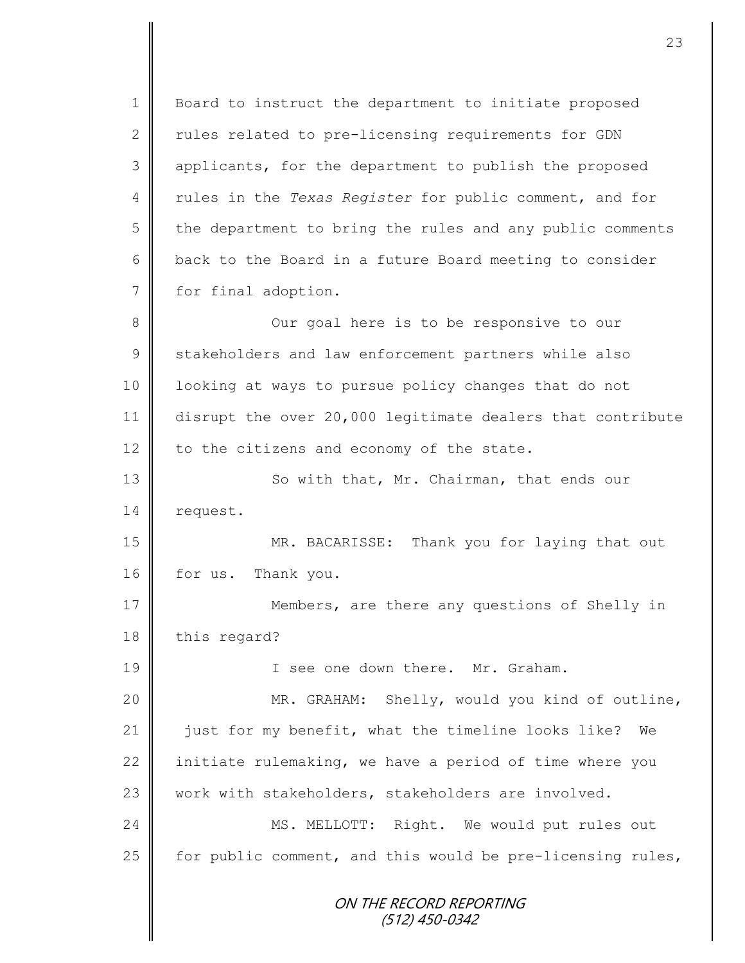ON THE RECORD REPORTING (512) 450-0342 1 | Board to instruct the department to initiate proposed  $2 \parallel$  rules related to pre-licensing requirements for GDN 3 || applicants, for the department to publish the proposed 4 Tules in the *Texas Register* for public comment, and for  $5 \parallel$  the department to bring the rules and any public comments  $6$  | back to the Board in a future Board meeting to consider 7 for final adoption. 8 || Our goal here is to be responsive to our 9 Stakeholders and law enforcement partners while also 10 | looking at ways to pursue policy changes that do not 11 disrupt the over 20,000 legitimate dealers that contribute 12 to the citizens and economy of the state. 13 || So with that, Mr. Chairman, that ends our 14 | request. 15 MR. BACARISSE: Thank you for laying that out 16 for us. Thank you. 17 || Members, are there any questions of Shelly in 18 this regard? 19 I see one down there. Mr. Graham. 20 || MR. GRAHAM: Shelly, would you kind of outline, 21 just for my benefit, what the timeline looks like? We 22 initiate rulemaking, we have a period of time where you 23 work with stakeholders, stakeholders are involved. 24 | MS. MELLOTT: Right. We would put rules out 25  $\parallel$  for public comment, and this would be pre-licensing rules,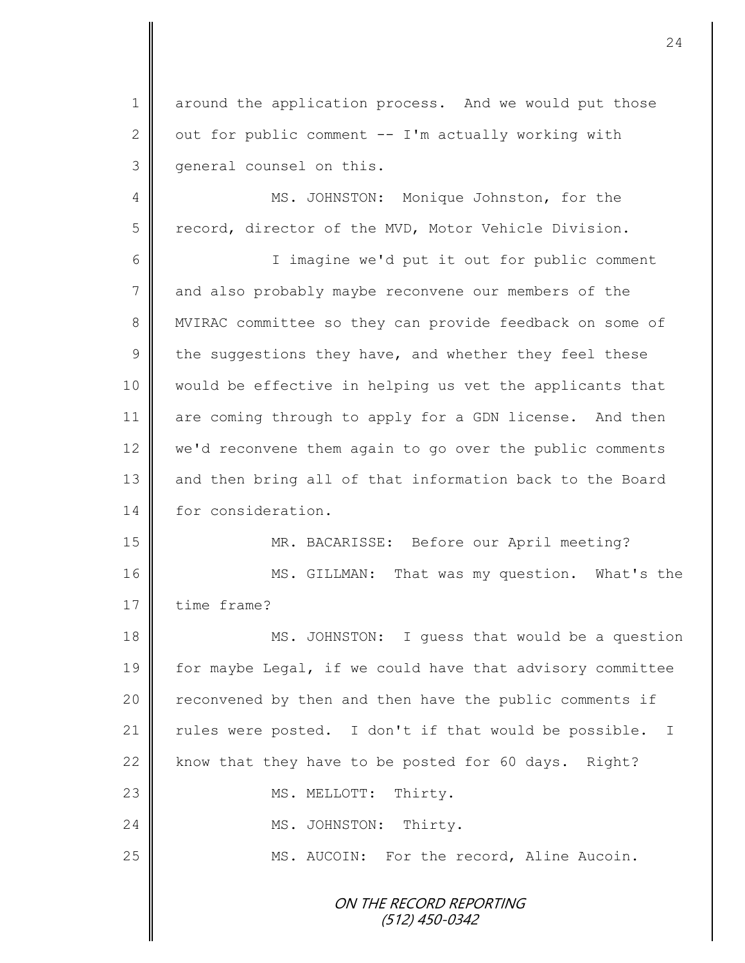1 around the application process. And we would put those 2  $\parallel$  out for public comment -- I'm actually working with 3 | general counsel on this.

4 || MS. JOHNSTON: Monique Johnston, for the 5 record, director of the MVD, Motor Vehicle Division.

6 I imagine we'd put it out for public comment 7 and also probably maybe reconvene our members of the 8 || MVIRAC committee so they can provide feedback on some of 9 the suggestions they have, and whether they feel these 10 would be effective in helping us vet the applicants that 11 are coming through to apply for a GDN license. And then 12 we'd reconvene them again to go over the public comments 13 || and then bring all of that information back to the Board 14 for consideration.

15 MR. BACARISSE: Before our April meeting? 16 MS. GILLMAN: That was my question. What's the 17 time frame?

18 MS. JOHNSTON: I quess that would be a question 19 for maybe Legal, if we could have that advisory committee 20 | reconvened by then and then have the public comments if 21 | rules were posted. I don't if that would be possible. I 22  $\parallel$  know that they have to be posted for 60 days. Right? 23 | MS. MELLOTT: Thirty. 24 | MS. JOHNSTON: Thirty. 25 | MS. AUCOIN: For the record, Aline Aucoin.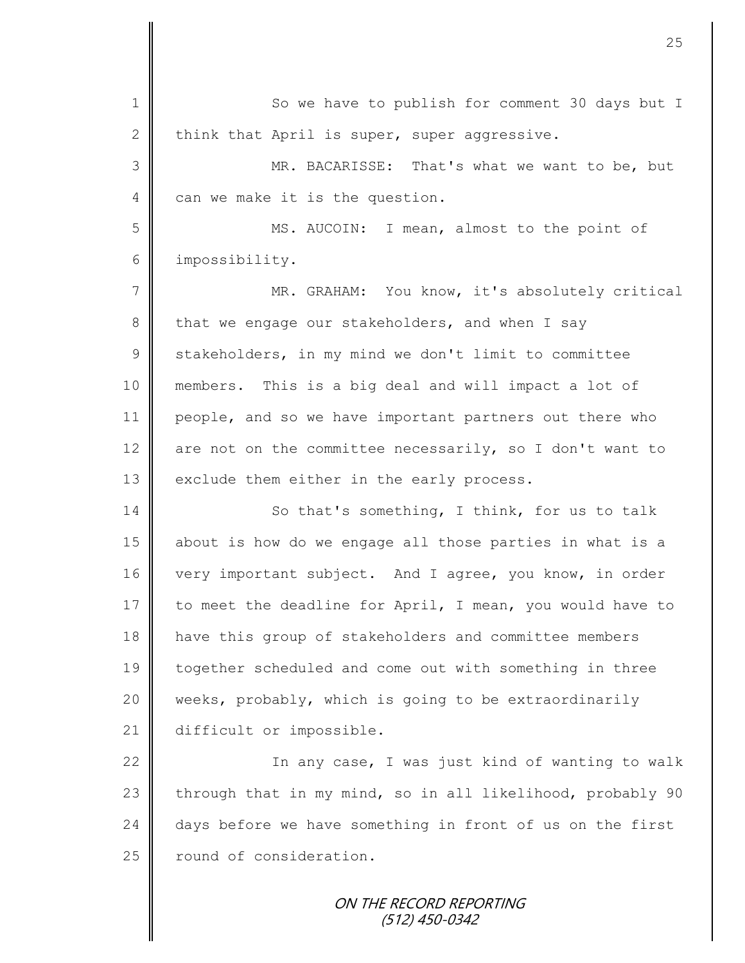1 So we have to publish for comment 30 days but I 2 think that April is super, super aggressive. 3 MR. BACARISSE: That's what we want to be, but 4 can we make it is the question. 5 MS. AUCOIN: I mean, almost to the point of 6 impossibility. 7 || MR. GRAHAM: You know, it's absolutely critical 8 that we engage our stakeholders, and when I say 9 Stakeholders, in my mind we don't limit to committee 10 members. This is a big deal and will impact a lot of 11 people, and so we have important partners out there who 12  $\parallel$  are not on the committee necessarily, so I don't want to 13 exclude them either in the early process. 14 So that's something, I think, for us to talk 15 about is how do we engage all those parties in what is a 16 very important subject. And I agree, you know, in order 17 to meet the deadline for April, I mean, you would have to 18 have this group of stakeholders and committee members 19 together scheduled and come out with something in three 20 weeks, probably, which is going to be extraordinarily 21 difficult or impossible. 22 | The any case, I was just kind of wanting to walk 23 through that in my mind, so in all likelihood, probably 90 24 days before we have something in front of us on the first 25 | round of consideration.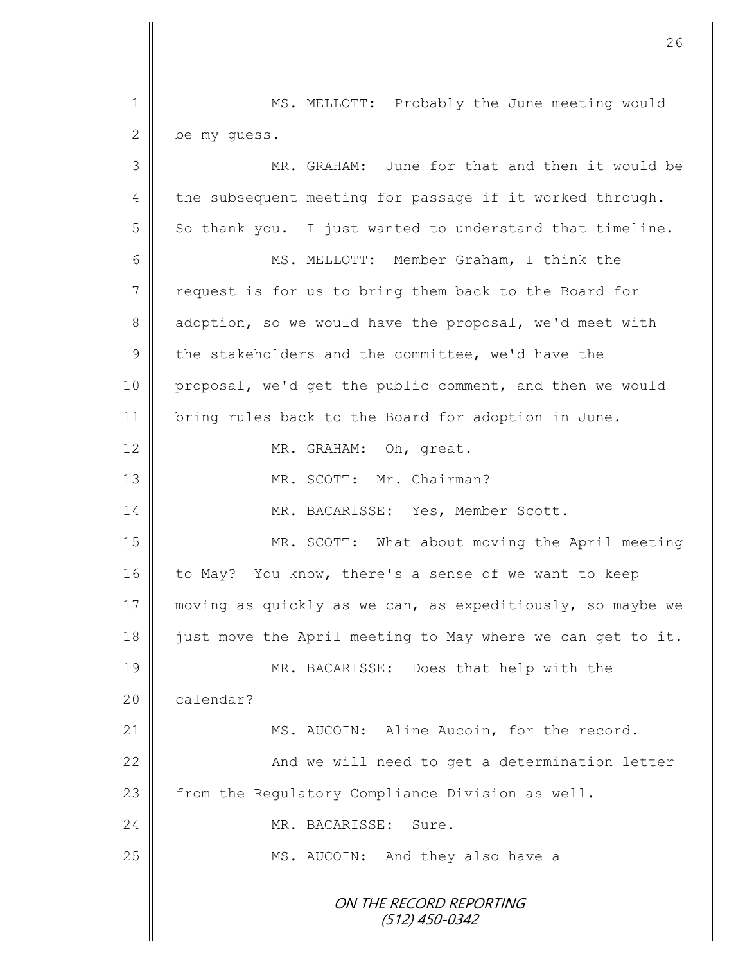ON THE RECORD REPORTING (512) 450-0342 1 || MS. MELLOTT: Probably the June meeting would 2 be my quess. 3 MR. GRAHAM: June for that and then it would be  $4 \parallel$  the subsequent meeting for passage if it worked through.  $5 \parallel$  So thank you. I just wanted to understand that timeline. 6 MS. MELLOTT: Member Graham, I think the 7 request is for us to bring them back to the Board for 8 adoption, so we would have the proposal, we'd meet with  $9 \parallel$  the stakeholders and the committee, we'd have the 10 proposal, we'd get the public comment, and then we would 11 bring rules back to the Board for adoption in June. 12 MR. GRAHAM: Oh, great. 13 MR. SCOTT: Mr. Chairman? 14 MR. BACARISSE: Yes, Member Scott. 15 MR. SCOTT: What about moving the April meeting 16 to May? You know, there's a sense of we want to keep 17 moving as quickly as we can, as expeditiously, so maybe we 18  $\parallel$  just move the April meeting to May where we can get to it. 19 MR. BACARISSE: Does that help with the 20 calendar? 21 | MS. AUCOIN: Aline Aucoin, for the record. 22 | And we will need to get a determination letter 23 | from the Regulatory Compliance Division as well. 24 MR. BACARISSE: Sure. 25 | MS. AUCOIN: And they also have a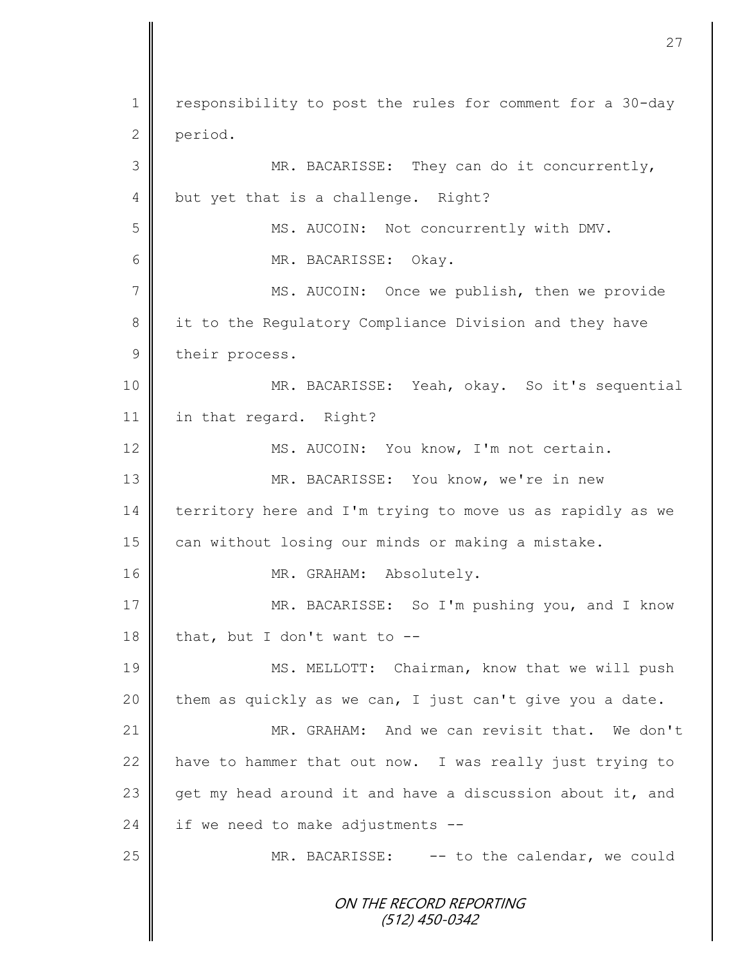ON THE RECORD REPORTING (512) 450-0342 1 | responsibility to post the rules for comment for a 30-day 2 period. 3 MR. BACARISSE: They can do it concurrently, 4 but yet that is a challenge. Right? 5 MS. AUCOIN: Not concurrently with DMV. 6 MR. BACARISSE: Okay. 7 || MS. AUCOIN: Once we publish, then we provide 8 it to the Regulatory Compliance Division and they have 9 their process. 10 MR. BACARISSE: Yeah, okay. So it's sequential 11 | in that regard. Right? 12 MS. AUCOIN: You know, I'm not certain. 13 || MR. BACARISSE: You know, we're in new 14 territory here and I'm trying to move us as rapidly as we 15 can without losing our minds or making a mistake. 16 MR. GRAHAM: Absolutely. 17 MR. BACARISSE: So I'm pushing you, and I know 18 that, but I don't want to  $-$ 19 || MS. MELLOTT: Chairman, know that we will push  $20$  them as quickly as we can, I just can't give you a date. 21 MR. GRAHAM: And we can revisit that. We don't 22 have to hammer that out now. I was really just trying to 23 get my head around it and have a discussion about it, and 24 if we need to make adjustments  $-$ 25 MR. BACARISSE: -- to the calendar, we could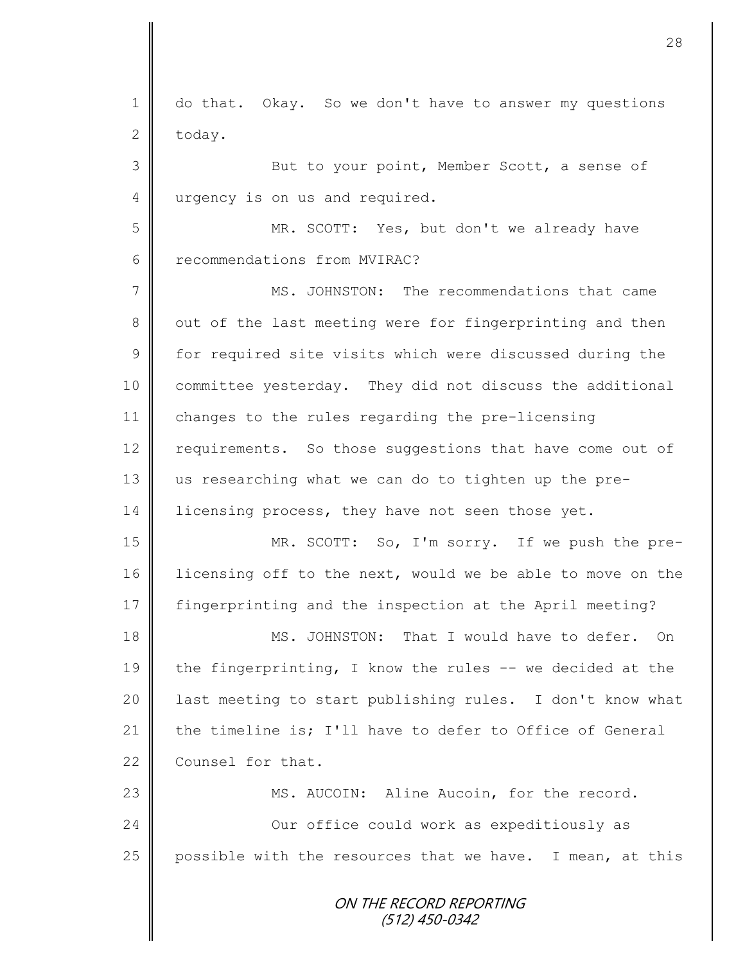ON THE RECORD REPORTING 1 do that. Okay. So we don't have to answer my questions  $2$  today. 3 But to your point, Member Scott, a sense of 4 urgency is on us and required. 5 MR. SCOTT: Yes, but don't we already have 6 **f** recommendations from MVIRAC? 7 MS. JOHNSTON: The recommendations that came 8 out of the last meeting were for fingerprinting and then 9 | for required site visits which were discussed during the 10 committee yesterday. They did not discuss the additional 11 changes to the rules regarding the pre-licensing 12 requirements. So those suggestions that have come out of 13 us researching what we can do to tighten up the pre-14 icensing process, they have not seen those yet. 15 MR. SCOTT: So, I'm sorry. If we push the pre-16 licensing off to the next, would we be able to move on the 17 fingerprinting and the inspection at the April meeting? 18 MS. JOHNSTON: That I would have to defer. On 19 the fingerprinting, I know the rules  $-$ - we decided at the 20 | last meeting to start publishing rules. I don't know what 21 the timeline is; I'll have to defer to Office of General 22 **Counsel for that.** 23 | MS. AUCOIN: Aline Aucoin, for the record. 24 **Our office could work as expeditiously as** 25 | possible with the resources that we have. I mean, at this

28

(512) 450-0342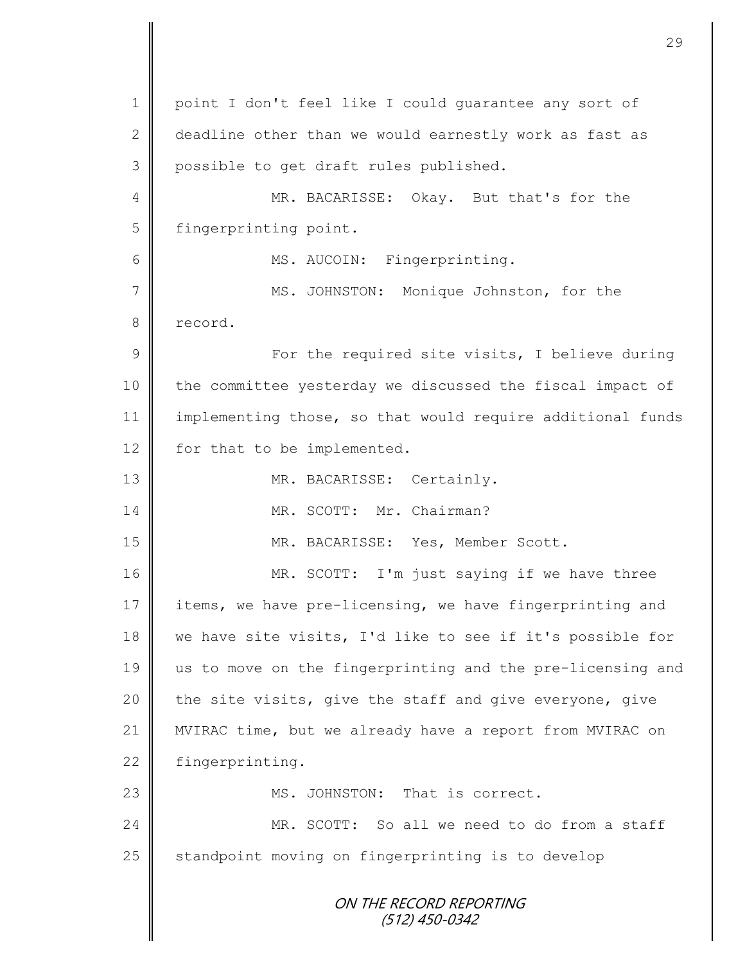ON THE RECORD REPORTING (512) 450-0342 1 | point I don't feel like I could quarantee any sort of 2 deadline other than we would earnestly work as fast as 3 possible to get draft rules published. 4 MR. BACARISSE: Okay. But that's for the 5 | fingerprinting point. 6 || MS. AUCOIN: Fingerprinting. 7 || MS. JOHNSTON: Monique Johnston, for the 8 record. 9 For the required site visits, I believe during 10 the committee yesterday we discussed the fiscal impact of 11 | implementing those, so that would require additional funds 12 for that to be implemented. 13 || MR. BACARISSE: Certainly. 14 MR. SCOTT: Mr. Chairman? 15 MR. BACARISSE: Yes, Member Scott. 16 MR. SCOTT: I'm just saying if we have three 17 items, we have pre-licensing, we have fingerprinting and 18 we have site visits, I'd like to see if it's possible for 19 us to move on the fingerprinting and the pre-licensing and 20  $\parallel$  the site visits, give the staff and give everyone, give 21 MVIRAC time, but we already have a report from MVIRAC on 22 fingerprinting. 23 **MS. JOHNSTON:** That is correct. 24 MR. SCOTT: So all we need to do from a staff  $25$  standpoint moving on fingerprinting is to develop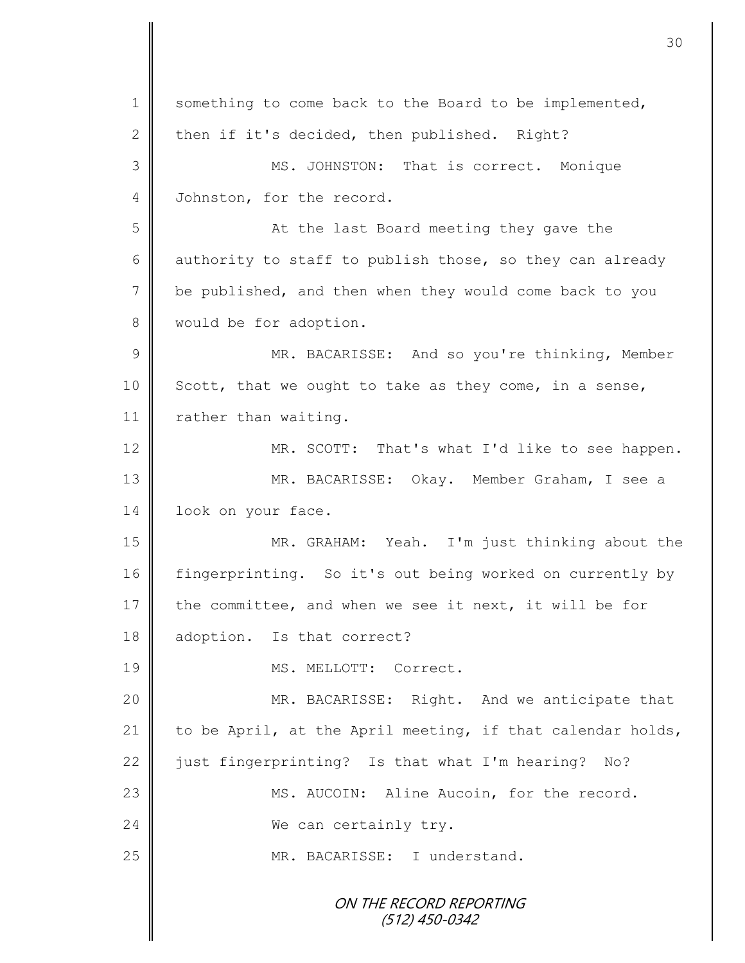ON THE RECORD REPORTING (512) 450-0342 1 something to come back to the Board to be implemented, 2 then if it's decided, then published. Right? 3 MS. JOHNSTON: That is correct. Monique 4 Johnston, for the record. 5 || At the last Board meeting they gave the 6 authority to staff to publish those, so they can already 7 be published, and then when they would come back to you 8 | would be for adoption. 9 || MR. BACARISSE: And so you're thinking, Member  $10$  Scott, that we ought to take as they come, in a sense, 11 | rather than waiting. 12 MR. SCOTT: That's what I'd like to see happen. 13 MR. BACARISSE: Okay. Member Graham, I see a 14 | look on your face. 15 MR. GRAHAM: Yeah. I'm just thinking about the 16 fingerprinting. So it's out being worked on currently by 17 the committee, and when we see it next, it will be for 18 adoption. Is that correct? 19 MS. MELLOTT: Correct. 20 || MR. BACARISSE: Right. And we anticipate that 21 to be April, at the April meeting, if that calendar holds, 22  $\parallel$  just fingerprinting? Is that what I'm hearing? No? 23 | MS. AUCOIN: Aline Aucoin, for the record. 24 We can certainly try. 25 || MR. BACARISSE: I understand.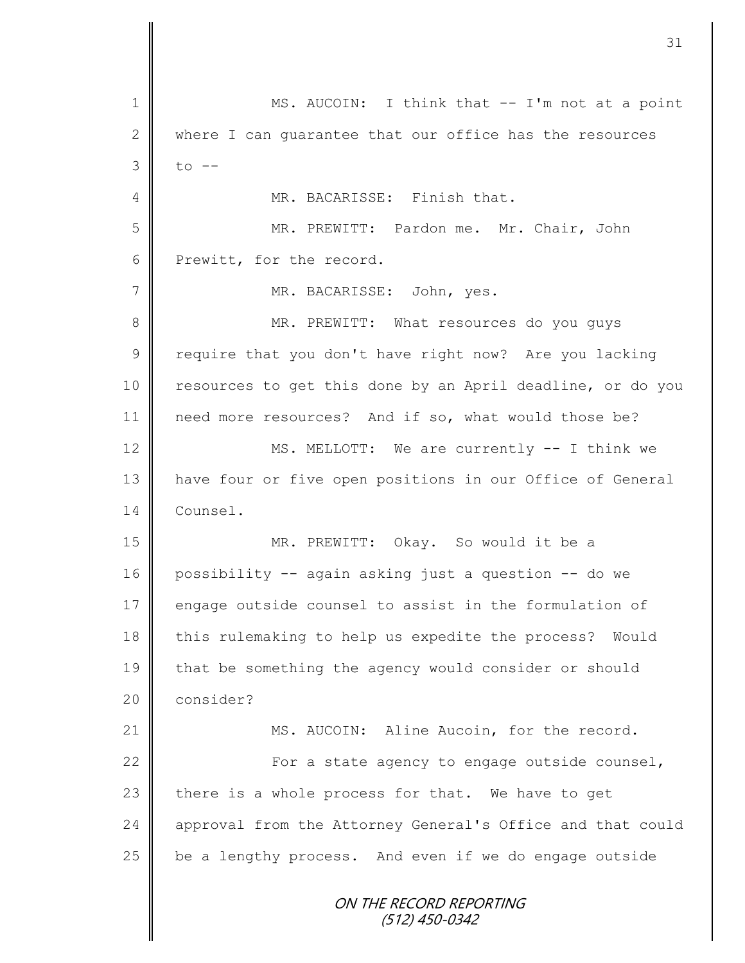ON THE RECORD REPORTING (512) 450-0342 1 || MS. AUCOIN: I think that -- I'm not at a point 2 where I can quarantee that our office has the resources  $3 \mid$  to  $-$ 4 **||** MR. BACARISSE: Finish that. 5 MR. PREWITT: Pardon me. Mr. Chair, John 6 Prewitt, for the record. 7 | MR. BACARISSE: John, yes. 8 || MR. PREWITT: What resources do you quys 9 | require that you don't have right now? Are you lacking 10 | resources to get this done by an April deadline, or do you 11 need more resources? And if so, what would those be? 12 MS. MELLOTT: We are currently -- I think we 13 have four or five open positions in our Office of General 14 Counsel. 15 MR. PREWITT: Okay. So would it be a 16 possibility -- again asking just a question -- do we 17 engage outside counsel to assist in the formulation of 18 this rulemaking to help us expedite the process? Would 19 that be something the agency would consider or should 20 **consider?** 21 | MS. AUCOIN: Aline Aucoin, for the record. 22  $\parallel$  For a state agency to engage outside counsel, 23  $\parallel$  there is a whole process for that. We have to get 24 | approval from the Attorney General's Office and that could  $25$  be a lengthy process. And even if we do engage outside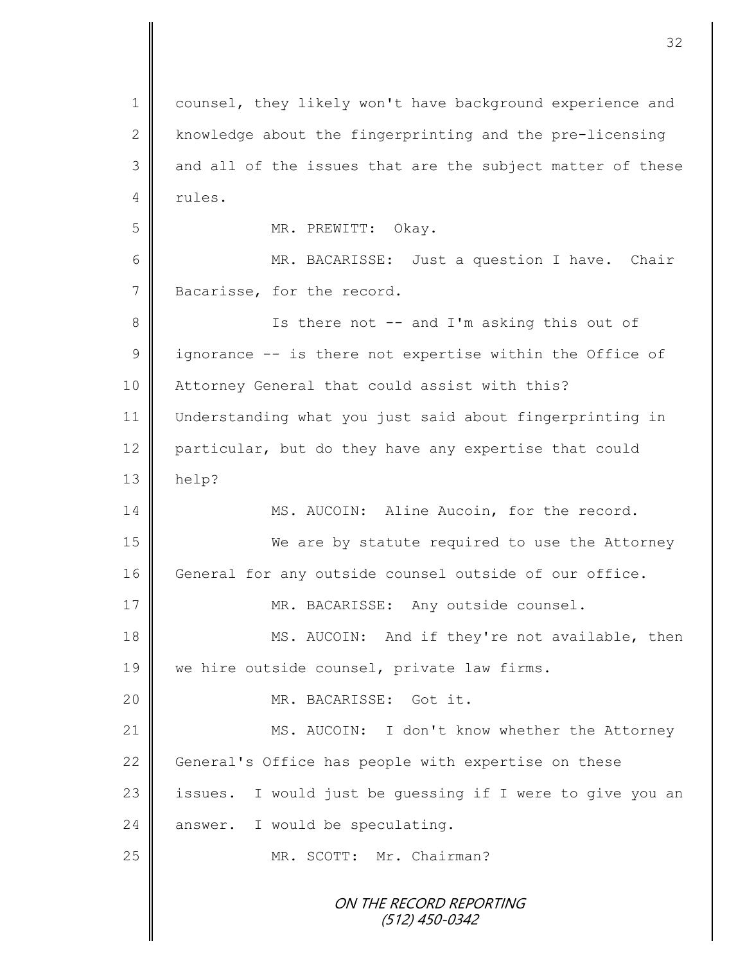ON THE RECORD REPORTING (512) 450-0342 1 counsel, they likely won't have background experience and 2 | knowledge about the fingerprinting and the pre-licensing  $3 \parallel$  and all of the issues that are the subject matter of these  $4 \parallel$  rules. 5 || MR. PREWITT: Okay. 6 MR. BACARISSE: Just a question I have. Chair 7 Bacarisse, for the record. 8 || Is there not -- and I'm asking this out of  $9 \parallel$  ignorance -- is there not expertise within the Office of 10 | Attorney General that could assist with this? 11 Understanding what you just said about fingerprinting in 12 particular, but do they have any expertise that could  $13$  | help? 14 MS. AUCOIN: Aline Aucoin, for the record. 15 We are by statute required to use the Attorney 16 | General for any outside counsel outside of our office. 17 MR. BACARISSE: Any outside counsel. 18 MS. AUCOIN: And if they're not available, then 19 | we hire outside counsel, private law firms. 20 MR. BACARISSE: Got it. 21 | MS. AUCOIN: I don't know whether the Attorney 22 General's Office has people with expertise on these 23 | issues. I would just be quessing if I were to give you an  $24$  answer. I would be speculating. 25 MR. SCOTT: Mr. Chairman?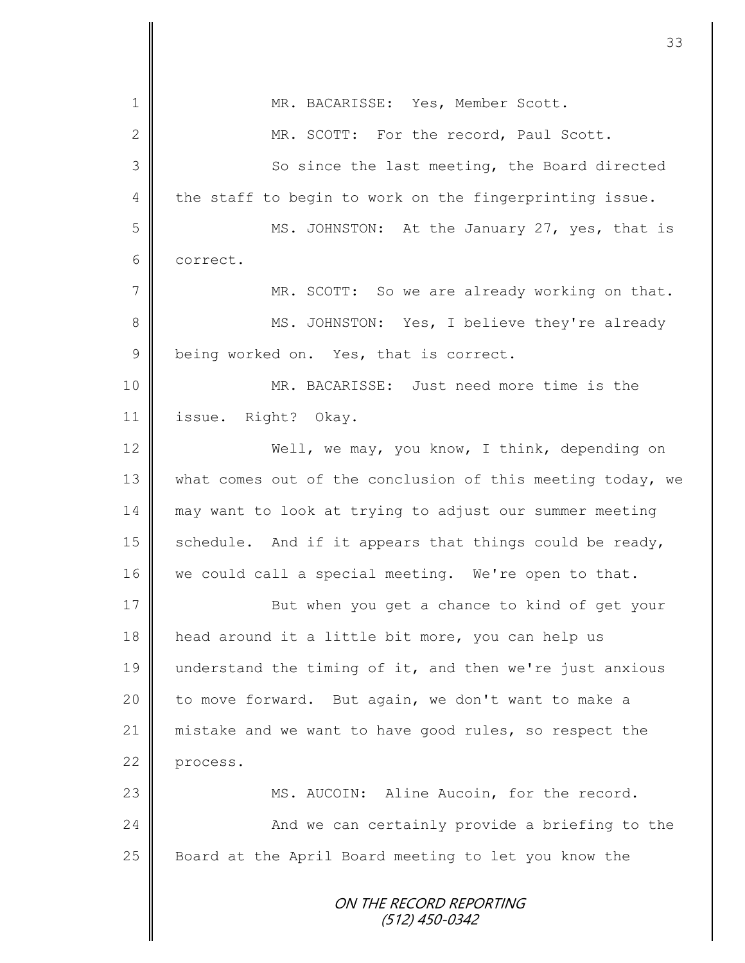|               | 33                                                         |
|---------------|------------------------------------------------------------|
| $\mathbf 1$   | MR. BACARISSE: Yes, Member Scott.                          |
| $\mathbf{2}$  | MR. SCOTT: For the record, Paul Scott.                     |
| 3             | So since the last meeting, the Board directed              |
| 4             | the staff to begin to work on the fingerprinting issue.    |
| 5             |                                                            |
|               | MS. JOHNSTON: At the January 27, yes, that is              |
| 6             | correct.                                                   |
| 7             | MR. SCOTT: So we are already working on that.              |
| 8             | MS. JOHNSTON: Yes, I believe they're already               |
| $\mathcal{G}$ | being worked on. Yes, that is correct.                     |
| 10            | MR. BACARISSE: Just need more time is the                  |
| 11            | issue. Right? Okay.                                        |
| 12            | Well, we may, you know, I think, depending on              |
| 13            | what comes out of the conclusion of this meeting today, we |
| 14            | may want to look at trying to adjust our summer meeting    |
| 15            | schedule. And if it appears that things could be ready,    |
| 16            | we could call a special meeting. We're open to that.       |
| 17            | But when you get a chance to kind of get your              |
| 18            | head around it a little bit more, you can help us          |
| 19            | understand the timing of it, and then we're just anxious   |
| 20            | to move forward. But again, we don't want to make a        |
| 21            | mistake and we want to have good rules, so respect the     |
| 22            | process.                                                   |
| 23            | MS. AUCOIN: Aline Aucoin, for the record.                  |
| 24            | And we can certainly provide a briefing to the             |
| 25            | Board at the April Board meeting to let you know the       |
|               | ON THE RECORD REPORTING<br>(512) 450-0342                  |

 $\mathbf l$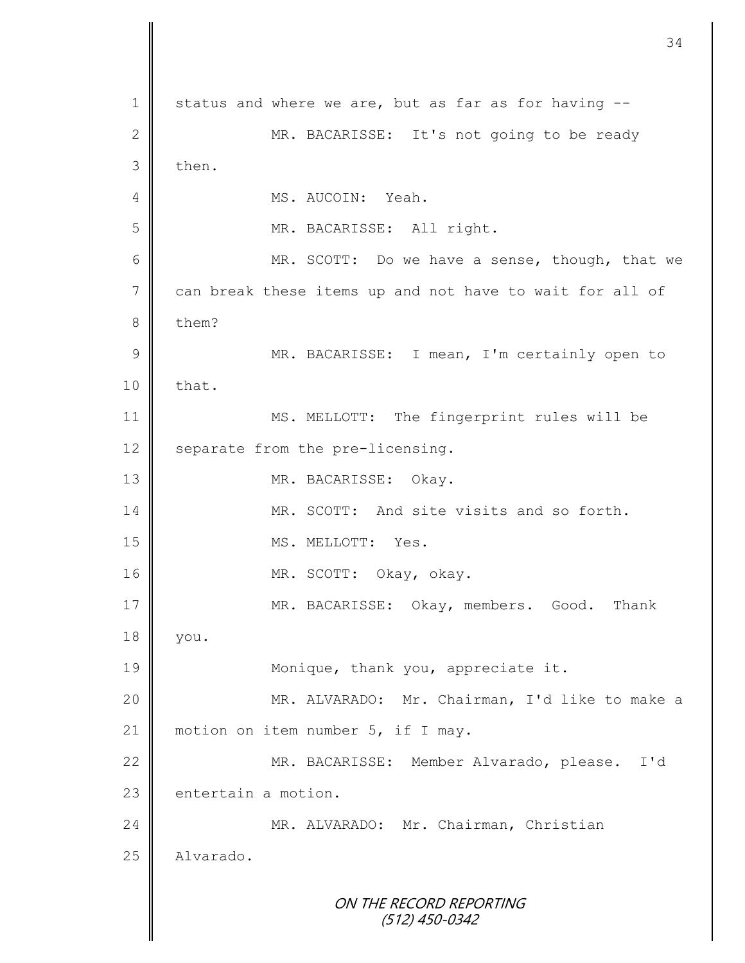ON THE RECORD REPORTING (512) 450-0342 1 status and where we are, but as far as for having --2 MR. BACARISSE: It's not going to be ready 3 then. 4 || MS. AUCOIN: Yeah. 5 MR. BACARISSE: All right. 6 || MR. SCOTT: Do we have a sense, though, that we 7 can break these items up and not have to wait for all of 8 them? 9 || MR. BACARISSE: I mean, I'm certainly open to  $10 \parallel$  that. 11 | MS. MELLOTT: The fingerprint rules will be  $12 \parallel$  separate from the pre-licensing. 13 MR. BACARISSE: Okay. 14 MR. SCOTT: And site visits and so forth. 15 || MS. MELLOTT: Yes. 16 MR. SCOTT: Okay, okay. 17 MR. BACARISSE: Okay, members. Good. Thank 18 you. 19 **Monique, thank you, appreciate it.** 20 MR. ALVARADO: Mr. Chairman, I'd like to make a 21 | motion on item number 5, if I may. 22 | MR. BACARISSE: Member Alvarado, please. I'd  $23$   $\blacksquare$  entertain a motion. 24 | MR. ALVARADO: Mr. Chairman, Christian 25 | Alvarado.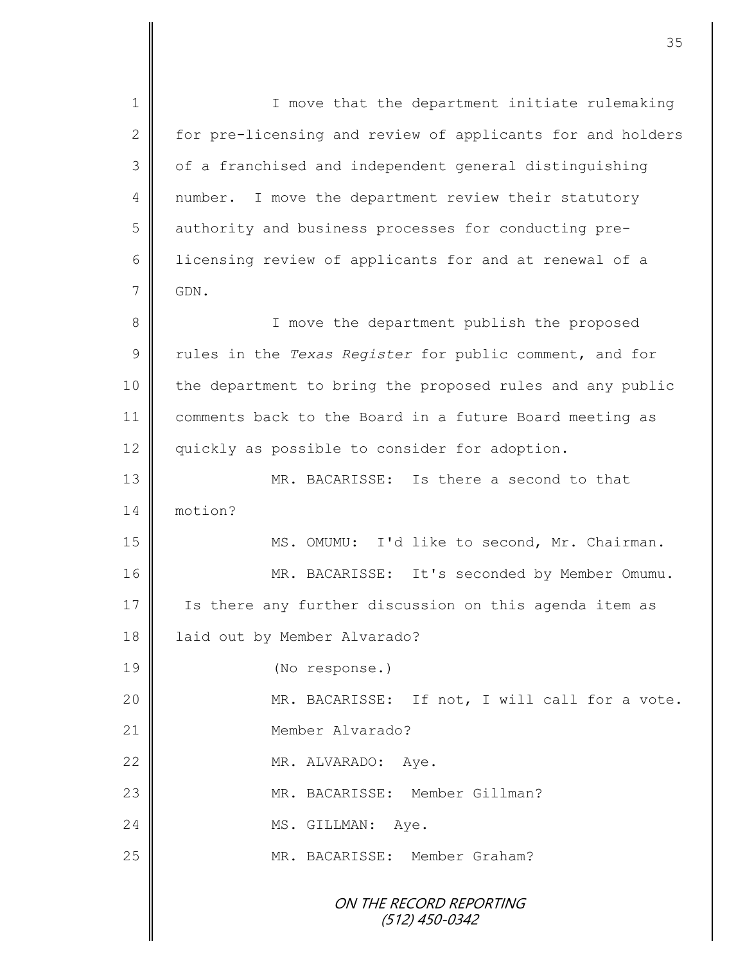ON THE RECORD REPORTING (512) 450-0342 1 || I move that the department initiate rulemaking 2 | for pre-licensing and review of applicants for and holders 3 | of a franchised and independent general distinguishing 4 | number. I move the department review their statutory 5 | authority and business processes for conducting pre-6 | licensing review of applicants for and at renewal of a  $7 \parallel$  GDN. 8 || I move the department publish the proposed 9 Tules in the *Texas Register* for public comment, and for 10 the department to bring the proposed rules and any public 11 comments back to the Board in a future Board meeting as 12 | quickly as possible to consider for adoption. 13 **MR. BACARISSE:** Is there a second to that 14 motion? 15 || MS. OMUMU: I'd like to second, Mr. Chairman. 16 MR. BACARISSE: It's seconded by Member Omumu. 17 | Is there any further discussion on this agenda item as 18 | laid out by Member Alvarado? 19 (No response.) 20 || MR. BACARISSE: If not, I will call for a vote. 21 || Member Alvarado? 22 MR. ALVARADO: Aye. 23 || MR. BACARISSE: Member Gillman? 24 MS. GILLMAN: Ave. 25 || MR. BACARISSE: Member Graham?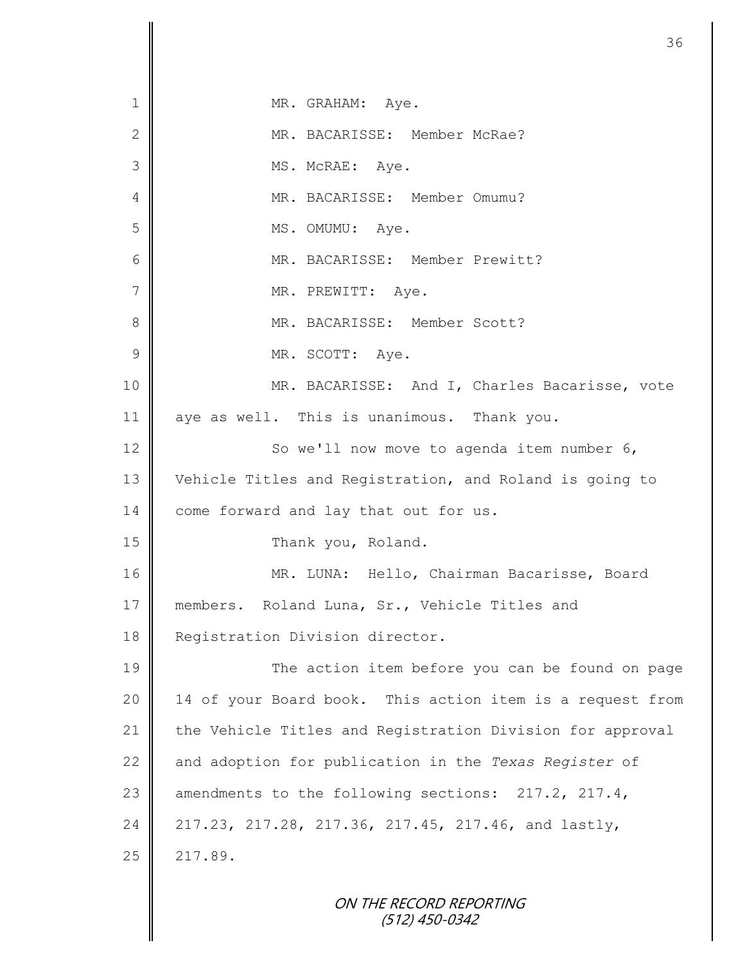| 1              | MR. GRAHAM: Aye.                                          |
|----------------|-----------------------------------------------------------|
| $\mathbf{2}$   | MR. BACARISSE: Member McRae?                              |
| $\mathfrak{Z}$ | MS. McRAE: Aye.                                           |
| 4              | MR. BACARISSE: Member Omumu?                              |
| 5              | MS. OMUMU: Aye.                                           |
| 6              | MR. BACARISSE: Member Prewitt?                            |
| $\overline{7}$ | MR. PREWITT: Aye.                                         |
| 8              | MR. BACARISSE: Member Scott?                              |
| $\mathcal{G}$  | MR. SCOTT: Aye.                                           |
| 10             | MR. BACARISSE: And I, Charles Bacarisse, vote             |
| 11             | aye as well. This is unanimous. Thank you.                |
| 12             | So we'll now move to agenda item number 6,                |
| 13             | Vehicle Titles and Registration, and Roland is going to   |
| 14             | come forward and lay that out for us.                     |
| 15             | Thank you, Roland.                                        |
| 16             | MR. LUNA: Hello, Chairman Bacarisse, Board                |
| 17             | members. Roland Luna, Sr., Vehicle Titles and             |
| 18             | Registration Division director.                           |
| 19             | The action item before you can be found on page           |
| 20             | 14 of your Board book. This action item is a request from |
| 21             | the Vehicle Titles and Registration Division for approval |
| 22             | and adoption for publication in the Texas Register of     |
| 23             | amendments to the following sections: 217.2, 217.4,       |
| 24             | 217.23, 217.28, 217.36, 217.45, 217.46, and lastly,       |
| 25             | 217.89.                                                   |
|                | ON THE RECORD REPORTING                                   |

(512) 450-0342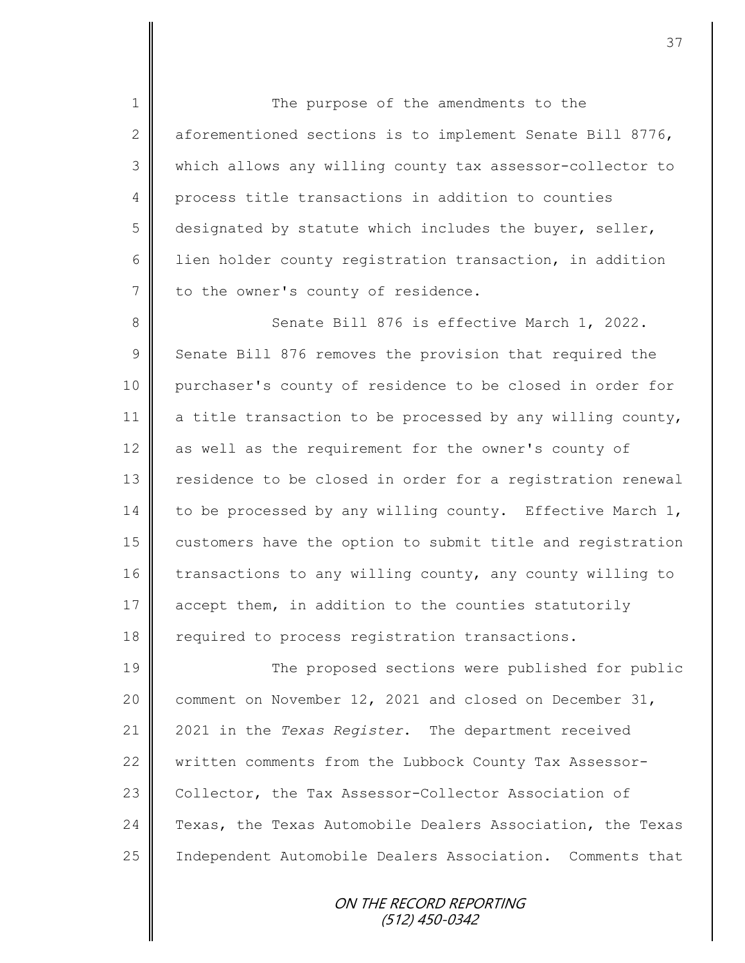1 || The purpose of the amendments to the 2  $\parallel$  aforementioned sections is to implement Senate Bill 8776, 3 which allows any willing county tax assessor-collector to 4 process title transactions in addition to counties  $5 \parallel$  designated by statute which includes the buyer, seller, 6 | lien holder county registration transaction, in addition  $7$  | to the owner's county of residence.

8 Senate Bill 876 is effective March 1, 2022. 9 Senate Bill 876 removes the provision that required the 10 purchaser's county of residence to be closed in order for 11  $\parallel$  a title transaction to be processed by any willing county, 12 as well as the requirement for the owner's county of 13 | residence to be closed in order for a registration renewal 14 to be processed by any willing county. Effective March 1, 15 customers have the option to submit title and registration 16 transactions to any willing county, any county willing to 17 accept them, in addition to the counties statutorily 18 | required to process registration transactions.

19 The proposed sections were published for public 20  $\parallel$  comment on November 12, 2021 and closed on December 31, 21 2021 in the *Texas Register*. The department received 22 written comments from the Lubbock County Tax Assessor-23 Collector, the Tax Assessor-Collector Association of 24 Texas, the Texas Automobile Dealers Association, the Texas 25 | Independent Automobile Dealers Association. Comments that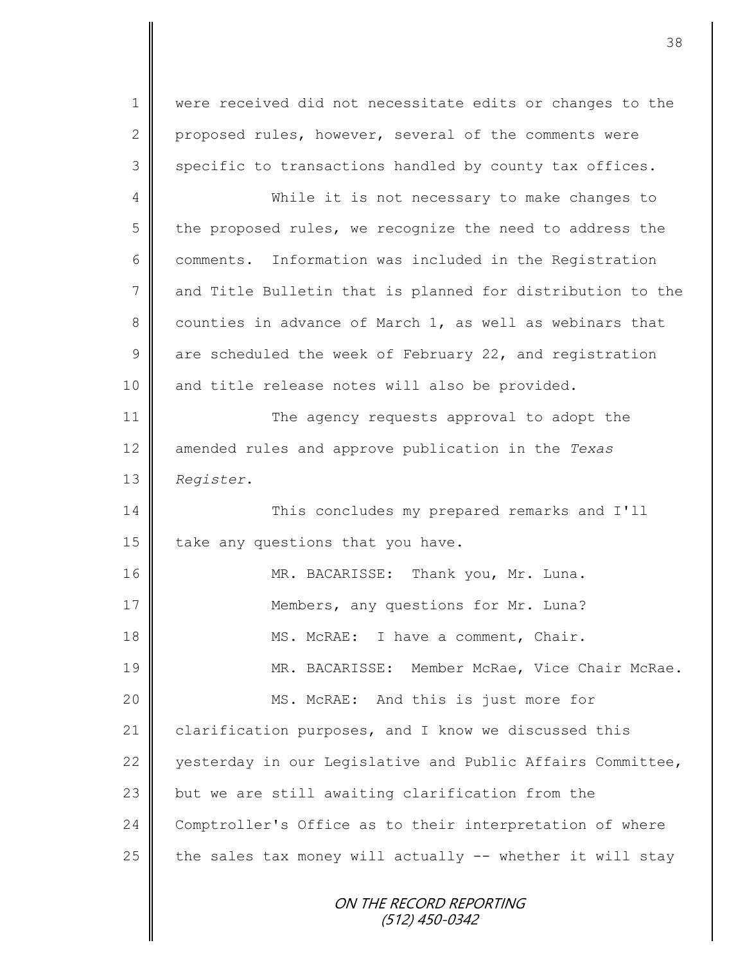1 were received did not necessitate edits or changes to the 2 proposed rules, however, several of the comments were  $3 \parallel$  specific to transactions handled by county tax offices.

4 While it is not necessary to make changes to  $5 \parallel$  the proposed rules, we recognize the need to address the  $6 \parallel$  comments. Information was included in the Registration 7 and Title Bulletin that is planned for distribution to the 8 counties in advance of March 1, as well as webinars that  $9 \parallel$  are scheduled the week of February 22, and registration 10 || and title release notes will also be provided.

11 **The agency requests approval to adopt the** 12 amended rules and approve publication in the *Texas*  13 *Register*.

14 This concludes my prepared remarks and I'll 15  $\parallel$  take any questions that you have.

16 MR. BACARISSE: Thank you, Mr. Luna. 17 Members, any questions for Mr. Luna? 18 || MS. McRAE: I have a comment, Chair. 19 MR. BACARISSE: Member McRae, Vice Chair McRae. 20 MS. McRAE: And this is just more for 21 clarification purposes, and I know we discussed this 22 yesterday in our Legislative and Public Affairs Committee, 23 but we are still awaiting clarification from the 24 Comptroller's Office as to their interpretation of where 25  $\parallel$  the sales tax money will actually -- whether it will stay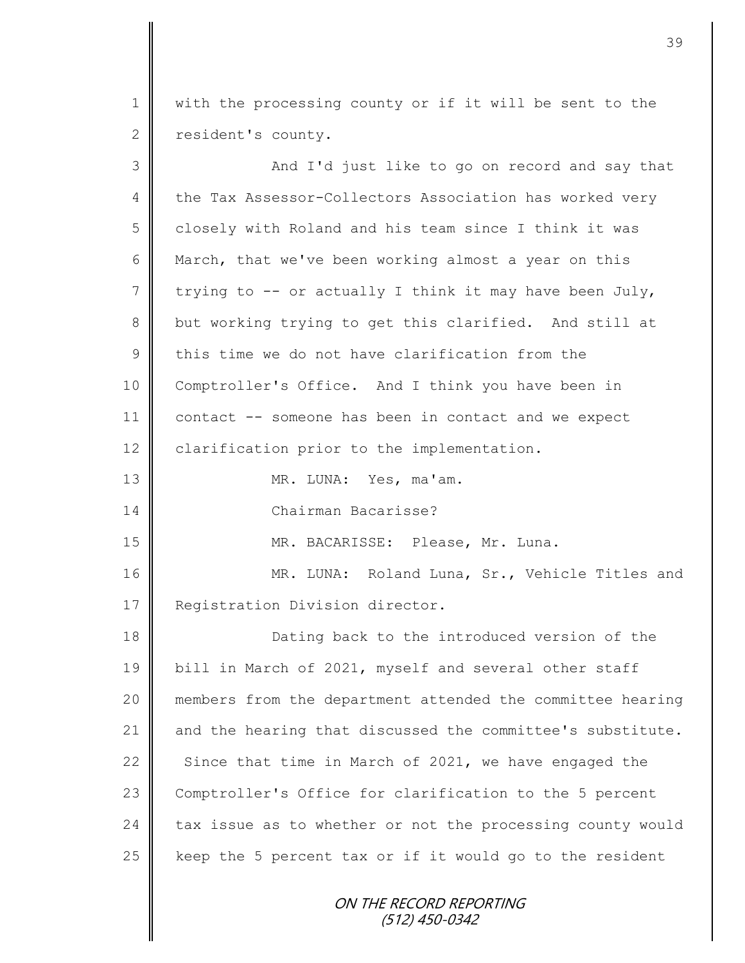1 with the processing county or if it will be sent to the 2 resident's county.

| 3               | And I'd just like to go on record and say that             |
|-----------------|------------------------------------------------------------|
| 4               | the Tax Assessor-Collectors Association has worked very    |
| 5               | closely with Roland and his team since I think it was      |
| 6               | March, that we've been working almost a year on this       |
| $7\phantom{.0}$ | trying to -- or actually I think it may have been July,    |
| $\,8\,$         | but working trying to get this clarified. And still at     |
| $\mathcal{G}$   | this time we do not have clarification from the            |
| 10              | Comptroller's Office. And I think you have been in         |
| 11              | contact -- someone has been in contact and we expect       |
| 12              | clarification prior to the implementation.                 |
| 13              | MR. LUNA: Yes, ma'am.                                      |
| 14              | Chairman Bacarisse?                                        |
| 15              | MR. BACARISSE: Please, Mr. Luna.                           |
| 16              | MR. LUNA: Roland Luna, Sr., Vehicle Titles and             |
| 17              | Registration Division director.                            |
| 18              | Dating back to the introduced version of the               |
| 19              | bill in March of 2021, myself and several other staff      |
| 20              | members from the department attended the committee hearing |
| 21              | and the hearing that discussed the committee's substitute. |
| 22              | Since that time in March of 2021, we have engaged the      |
| 23              | Comptroller's Office for clarification to the 5 percent    |
| 24              | tax issue as to whether or not the processing county would |
| 25              | keep the 5 percent tax or if it would go to the resident   |
|                 | ON THE RECORD REPORTING<br>(512) 450-0342                  |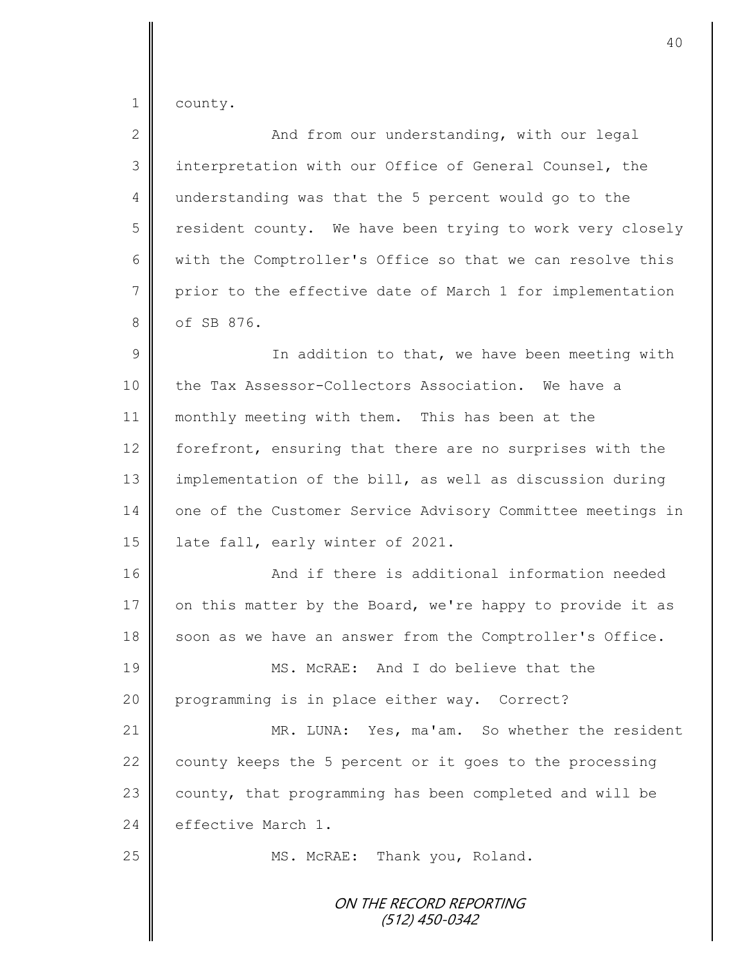|  | county |
|--|--------|
|--|--------|

| $\mathbf{2}$    | And from our understanding, with our legal                 |
|-----------------|------------------------------------------------------------|
| 3               | interpretation with our Office of General Counsel, the     |
| 4               | understanding was that the 5 percent would go to the       |
| 5               | resident county. We have been trying to work very closely  |
| 6               | with the Comptroller's Office so that we can resolve this  |
| $7\phantom{.0}$ | prior to the effective date of March 1 for implementation  |
| 8               | of SB 876.                                                 |
| $\mathcal{G}$   | In addition to that, we have been meeting with             |
| 10              | the Tax Assessor-Collectors Association. We have a         |
| 11              | monthly meeting with them. This has been at the            |
| 12              | forefront, ensuring that there are no surprises with the   |
| 13              | implementation of the bill, as well as discussion during   |
| 14              | one of the Customer Service Advisory Committee meetings in |
| 15              | late fall, early winter of 2021.                           |
| 16              | And if there is additional information needed              |
| 17              | on this matter by the Board, we're happy to provide it as  |
| 18              | soon as we have an answer from the Comptroller's Office.   |
| 19              | MS. McRAE: And I do believe that the                       |
| 20              | programming is in place either way. Correct?               |
| 21              | MR. LUNA: Yes, ma'am. So whether the resident              |
| 22              | county keeps the 5 percent or it goes to the processing    |
| 23              | county, that programming has been completed and will be    |
| 24              | effective March 1.                                         |
| 25              | MS. McRAE: Thank you, Roland.                              |
|                 | ON THE RECORD REPORTING<br>(512) 450-0342                  |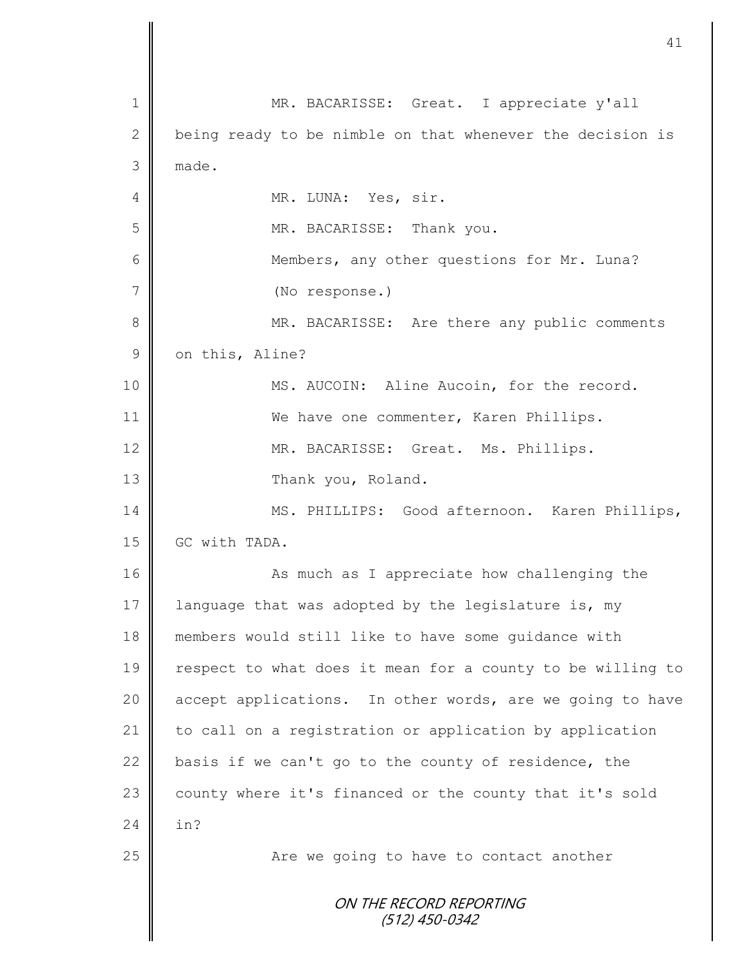|               | 41                                                         |
|---------------|------------------------------------------------------------|
|               |                                                            |
| 1             | MR. BACARISSE: Great. I appreciate y'all                   |
| 2             | being ready to be nimble on that whenever the decision is  |
| 3             | made.                                                      |
| 4             | MR. LUNA: Yes, sir.                                        |
| 5             | MR. BACARISSE: Thank you.                                  |
| 6             | Members, any other questions for Mr. Luna?                 |
| 7             | (No response.)                                             |
| 8             | MR. BACARISSE: Are there any public comments               |
| $\mathcal{G}$ | on this, Aline?                                            |
| 10            | MS. AUCOIN: Aline Aucoin, for the record.                  |
| 11            | We have one commenter, Karen Phillips.                     |
| 12            | MR. BACARISSE: Great. Ms. Phillips.                        |
| 13            | Thank you, Roland.                                         |
| 14            | MS. PHILLIPS: Good afternoon. Karen Phillips,              |
| 15            | GC with TADA.                                              |
| 16            | As much as I appreciate how challenging the                |
| 17            | language that was adopted by the legislature is, my        |
| 18            | members would still like to have some quidance with        |
| 19            | respect to what does it mean for a county to be willing to |
| 20            | accept applications. In other words, are we going to have  |
| 21            | to call on a registration or application by application    |
| 22            | basis if we can't go to the county of residence, the       |
| 23            | county where it's financed or the county that it's sold    |
| 24            | in?                                                        |
| 25            | Are we going to have to contact another                    |
|               | ON THE RECORD REPORTING<br>(512) 450-0342                  |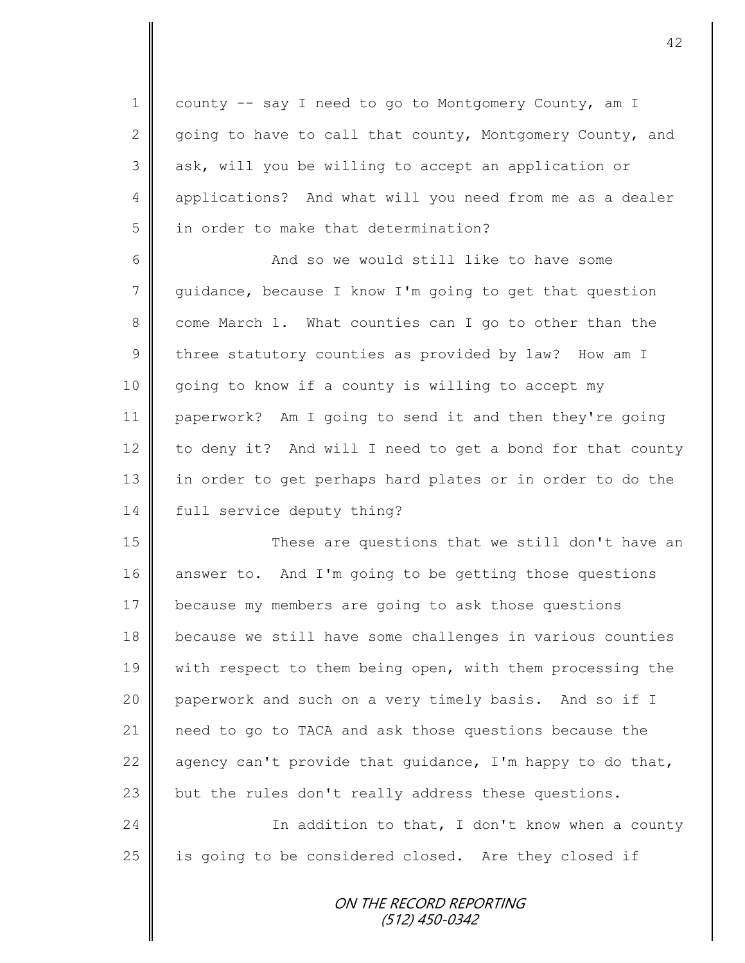1 county -- say I need to go to Montgomery County, am I 2 going to have to call that county, Montgomery County, and 3 ask, will you be willing to accept an application or 4 applications? And what will you need from me as a dealer 5 | in order to make that determination?

6 And so we would still like to have some 7 guidance, because I know I'm going to get that question 8 come March 1. What counties can I go to other than the  $9 \parallel$  three statutory counties as provided by law? How am I 10 going to know if a county is willing to accept my 11 paperwork? Am I going to send it and then they're going 12 to deny it? And will I need to get a bond for that county 13 || in order to get perhaps hard plates or in order to do the 14 full service deputy thing?

15 These are questions that we still don't have an 16 answer to. And I'm going to be getting those questions 17 because my members are going to ask those questions 18 because we still have some challenges in various counties 19 | with respect to them being open, with them processing the 20 paperwork and such on a very timely basis. And so if I 21 need to go to TACA and ask those questions because the 22  $\parallel$  agency can't provide that guidance, I'm happy to do that, 23 but the rules don't really address these questions.

24 | Charl Thaddition to that, I don't know when a county 25 | is going to be considered closed. Are they closed if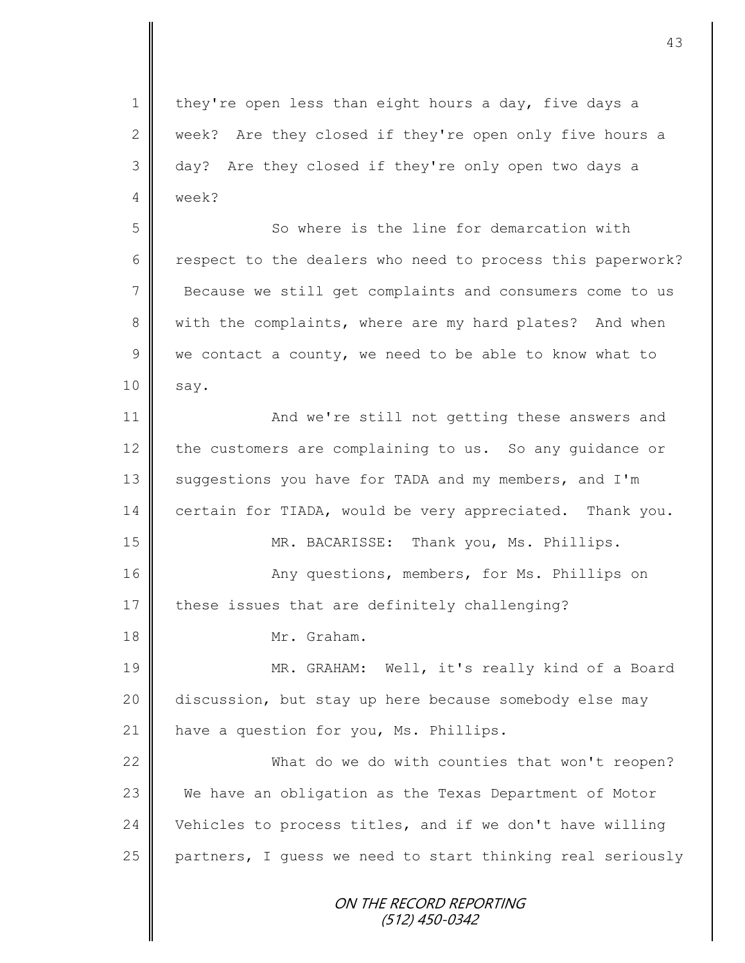1 | they're open less than eight hours a day, five days a 2 week? Are they closed if they're open only five hours a 3 day? Are they closed if they're only open two days a 4 week?

5 So where is the line for demarcation with 6 cespect to the dealers who need to process this paperwork? 7 Because we still get complaints and consumers come to us 8 with the complaints, where are my hard plates? And when 9 we contact a county, we need to be able to know what to  $10 \parallel$  say.

11 **And we're still not getting these answers and** 12 the customers are complaining to us. So any quidance or 13 Suggestions you have for TADA and my members, and I'm 14 certain for TIADA, would be very appreciated. Thank you. 15 MR. BACARISSE: Thank you, Ms. Phillips. 16 Any questions, members, for Ms. Phillips on 17  $\parallel$  these issues that are definitely challenging?

18 Mr. Graham.

19 || MR. GRAHAM: Well, it's really kind of a Board 20 discussion, but stay up here because somebody else may 21 | have a question for you, Ms. Phillips.

22 What do we do with counties that won't reopen? We have an obligation as the Texas Department of Motor  $\parallel$  Vehicles to process titles, and if we don't have willing partners, I guess we need to start thinking real seriously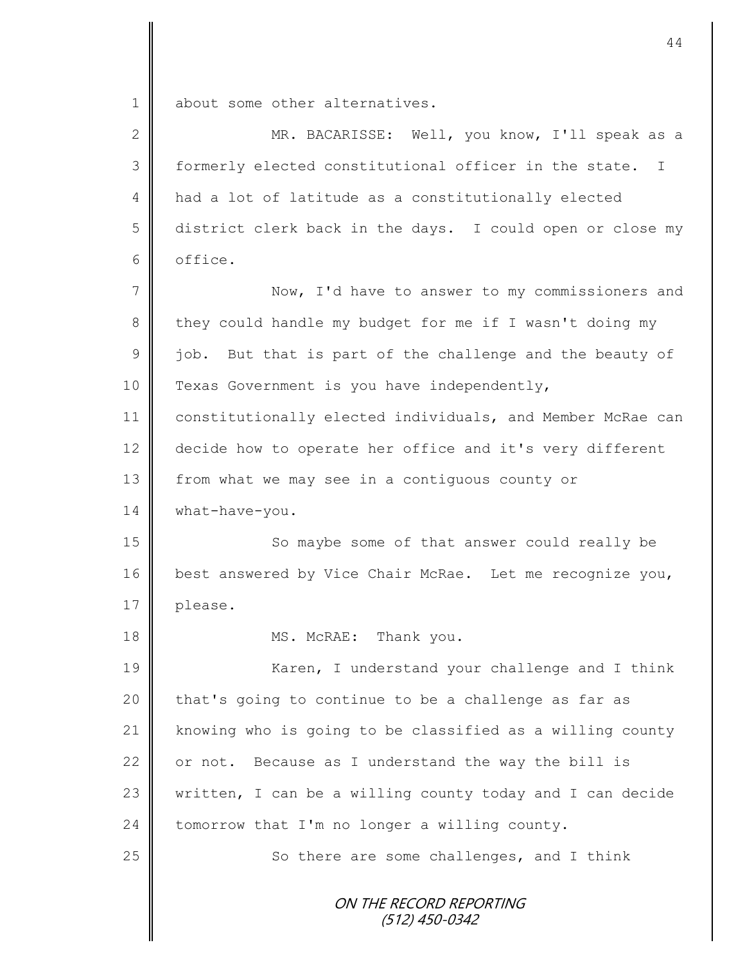1 about some other alternatives.

II

| $\mathbf{2}$  | MR. BACARISSE: Well, you know, I'll speak as a             |
|---------------|------------------------------------------------------------|
| 3             | formerly elected constitutional officer in the state. I    |
| 4             | had a lot of latitude as a constitutionally elected        |
| 5             | district clerk back in the days. I could open or close my  |
| 6             | office.                                                    |
| 7             | Now, I'd have to answer to my commissioners and            |
| 8             | they could handle my budget for me if I wasn't doing my    |
| $\mathcal{G}$ | job. But that is part of the challenge and the beauty of   |
| 10            | Texas Government is you have independently,                |
| 11            | constitutionally elected individuals, and Member McRae can |
| 12            | decide how to operate her office and it's very different   |
| 13            | from what we may see in a contiguous county or             |
| 14            | what-have-you.                                             |
| 15            | So maybe some of that answer could really be               |
| 16            | best answered by Vice Chair McRae. Let me recognize you,   |
| 17            | please.                                                    |
| 18            | MS. McRAE: Thank you.                                      |
| 19            | Karen, I understand your challenge and I think             |
| 20            | that's going to continue to be a challenge as far as       |
| 21            | knowing who is going to be classified as a willing county  |
| 22            | or not. Because as I understand the way the bill is        |
| 23            | written, I can be a willing county today and I can decide  |
| 24            | tomorrow that I'm no longer a willing county.              |
| 25            | So there are some challenges, and I think                  |
|               | ON THE RECORD REPORTING<br>(512) 450-0342                  |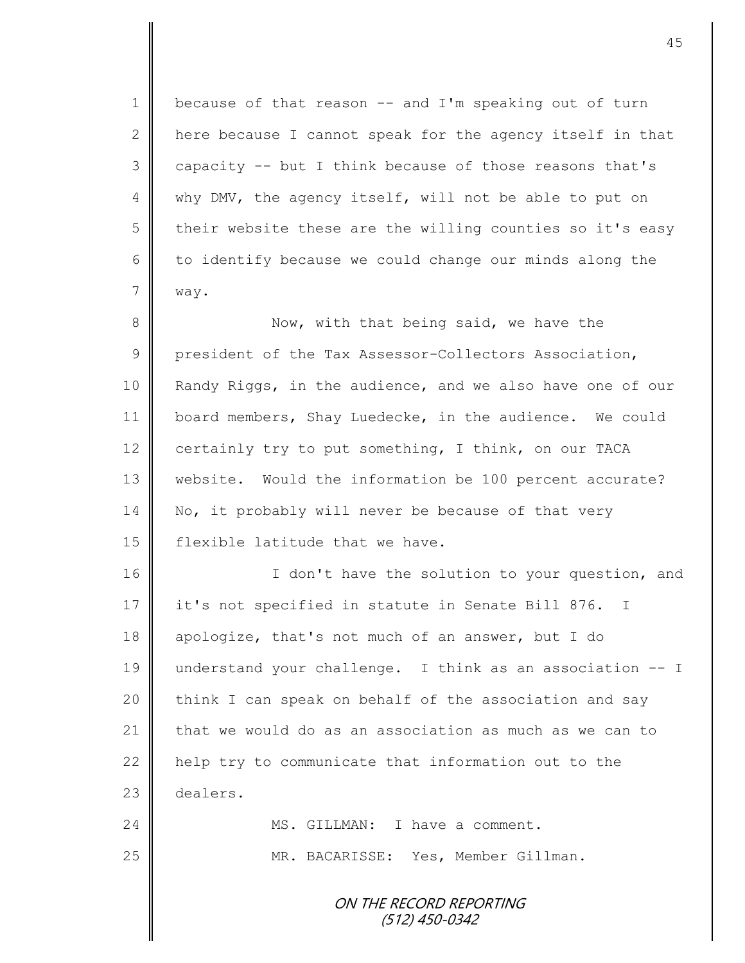$1 \parallel$  because of that reason -- and I'm speaking out of turn 2 here because I cannot speak for the agency itself in that  $3 \parallel$  capacity -- but I think because of those reasons that's 4 why DMV, the agency itself, will not be able to put on 5 their website these are the willing counties so it's easy  $6 \parallel$  to identify because we could change our minds along the 7 way.

8 Now, with that being said, we have the 9 president of the Tax Assessor-Collectors Association, 10 | Randy Riggs, in the audience, and we also have one of our 11 | board members, Shay Luedecke, in the audience. We could 12 certainly try to put something, I think, on our TACA 13 website. Would the information be 100 percent accurate? 14 No, it probably will never be because of that very 15 **flexible latitude that we have.** 

16 | T don't have the solution to your question, and 17 it's not specified in statute in Senate Bill 876. I 18 apologize, that's not much of an answer, but I do 19 understand your challenge. I think as an association -- I 20  $\parallel$  think I can speak on behalf of the association and say 21  $\parallel$  that we would do as an association as much as we can to 22 help try to communicate that information out to the 23 dealers. 24 WS. GILLMAN: I have a comment. 25 MR. BACARISSE: Yes, Member Gillman.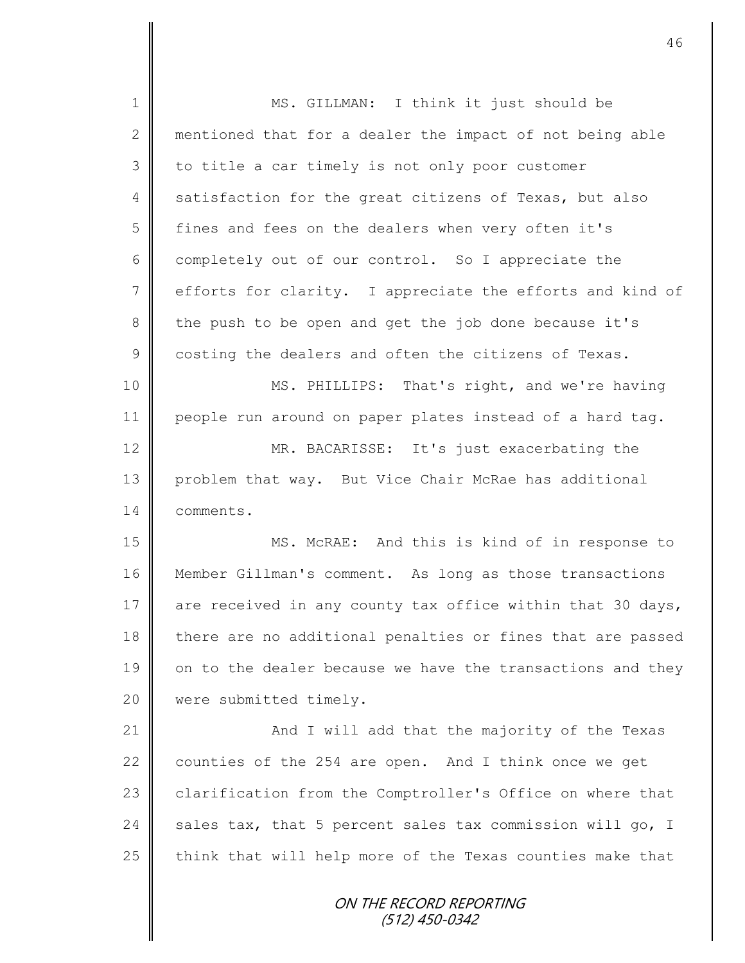1 || MS. GILLMAN: I think it just should be 2 mentioned that for a dealer the impact of not being able  $3 \parallel$  to title a car timely is not only poor customer 4 satisfaction for the great citizens of Texas, but also 5 fines and fees on the dealers when very often it's 6 completely out of our control. So I appreciate the 7 efforts for clarity. I appreciate the efforts and kind of 8 the push to be open and get the job done because it's 9 costing the dealers and often the citizens of Texas. 10 || MS. PHILLIPS: That's right, and we're having 11 people run around on paper plates instead of a hard tag. 12 MR. BACARISSE: It's just exacerbating the 13 | problem that way. But Vice Chair McRae has additional 14 comments. 15 MS. McRAE: And this is kind of in response to 16 Member Gillman's comment. As long as those transactions 17 are received in any county tax office within that 30 days, 18 there are no additional penalties or fines that are passed 19 on to the dealer because we have the transactions and they 20 | were submitted timely. 21 || And I will add that the majority of the Texas 22 counties of the 254 are open. And I think once we get 23 clarification from the Comptroller's Office on where that 24  $\parallel$  sales tax, that 5 percent sales tax commission will go, I  $25$  think that will help more of the Texas counties make that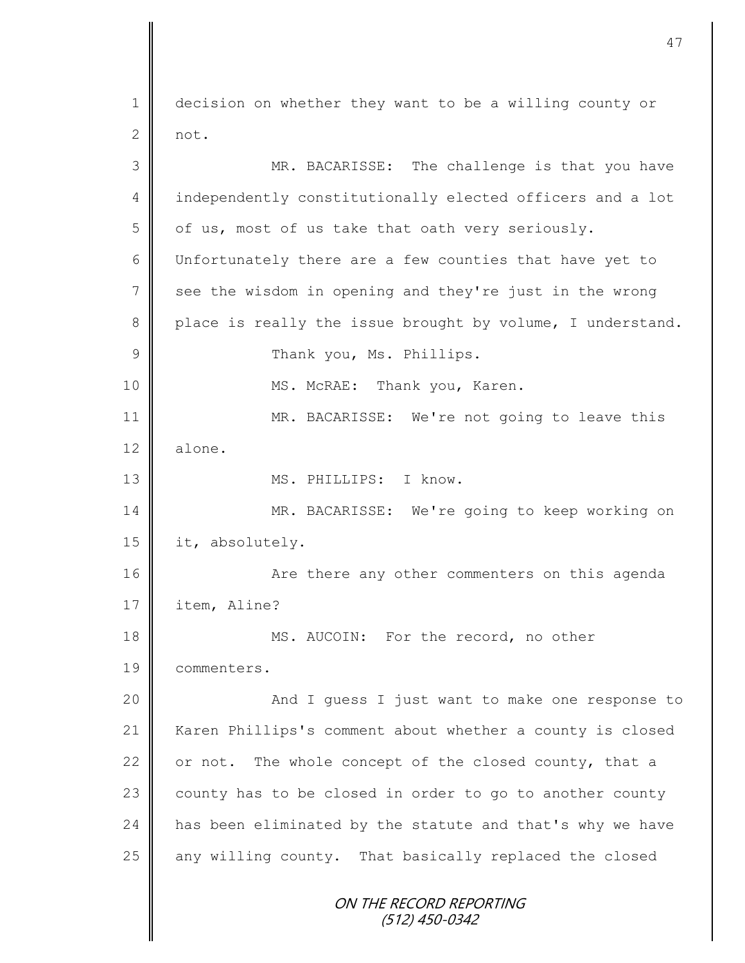ON THE RECORD REPORTING (512) 450-0342 1 decision on whether they want to be a willing county or  $2 \parallel$  not. 3 MR. BACARISSE: The challenge is that you have 4 independently constitutionally elected officers and a lot  $5 \parallel$  of us, most of us take that oath very seriously. 6 Unfortunately there are a few counties that have yet to 7 see the wisdom in opening and they're just in the wrong 8 place is really the issue brought by volume, I understand. 9 | Thank you, Ms. Phillips. 10 || MS. McRAE: Thank you, Karen. 11 || MR. BACARISSE: We're not going to leave this 12 alone. 13 MS. PHILLIPS: I know. 14 MR. BACARISSE: We're going to keep working on 15 it, absolutely. 16 | The State of the results are there any other commenters on this agenda 17 item, Aline? 18 MS. AUCOIN: For the record, no other 19 commenters. 20 || And I guess I just want to make one response to 21 | Karen Phillips's comment about whether a county is closed 22  $\parallel$  or not. The whole concept of the closed county, that a  $23$  county has to be closed in order to go to another county 24 has been eliminated by the statute and that's why we have 25 | any willing county. That basically replaced the closed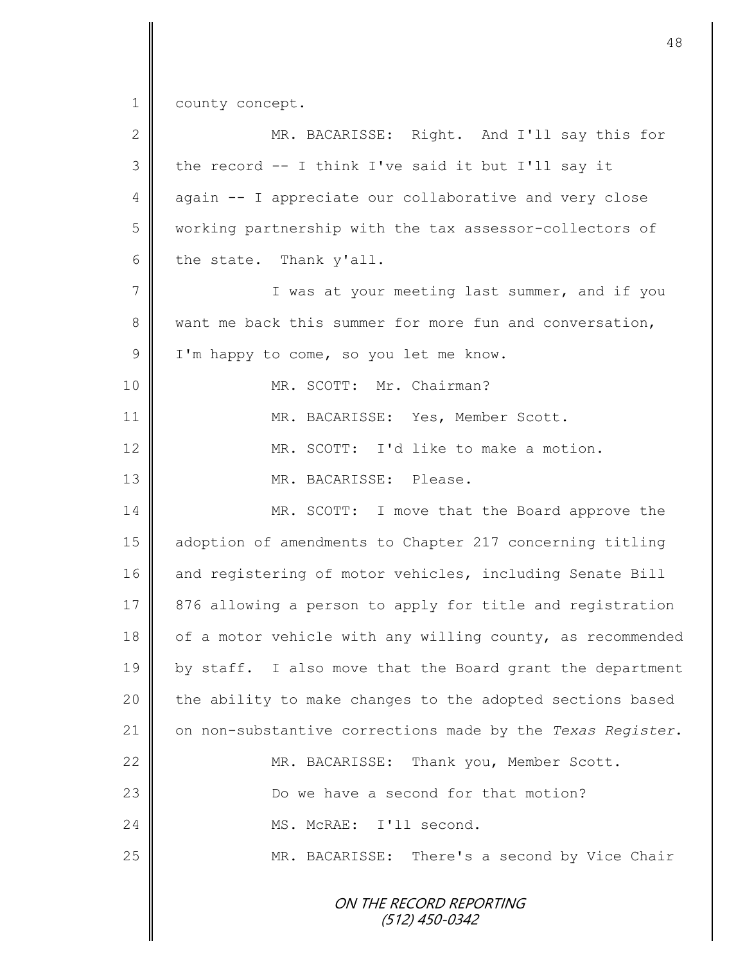1 county concept.

| 2           | MR. BACARISSE: Right. And I'll say this for                |
|-------------|------------------------------------------------------------|
| 3           | the record -- I think I've said it but I'll say it         |
| 4           | again -- I appreciate our collaborative and very close     |
| 5           | working partnership with the tax assessor-collectors of    |
| 6           | the state. Thank y'all.                                    |
| 7           | I was at your meeting last summer, and if you              |
| $8\,$       | want me back this summer for more fun and conversation,    |
| $\mathsf 9$ | I'm happy to come, so you let me know.                     |
| 10          | MR. SCOTT: Mr. Chairman?                                   |
| 11          | MR. BACARISSE: Yes, Member Scott.                          |
| 12          | MR. SCOTT: I'd like to make a motion.                      |
| 13          | MR. BACARISSE: Please.                                     |
| 14          | MR. SCOTT: I move that the Board approve the               |
| 15          | adoption of amendments to Chapter 217 concerning titling   |
| 16          | and registering of motor vehicles, including Senate Bill   |
| 17          | 876 allowing a person to apply for title and registration  |
| 18          | of a motor vehicle with any willing county, as recommended |
| 19          | by staff. I also move that the Board grant the department  |
| 20          | the ability to make changes to the adopted sections based  |
| 21          | on non-substantive corrections made by the Texas Register. |
| 22          | MR. BACARISSE: Thank you, Member Scott.                    |
| 23          | Do we have a second for that motion?                       |
| 24          | MS. McRAE: I'll second.                                    |
| 25          | MR. BACARISSE: There's a second by Vice Chair              |
|             | ON THE RECORD REPORTING<br>$(512)$ 450-0342                |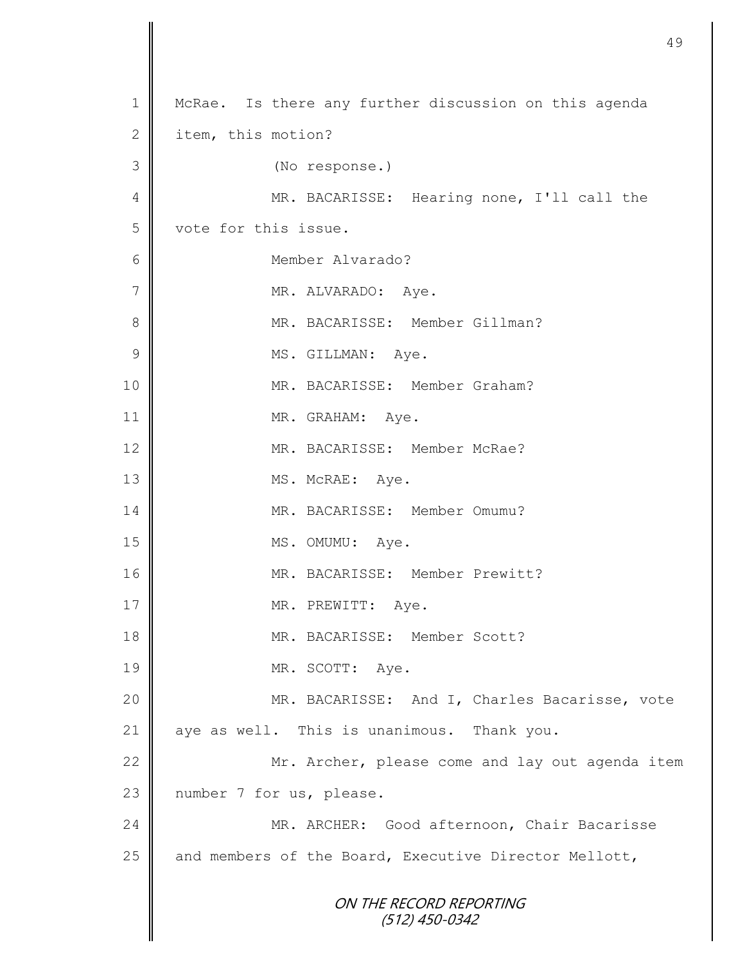```
ON THE RECORD REPORTING
                       (512) 450-0342
1 | McRae. Is there any further discussion on this agenda
2 item, this motion?
3 (No response.)
4 || MR. BACARISSE: Hearing none, I'll call the
5 vote for this issue.
6 Member Alvarado?
7 | MR. ALVARADO: Aye.
8 || MR. BACARISSE: Member Gillman?
9 | MS. GILLMAN: Aye.
10 || MR. BACARISSE: Member Graham?
11 || MR. GRAHAM: Aye.
12 MR. BACARISSE: Member McRae?
13 || MS. McRAE: Aye.
14 MR. BACARISSE: Member Omumu?
15 MS. OMUMU: Aye.
16 || MR. BACARISSE: Member Prewitt?
17 || MR. PREWITT: Aye.
18 MR. BACARISSE: Member Scott?
19 MR. SCOTT: Aye.
20 | MR. BACARISSE: And I, Charles Bacarisse, vote
21 \parallel aye as well. This is unanimous. Thank you.
22 Mr. Archer, please come and lay out agenda item
23 | number 7 for us, please.
24 MR. ARCHER: Good afternoon, Chair Bacarisse
25 \parallel and members of the Board, Executive Director Mellott,
```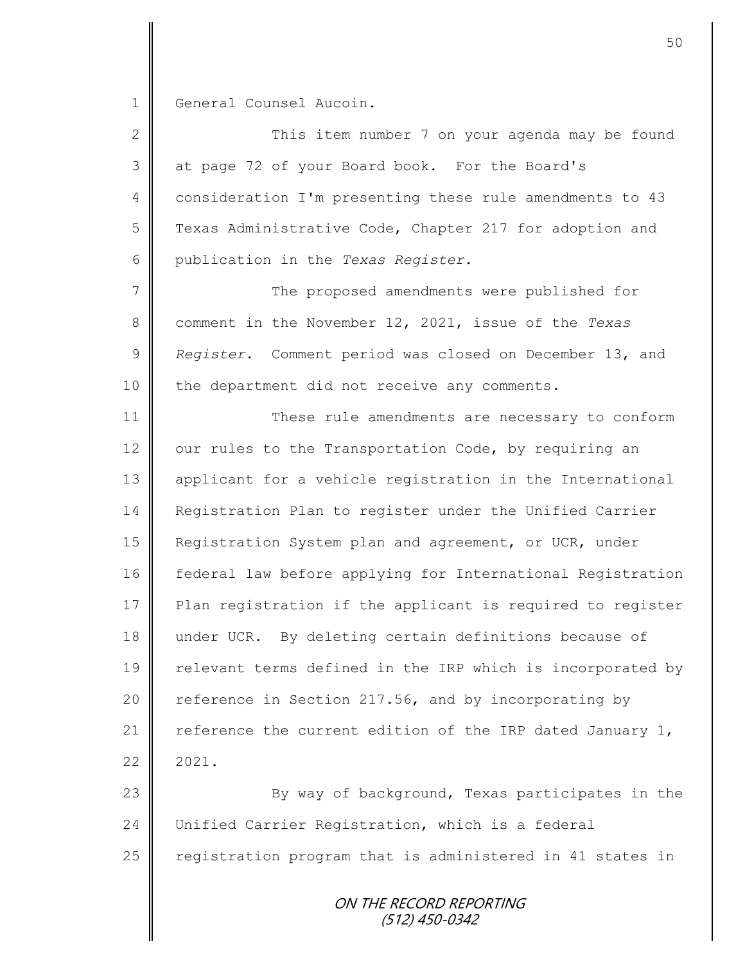1 General Counsel Aucoin.

2 ||<br>
2 || This item number 7 on your agenda may be found 3 at page 72 of your Board book. For the Board's 4 consideration I'm presenting these rule amendments to 43 5 Texas Administrative Code, Chapter 217 for adoption and 6 publication in the *Texas Register*.

7 || The proposed amendments were published for 8 comment in the November 12, 2021, issue of the *Texas*  9 *Register*. Comment period was closed on December 13, and 10 | the department did not receive any comments.

11 These rule amendments are necessary to conform 12  $\parallel$  our rules to the Transportation Code, by requiring an 13 applicant for a vehicle registration in the International 14 Registration Plan to register under the Unified Carrier 15 **Registration System plan and agreement, or UCR, under** 16 | federal law before applying for International Registration 17 Plan registration if the applicant is required to register 18 under UCR. By deleting certain definitions because of 19 | relevant terms defined in the IRP which is incorporated by 20 | reference in Section 217.56, and by incorporating by 21  $\parallel$  reference the current edition of the IRP dated January 1,  $22 \parallel 2021$ .

23 By way of background, Texas participates in the 24 Unified Carrier Registration, which is a federal 25  $\parallel$  registration program that is administered in 41 states in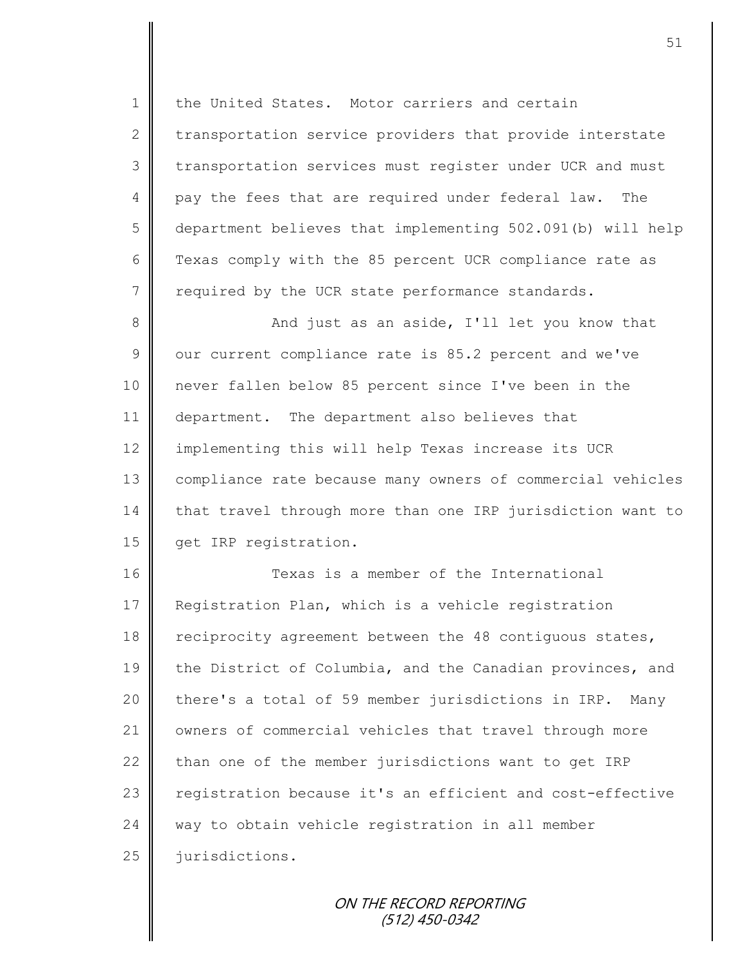1 the United States. Motor carriers and certain 2 transportation service providers that provide interstate 3 transportation services must register under UCR and must 4 pay the fees that are required under federal law. The 5 department believes that implementing 502.091(b) will help 6 Texas comply with the 85 percent UCR compliance rate as  $7 \parallel$  required by the UCR state performance standards.

8 || And just as an aside, I'll let you know that  $9 \parallel$  our current compliance rate is 85.2 percent and we've 10 never fallen below 85 percent since I've been in the 11 department. The department also believes that 12 | implementing this will help Texas increase its UCR 13 | compliance rate because many owners of commercial vehicles 14 that travel through more than one IRP jurisdiction want to 15 | get IRP registration.

16 **Texas is a member of the International** 17 Reqistration Plan, which is a vehicle registration 18 | reciprocity agreement between the 48 contiguous states, 19 the District of Columbia, and the Canadian provinces, and  $20$  | there's a total of 59 member jurisdictions in IRP. Many 21 | owners of commercial vehicles that travel through more 22  $\parallel$  than one of the member jurisdictions want to get IRP 23 | registration because it's an efficient and cost-effective  $24$  way to obtain vehicle registration in all member 25 iurisdictions.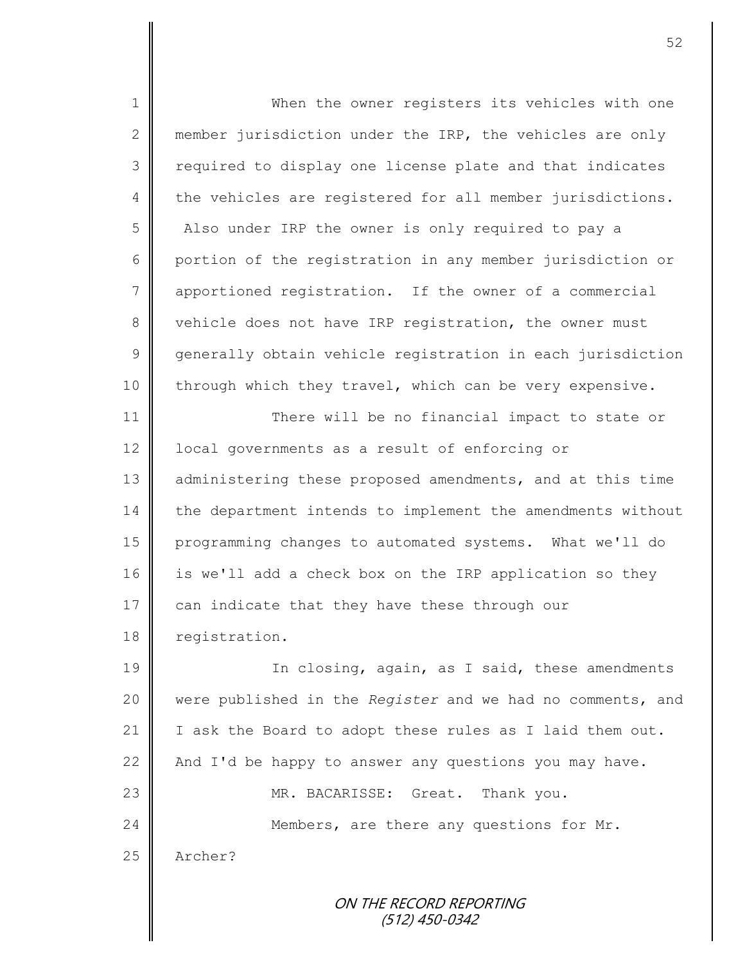ON THE RECORD REPORTING 1 When the owner registers its vehicles with one 2 member jurisdiction under the IRP, the vehicles are only 3 || required to display one license plate and that indicates  $4 \parallel$  the vehicles are registered for all member jurisdictions. 5 Also under IRP the owner is only required to pay a 6 portion of the registration in any member jurisdiction or 7 | apportioned registration. If the owner of a commercial 8 vehicle does not have IRP registration, the owner must 9 generally obtain vehicle registration in each jurisdiction 10 | through which they travel, which can be very expensive. 11 There will be no financial impact to state or 12 | local governments as a result of enforcing or 13 administering these proposed amendments, and at this time 14 the department intends to implement the amendments without 15 programming changes to automated systems. What we'll do 16 is we'll add a check box on the IRP application so they 17  $\parallel$  can indicate that they have these through our 18 registration. 19 || In closing, again, as I said, these amendments 20 were published in the *Register* and we had no comments, and 21 | I ask the Board to adopt these rules as I laid them out. 22  $\parallel$  And I'd be happy to answer any questions you may have. 23 MR. BACARISSE: Great. Thank you. 24 Members, are there any questions for Mr. 25 Archer?

(512) 450-0342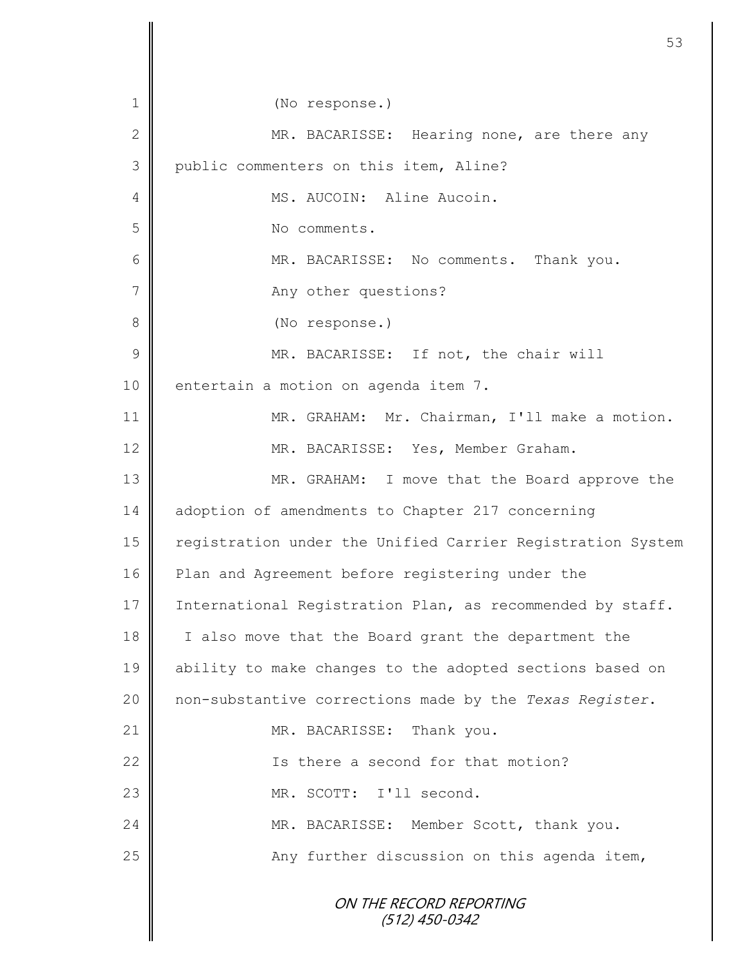| $\mathbf 1$   | (No response.)                                             |
|---------------|------------------------------------------------------------|
| $\mathbf{2}$  | MR. BACARISSE: Hearing none, are there any                 |
| 3             | public commenters on this item, Aline?                     |
| 4             | MS. AUCOIN: Aline Aucoin.                                  |
| 5             | No comments.                                               |
| 6             | MR. BACARISSE: No comments. Thank you.                     |
| 7             | Any other questions?                                       |
| $\,8\,$       | (No response.)                                             |
| $\mathcal{G}$ | MR. BACARISSE: If not, the chair will                      |
| 10            | entertain a motion on agenda item 7.                       |
| 11            | MR. GRAHAM: Mr. Chairman, I'll make a motion.              |
| 12            | MR. BACARISSE: Yes, Member Graham.                         |
| 13            | MR. GRAHAM: I move that the Board approve the              |
| 14            | adoption of amendments to Chapter 217 concerning           |
| 15            | registration under the Unified Carrier Registration System |
| 16            | Plan and Agreement before registering under the            |
| 17            | International Registration Plan, as recommended by staff.  |
| 18            | I also move that the Board grant the department the        |
| 19            | ability to make changes to the adopted sections based on   |
| 20            | non-substantive corrections made by the Texas Register.    |
| 21            | MR. BACARISSE: Thank you.                                  |
| 22            | Is there a second for that motion?                         |
| 23            | MR. SCOTT: I'll second.                                    |
| 24            | MR. BACARISSE: Member Scott, thank you.                    |
| 25            | Any further discussion on this agenda item,                |
|               | ON THE RECORD REPORTING<br>$(512)$ 450-0342                |

 $\overline{\mathsf{I}}$ II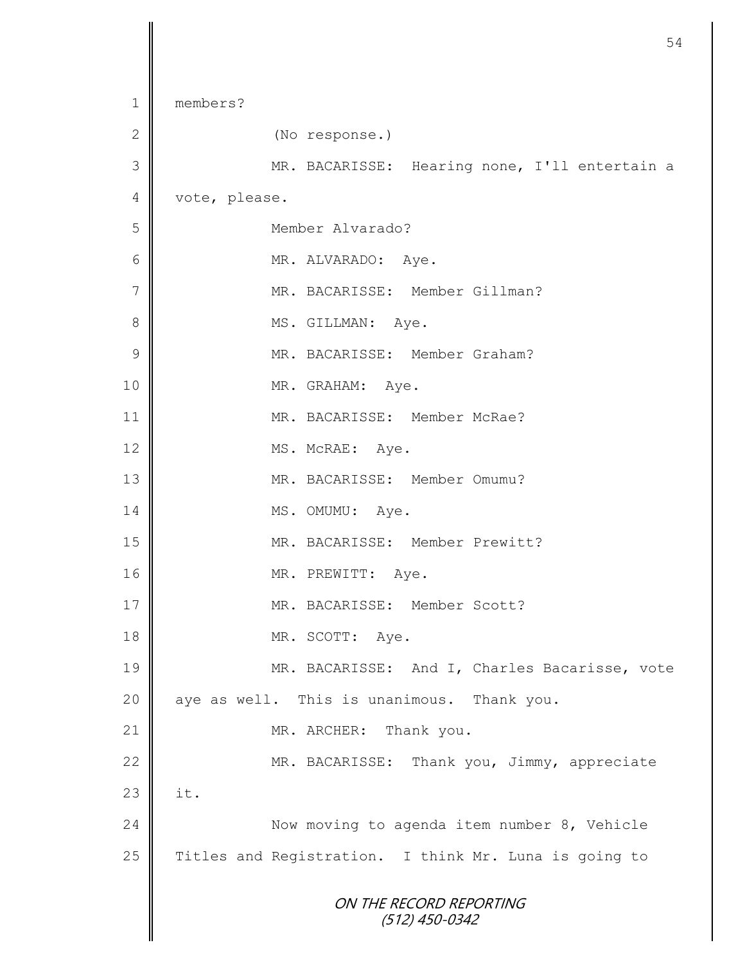```
ON THE RECORD REPORTING
                      (512) 450-0342
1 members?
2 (No response.)
3 || MR. BACARISSE: Hearing none, I'll entertain a
4 vote, please.
5 Member Alvarado?
6 MR. ALVARADO: Aye.
7 || MR. BACARISSE: Member Gillman?
8 || MS. GILLMAN: Aye.
9 MR. BACARISSE: Member Graham?
10 MR. GRAHAM: Aye.
11 MR. BACARISSE: Member McRae?
12 MS. McRAE: Aye.
13 MR. BACARISSE: Member Omumu?
14 MS. OMUMU: Aye.
15 | MR. BACARISSE: Member Prewitt?
16 MR. PREWITT: Aye.
17 \parallel MR. BACARISSE: Member Scott?
18 MR. SCOTT: Aye.
19 MR. BACARISSE: And I, Charles Bacarisse, vote
20 aye as well. This is unanimous. Thank you.
21 || MR. ARCHER: Thank you.
22 | MR. BACARISSE: Thank you, Jimmy, appreciate
23 \parallel it.
24 Now moving to agenda item number 8, Vehicle
25 Titles and Registration. I think Mr. Luna is going to
```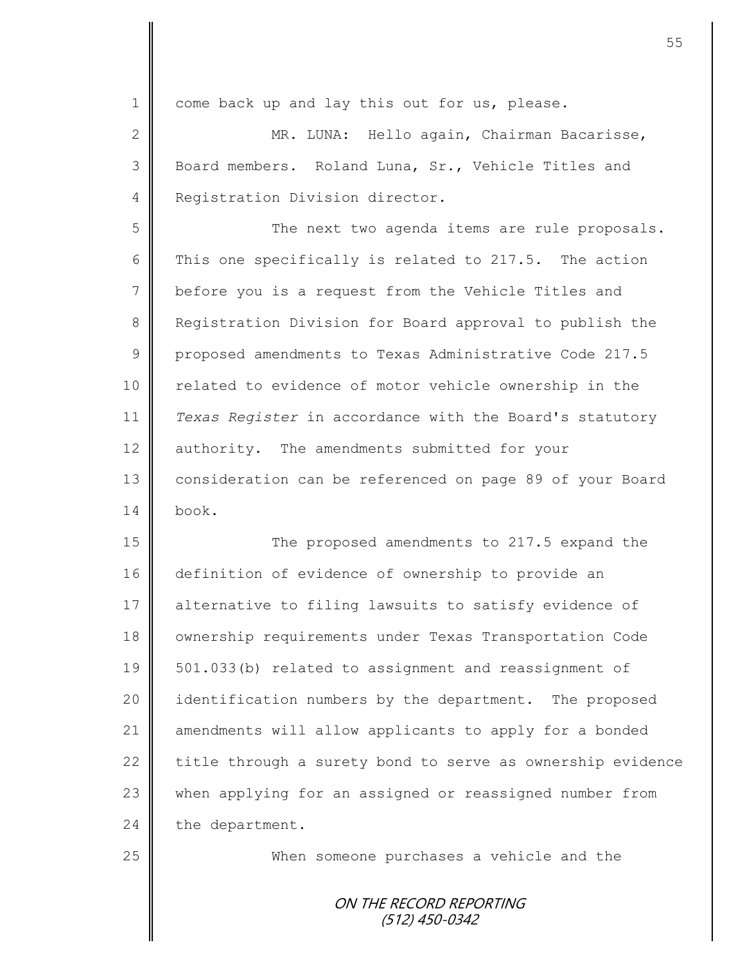1 come back up and lay this out for us, please. 2 || MR. LUNA: Hello again, Chairman Bacarisse, 3 Board members. Roland Luna, Sr., Vehicle Titles and 4 Registration Division director. 5 || The next two agenda items are rule proposals. 6 This one specifically is related to 217.5. The action 7 | before you is a request from the Vehicle Titles and 8 Registration Division for Board approval to publish the 9 proposed amendments to Texas Administrative Code 217.5 10 || related to evidence of motor vehicle ownership in the 11 *Texas Register* in accordance with the Board's statutory 12 | authority. The amendments submitted for your 13 | consideration can be referenced on page 89 of your Board  $14 \parallel$  book.

15 The proposed amendments to 217.5 expand the 16 definition of evidence of ownership to provide an 17 || alternative to filing lawsuits to satisfy evidence of 18 | ownership requirements under Texas Transportation Code 19 | 501.033(b) related to assignment and reassignment of 20 | identification numbers by the department. The proposed 21 | amendments will allow applicants to apply for a bonded 22  $\parallel$  title through a surety bond to serve as ownership evidence 23 when applying for an assigned or reassigned number from  $24$  the department.

25 | When someone purchases a vehicle and the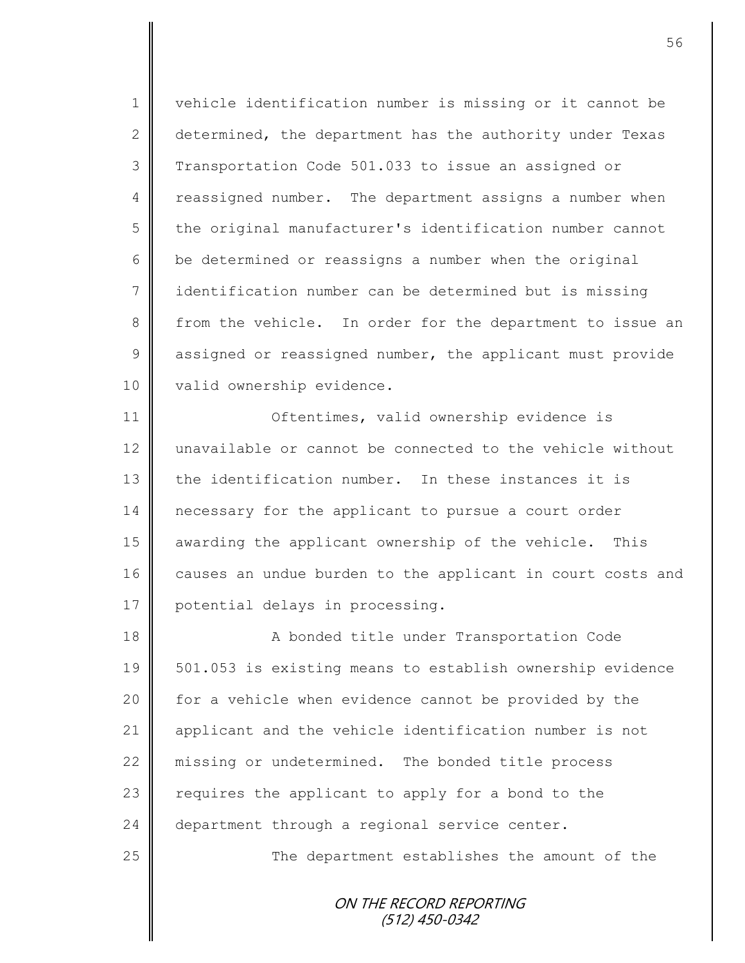1 | vehicle identification number is missing or it cannot be 2 determined, the department has the authority under Texas 3 Transportation Code 501.033 to issue an assigned or 4 reassigned number. The department assigns a number when 5 the original manufacturer's identification number cannot 6  $\parallel$  be determined or reassigns a number when the original 7 identification number can be determined but is missing 8 from the vehicle. In order for the department to issue an 9 assigned or reassigned number, the applicant must provide 10 valid ownership evidence.

11 | Oftentimes, valid ownership evidence is 12 unavailable or cannot be connected to the vehicle without 13 the identification number. In these instances it is 14 necessary for the applicant to pursue a court order 15 awarding the applicant ownership of the vehicle. This 16 causes an undue burden to the applicant in court costs and 17 | potential delays in processing.

18 | A bonded title under Transportation Code 19 501.053 is existing means to establish ownership evidence 20 | for a vehicle when evidence cannot be provided by the 21 | applicant and the vehicle identification number is not 22 missing or undetermined. The bonded title process 23  $\parallel$  requires the applicant to apply for a bond to the 24 department through a regional service center.

25 | The department establishes the amount of the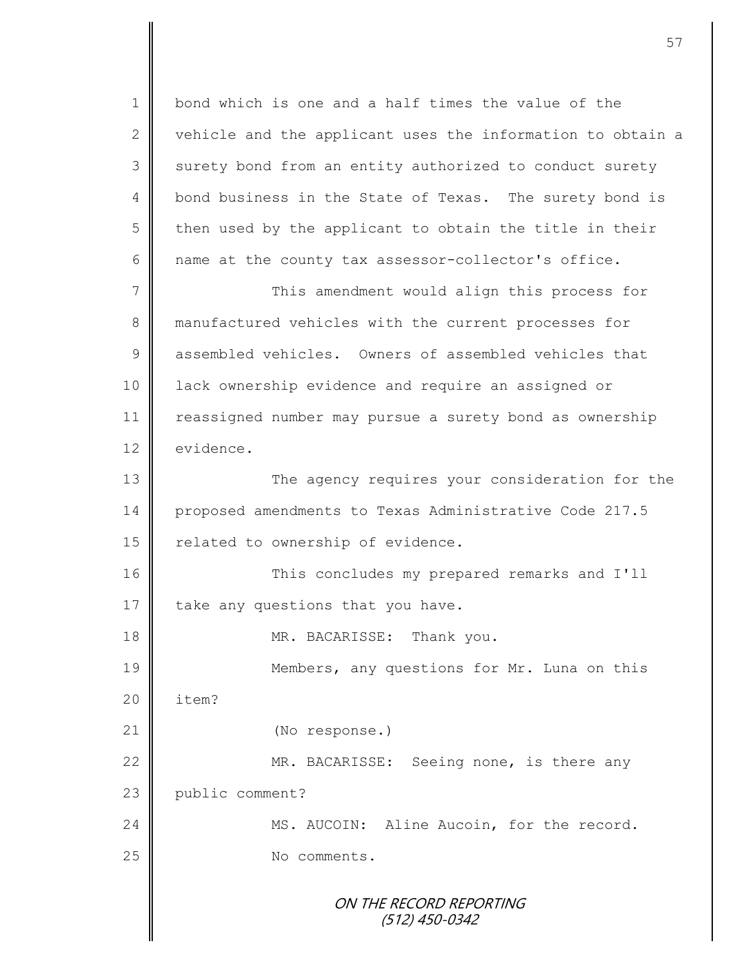1 bond which is one and a half times the value of the 2  $\parallel$  vehicle and the applicant uses the information to obtain a 3 surety bond from an entity authorized to conduct surety 4 bond business in the State of Texas. The surety bond is  $5 \parallel$  then used by the applicant to obtain the title in their  $6 \parallel$  name at the county tax assessor-collector's office. 7 || This amendment would align this process for 8 manufactured vehicles with the current processes for 9 assembled vehicles. Owners of assembled vehicles that

11 | reassigned number may pursue a surety bond as ownership 12 evidence.

10 | lack ownership evidence and require an assigned or

13 The agency requires your consideration for the 14 proposed amendments to Texas Administrative Code 217.5 15 | related to ownership of evidence.

16 This concludes my prepared remarks and I'll 17 take any questions that you have.

18 **MR. BACARISSE:** Thank you.

19 Members, any questions for Mr. Luna on this  $20$  | item? 21 (No response.) 22 | MR. BACARISSE: Seeing none, is there any

23 public comment?

24 MS. AUCOIN: Aline Aucoin, for the record. 25 No comments.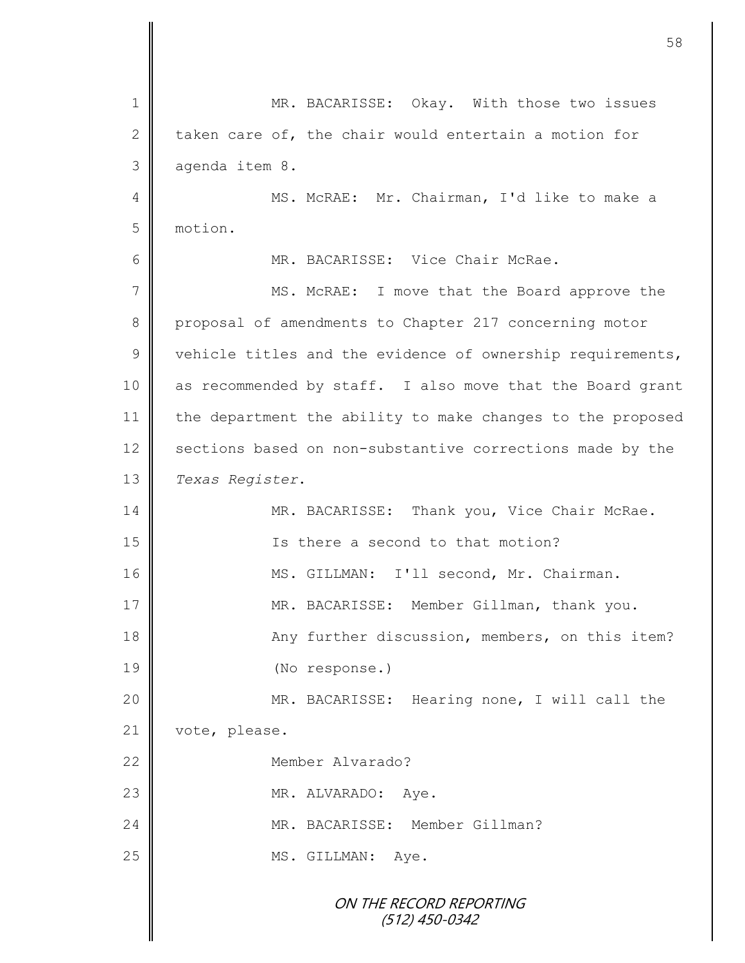|    | 58                                                         |
|----|------------------------------------------------------------|
|    |                                                            |
| 1  | MR. BACARISSE: Okay. With those two issues                 |
| 2  | taken care of, the chair would entertain a motion for      |
| 3  | agenda item 8.                                             |
| 4  | MS. McRAE: Mr. Chairman, I'd like to make a                |
| 5  | motion.                                                    |
| 6  | MR. BACARISSE: Vice Chair McRae.                           |
| 7  | MS. McRAE: I move that the Board approve the               |
| 8  | proposal of amendments to Chapter 217 concerning motor     |
| 9  | vehicle titles and the evidence of ownership requirements, |
| 10 | as recommended by staff. I also move that the Board grant  |
| 11 | the department the ability to make changes to the proposed |
| 12 | sections based on non-substantive corrections made by the  |
| 13 | Texas Register.                                            |
| 14 | MR. BACARISSE: Thank you, Vice Chair McRae.                |
| 15 | Is there a second to that motion?                          |
| 16 | MS. GILLMAN: I'll second, Mr. Chairman.                    |
| 17 | MR. BACARISSE: Member Gillman, thank you.                  |
| 18 | Any further discussion, members, on this item?             |
| 19 | (No response.)                                             |
| 20 | MR. BACARISSE: Hearing none, I will call the               |
| 21 | vote, please.                                              |
| 22 | Member Alvarado?                                           |
| 23 | MR. ALVARADO:<br>Aye.                                      |
| 24 | MR. BACARISSE: Member Gillman?                             |
| 25 | MS. GILLMAN:<br>Aye.                                       |
|    | ON THE RECORD REPORTING                                    |
|    | $(512)$ 450-0342                                           |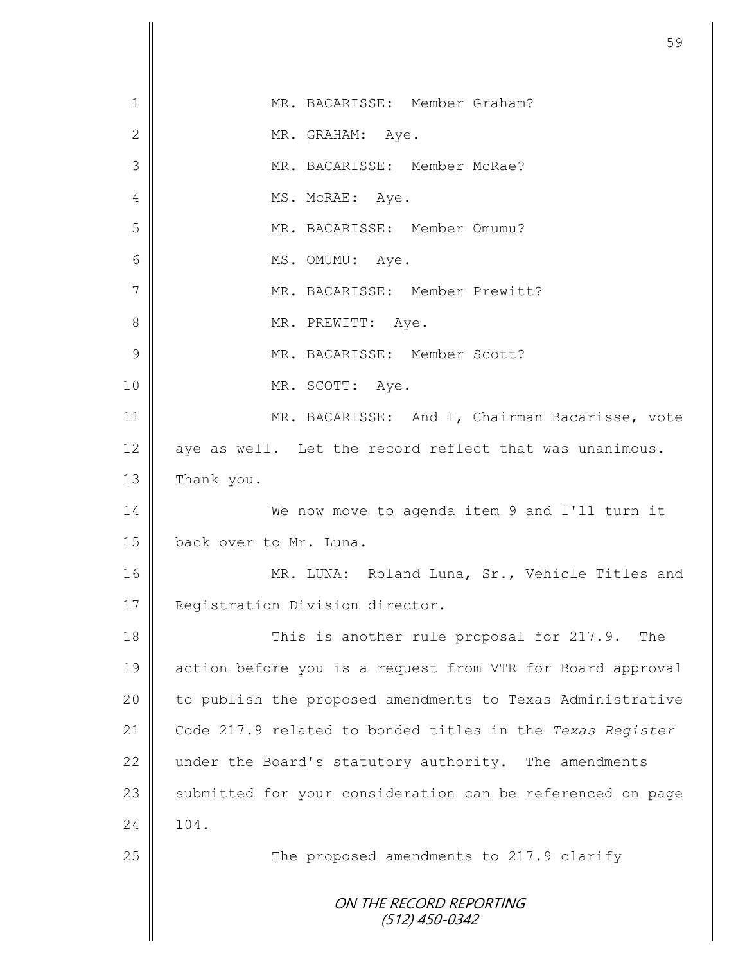|               | 59                                                         |
|---------------|------------------------------------------------------------|
|               |                                                            |
| 1             | MR. BACARISSE: Member Graham?                              |
| $\mathbf{2}$  | MR. GRAHAM: Aye.                                           |
| 3             | MR. BACARISSE: Member McRae?                               |
| 4             | MS. McRAE: Aye.                                            |
| 5             | MR. BACARISSE: Member Omumu?                               |
| 6             | MS. OMUMU: Aye.                                            |
| 7             | MR. BACARISSE: Member Prewitt?                             |
| 8             | MR. PREWITT: Aye.                                          |
| $\mathcal{G}$ | MR. BACARISSE: Member Scott?                               |
| 10            | MR. SCOTT: Aye.                                            |
| 11            | MR. BACARISSE: And I, Chairman Bacarisse, vote             |
| 12            | aye as well. Let the record reflect that was unanimous.    |
| 13            | Thank you.                                                 |
| 14            | We now move to agenda item 9 and I'll turn it              |
| 15            | back over to Mr. Luna.                                     |
| 16            | MR. LUNA: Roland Luna, Sr., Vehicle Titles and             |
| 17            | Registration Division director.                            |
| 18            | This is another rule proposal for 217.9.<br>The            |
| 19            | action before you is a request from VTR for Board approval |
| 20            | to publish the proposed amendments to Texas Administrative |
| 21            | Code 217.9 related to bonded titles in the Texas Register  |
| 22            | under the Board's statutory authority. The amendments      |
| 23            | submitted for your consideration can be referenced on page |
| 24            | 104.                                                       |
| 25            | The proposed amendments to 217.9 clarify                   |
|               | ON THE RECORD REPORTING<br>(512) 450-0342                  |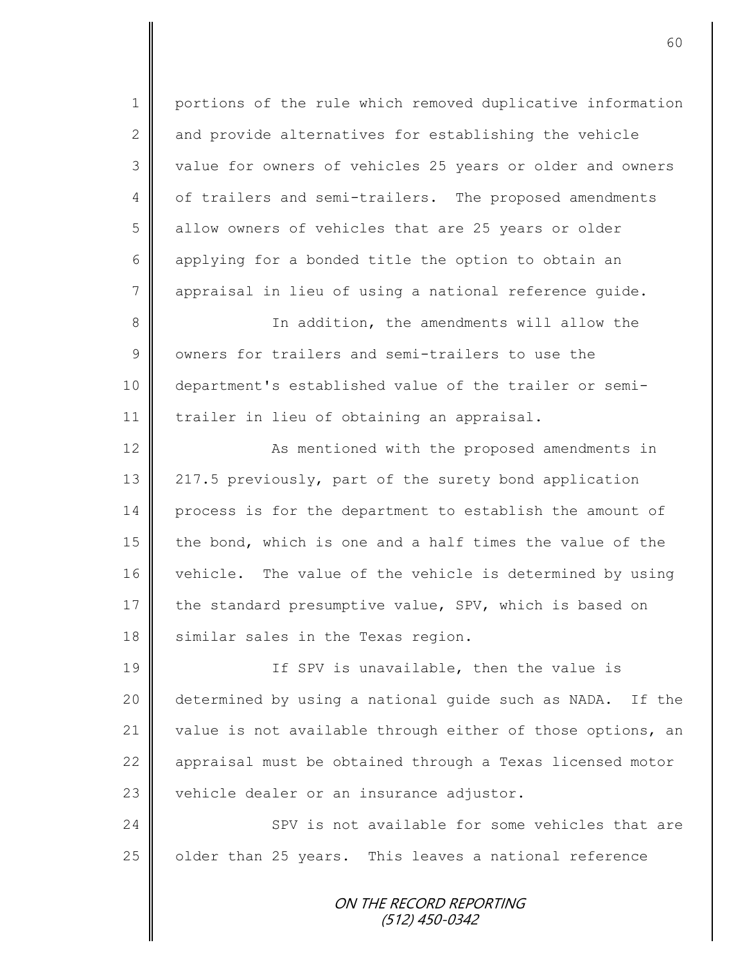1 | portions of the rule which removed duplicative information  $2 \parallel$  and provide alternatives for establishing the vehicle 3 || value for owners of vehicles 25 years or older and owners 4 | of trailers and semi-trailers. The proposed amendments 5 | allow owners of vehicles that are 25 years or older 6 applying for a bonded title the option to obtain an 7 appraisal in lieu of using a national reference guide. 8 || In addition, the amendments will allow the 9 | owners for trailers and semi-trailers to use the 10 department's established value of the trailer or semi-

11 | trailer in lieu of obtaining an appraisal.

12 | As mentioned with the proposed amendments in 13 | 217.5 previously, part of the surety bond application 14 process is for the department to establish the amount of 15  $\parallel$  the bond, which is one and a half times the value of the 16 vehicle. The value of the vehicle is determined by using 17 the standard presumptive value, SPV, which is based on 18 similar sales in the Texas region.

19 || If SPV is unavailable, then the value is 20 determined by using a national guide such as NADA. If the 21 value is not available through either of those options, an 22 appraisal must be obtained through a Texas licensed motor  $23$  vehicle dealer or an insurance adjustor.

24 SPV is not available for some vehicles that are 25 | older than 25 years. This leaves a national reference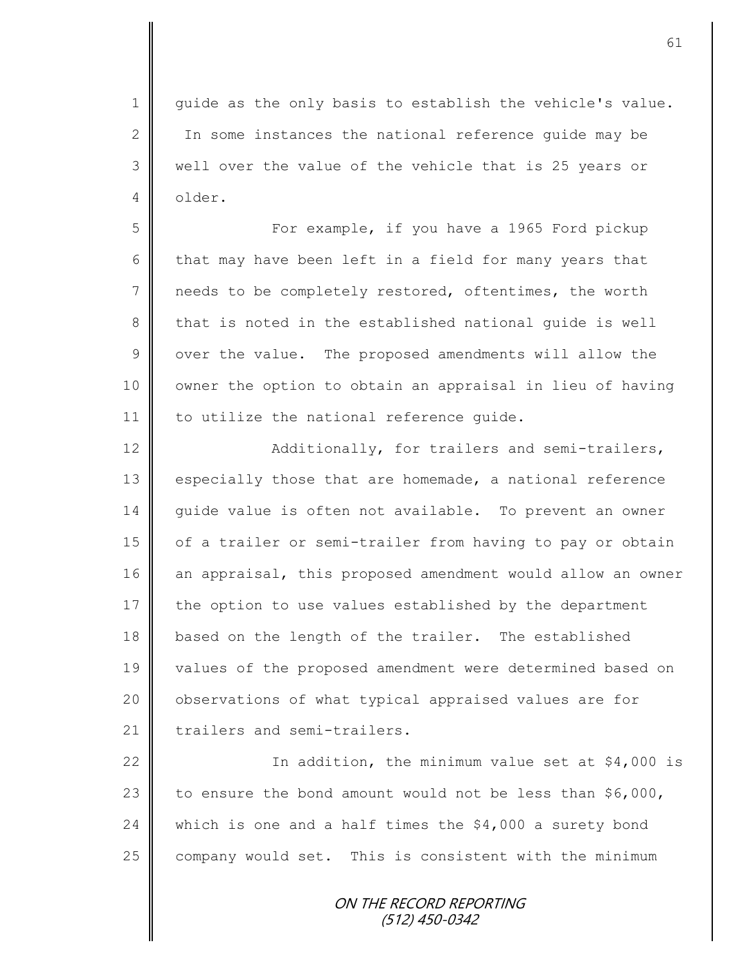1 guide as the only basis to establish the vehicle's value. 2 In some instances the national reference quide may be 3 || well over the value of the vehicle that is 25 years or 4 older.

5 For example, if you have a 1965 Ford pickup 6 that may have been left in a field for many years that 7 needs to be completely restored, oftentimes, the worth 8 that is noted in the established national quide is well  $9 \parallel$  over the value. The proposed amendments will allow the 10 | owner the option to obtain an appraisal in lieu of having 11 | to utilize the national reference quide.

12 | Additionally, for trailers and semi-trailers, 13 especially those that are homemade, a national reference 14 guide value is often not available. To prevent an owner 15 | of a trailer or semi-trailer from having to pay or obtain 16 an appraisal, this proposed amendment would allow an owner 17 the option to use values established by the department 18 based on the length of the trailer. The established 19 values of the proposed amendment were determined based on 20 | observations of what typical appraised values are for  $21$   $\parallel$  trailers and semi-trailers.

22  $\parallel$  In addition, the minimum value set at \$4,000 is 23 to ensure the bond amount would not be less than  $$6,000$ , 24 which is one and a half times the  $$4,000$  a surety bond 25 company would set. This is consistent with the minimum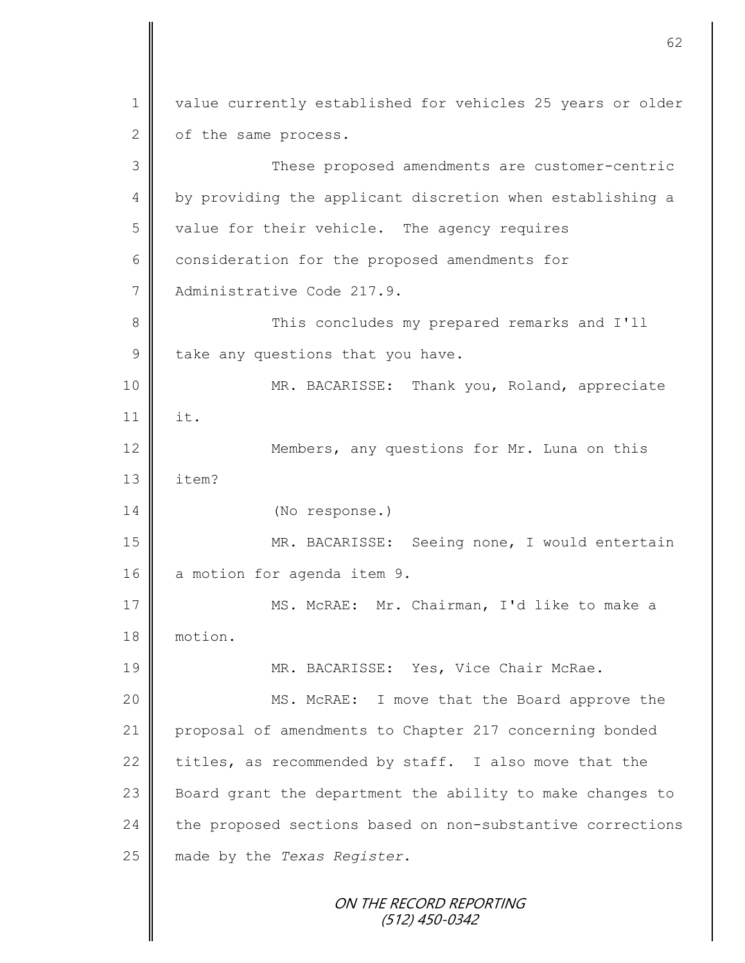ON THE RECORD REPORTING (512) 450-0342 1 | value currently established for vehicles 25 years or older  $2 \parallel$  of the same process. 3 These proposed amendments are customer-centric 4 | by providing the applicant discretion when establishing a 5 value for their vehicle. The agency requires  $6 \parallel$  consideration for the proposed amendments for 7 Administrative Code 217.9. 8 || This concludes my prepared remarks and I'll  $9$  take any questions that you have. 10 || MR. BACARISSE: Thank you, Roland, appreciate 11 it. 12 Members, any questions for Mr. Luna on this 13 item? 14 (No response.) 15 MR. BACARISSE: Seeing none, I would entertain 16 a motion for agenda item 9. 17 MS. McRAE: Mr. Chairman, I'd like to make a 18 motion. 19 MR. BACARISSE: Yes, Vice Chair McRae. 20 || MS. McRAE: I move that the Board approve the 21 proposal of amendments to Chapter 217 concerning bonded 22 titles, as recommended by staff. I also move that the 23 Board grant the department the ability to make changes to 24 the proposed sections based on non-substantive corrections 25 made by the *Texas Register*.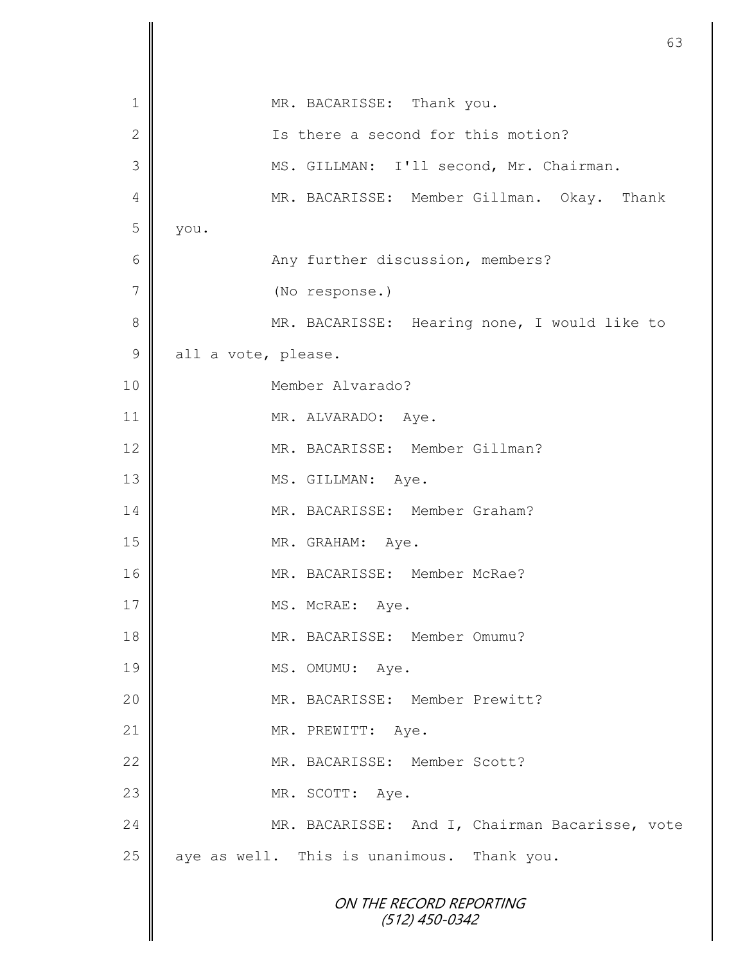|                 | 63                                             |
|-----------------|------------------------------------------------|
| 1               | MR. BACARISSE: Thank you.                      |
| $\mathbf 2$     | Is there a second for this motion?             |
| 3               | MS. GILLMAN: I'll second, Mr. Chairman.        |
| 4               | MR. BACARISSE: Member Gillman. Okay.<br>Thank  |
| 5               | you.                                           |
| $6\phantom{1}6$ | Any further discussion, members?               |
| $\overline{7}$  |                                                |
| 8               | (No response.)                                 |
| $\mathcal{G}$   | MR. BACARISSE: Hearing none, I would like to   |
|                 | all a vote, please.<br>Member Alvarado?        |
| 10              |                                                |
| 11              | MR. ALVARADO:<br>Aye.                          |
| 12              | MR. BACARISSE: Member Gillman?                 |
| 13              | MS. GILLMAN: Aye.                              |
| 14              | MR. BACARISSE: Member Graham?                  |
| 15              | MR. GRAHAM: Aye.                               |
| 16              | MR. BACARISSE: Member McRae?                   |
| 17              | MS. McRAE: Aye.                                |
| 18              | MR. BACARISSE: Member Omumu?                   |
| 19              | MS. OMUMU: Aye.                                |
| 20              | MR. BACARISSE: Member Prewitt?                 |
| 21              | MR. PREWITT:<br>Aye.                           |
| 22              | MR. BACARISSE: Member Scott?                   |
| 23              | MR. SCOTT: Aye.                                |
| 24              | MR. BACARISSE: And I, Chairman Bacarisse, vote |
| 25              | aye as well. This is unanimous. Thank you.     |
|                 | ON THE RECORD REPORTING<br>$(512)$ 450-0342    |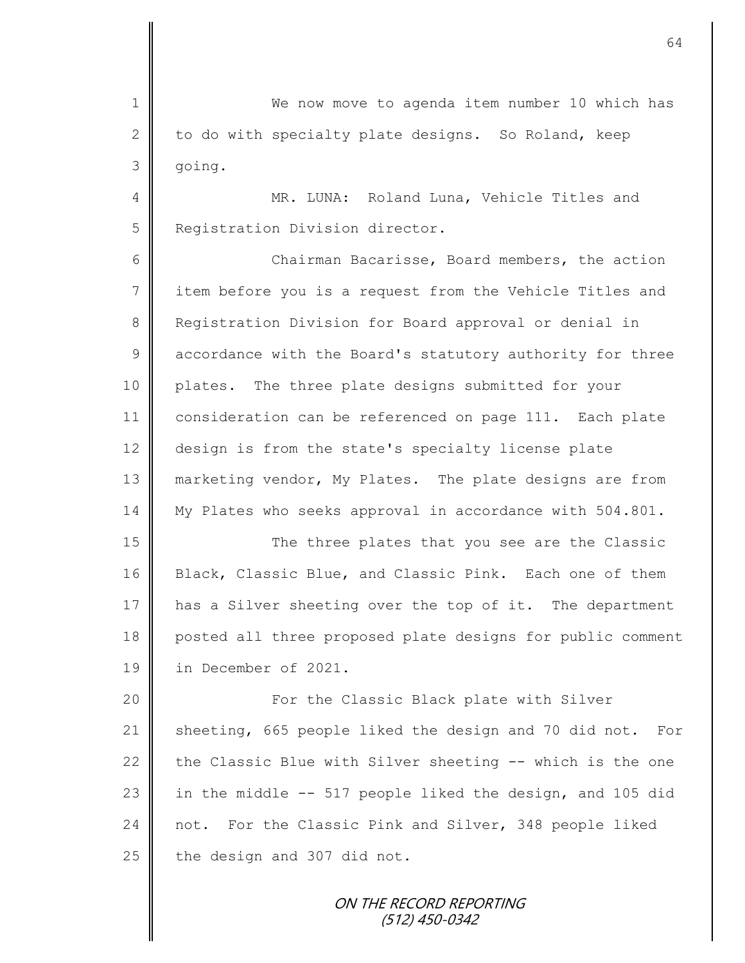1 We now move to agenda item number 10 which has 2 to do with specialty plate designs. So Roland, keep 3 going. 4 || MR. LUNA: Roland Luna, Vehicle Titles and 5 Registration Division director. 6 Chairman Bacarisse, Board members, the action 7 item before you is a request from the Vehicle Titles and 8 Registration Division for Board approval or denial in 9 accordance with the Board's statutory authority for three 10 plates. The three plate designs submitted for your 11 consideration can be referenced on page 111. Each plate 12 | design is from the state's specialty license plate 13 marketing vendor, My Plates. The plate designs are from 14 My Plates who seeks approval in accordance with 504.801. 15 || The three plates that you see are the Classic 16 Black, Classic Blue, and Classic Pink. Each one of them 17 has a Silver sheeting over the top of it. The department 18 posted all three proposed plate designs for public comment 19 in December of 2021. 20 For the Classic Black plate with Silver 21 Sheeting, 665 people liked the design and 70 did not. For 22 the Classic Blue with Silver sheeting  $-$  which is the one 23  $\parallel$  in the middle -- 517 people liked the design, and 105 did 24 not. For the Classic Pink and Silver, 348 people liked 25 the design and 307 did not.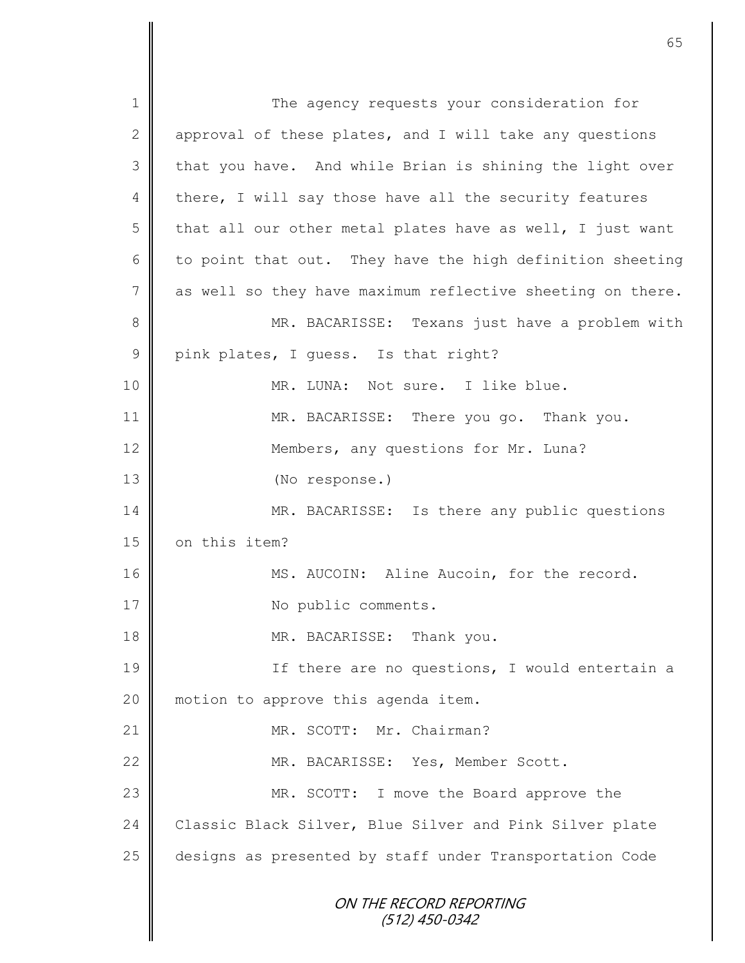ON THE RECORD REPORTING (512) 450-0342 1 The agency requests your consideration for 2  $\parallel$  approval of these plates, and I will take any questions 3 || that you have. And while Brian is shining the light over 4 there, I will say those have all the security features 5 that all our other metal plates have as well, I just want 6 to point that out. They have the high definition sheeting 7 as well so they have maximum reflective sheeting on there. 8 || MR. BACARISSE: Texans just have a problem with 9 pink plates, I guess. Is that right? 10 || MR. LUNA: Not sure. I like blue. 11 MR. BACARISSE: There you go. Thank you. 12 Members, any questions for Mr. Luna? 13 (No response.) 14 MR. BACARISSE: Is there any public questions 15 on this item? 16 | MS. AUCOIN: Aline Aucoin, for the record. 17 | No public comments. 18 **MR. BACARISSE:** Thank you. 19 || If there are no questions, I would entertain a 20 || motion to approve this agenda item. 21 | MR. SCOTT: Mr. Chairman? 22 || MR. BACARISSE: Yes, Member Scott. 23 MR. SCOTT: I move the Board approve the 24 Classic Black Silver, Blue Silver and Pink Silver plate 25 designs as presented by staff under Transportation Code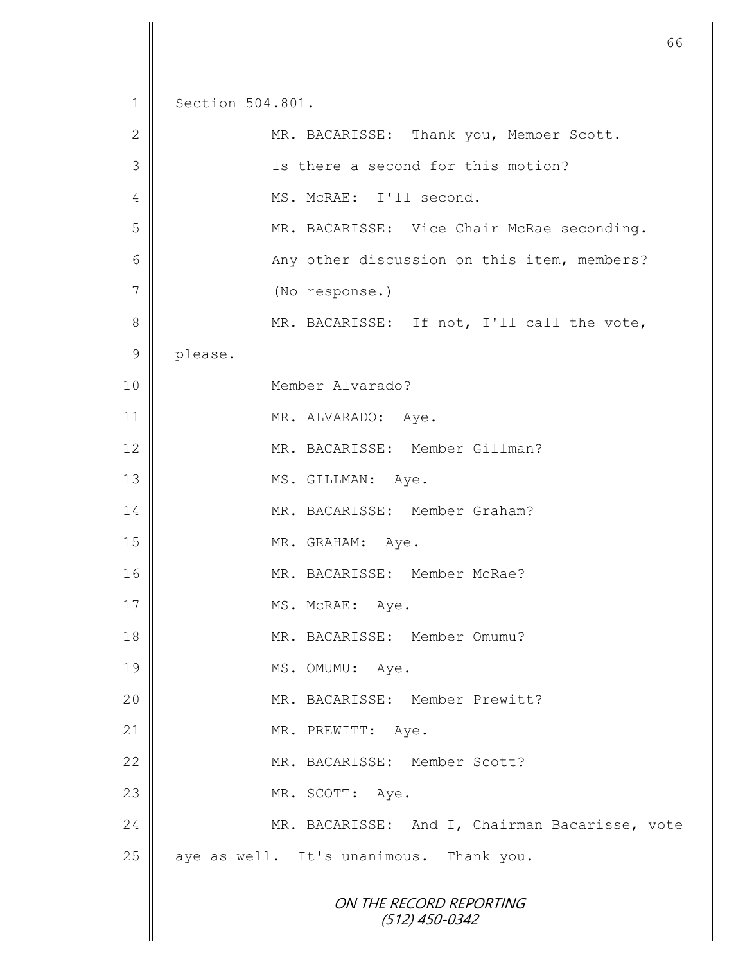ON THE RECORD REPORTING (512) 450-0342 1 Section 504.801. 2 || MR. BACARISSE: Thank you, Member Scott. 3 || Is there a second for this motion? 4 | MS. McRAE: I'll second. 5 MR. BACARISSE: Vice Chair McRae seconding. 6 || Any other discussion on this item, members? 7 (No response.) 8 MR. BACARISSE: If not, I'll call the vote, 9 please. 10 Member Alvarado? 11 MR. ALVARADO: Aye. 12 || MR. BACARISSE: Member Gillman? 13 MS. GILLMAN: Aye. 14 MR. BACARISSE: Member Graham? 15 MR. GRAHAM: Aye. 16 || MR. BACARISSE: Member McRae? 17 NS. McRAE: Aye. 18 || MR. BACARISSE: Member Omumu? 19 MS. OMUMU: Aye. 20 || MR. BACARISSE: Member Prewitt? 21 || MR. PREWITT: Aye. 22 MR. BACARISSE: Member Scott? 23 MR. SCOTT: Aye. 24 MR. BACARISSE: And I, Chairman Bacarisse, vote  $25$  | aye as well. It's unanimous. Thank you.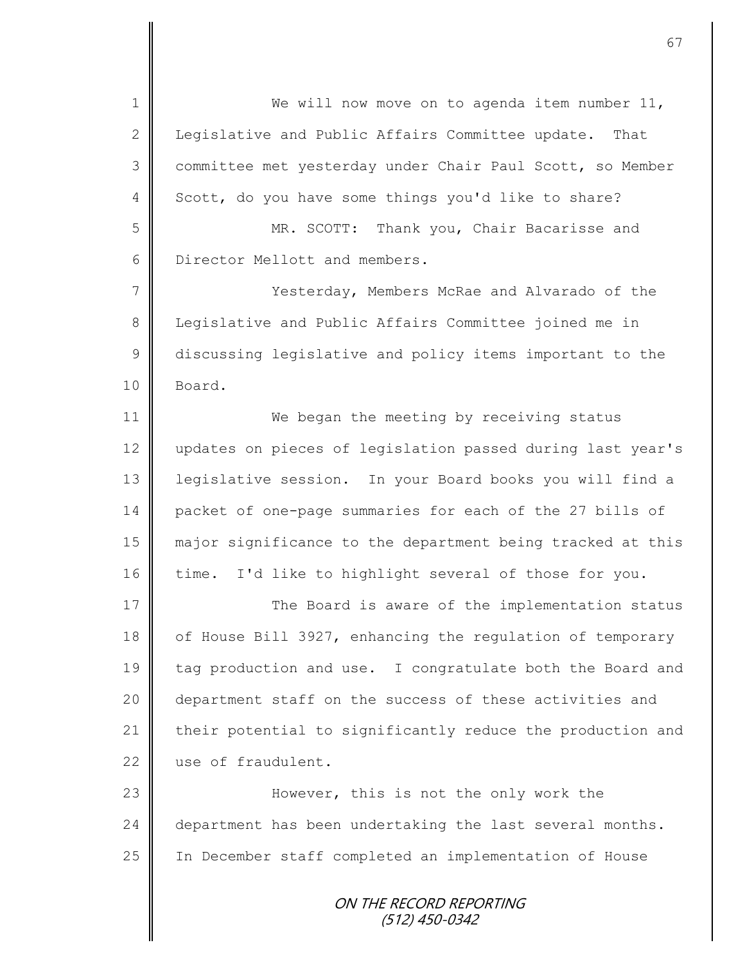ON THE RECORD REPORTING (512) 450-0342 1 We will now move on to agenda item number 11, 2 | Legislative and Public Affairs Committee update. That 3 committee met yesterday under Chair Paul Scott, so Member 4 Scott, do you have some things you'd like to share? 5 MR. SCOTT: Thank you, Chair Bacarisse and 6 **Dear** Director Mellott and members. 7 || Yesterday, Members McRae and Alvarado of the 8 Legislative and Public Affairs Committee joined me in 9 discussing legislative and policy items important to the 10 Board. 11 **We began the meeting by receiving status** 12 updates on pieces of legislation passed during last year's 13 legislative session. In your Board books you will find a 14 packet of one-page summaries for each of the 27 bills of 15 major significance to the department being tracked at this 16 time. I'd like to highlight several of those for you. 17 The Board is aware of the implementation status 18 of House Bill 3927, enhancing the regulation of temporary 19 tag production and use. I congratulate both the Board and 20 || department staff on the success of these activities and 21 their potential to significantly reduce the production and 22 use of fraudulent. 23 || However, this is not the only work the 24 department has been undertaking the last several months. 25 | In December staff completed an implementation of House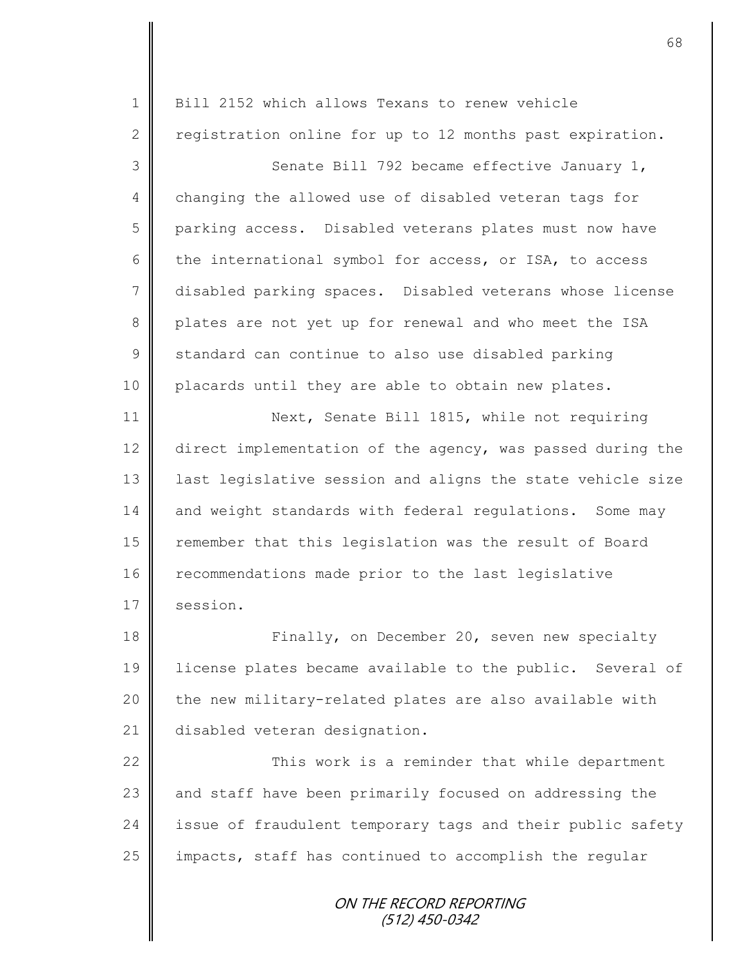| $\mathbf 1$  | Bill 2152 which allows Texans to renew vehicle             |
|--------------|------------------------------------------------------------|
| $\mathbf{2}$ | registration online for up to 12 months past expiration.   |
| 3            | Senate Bill 792 became effective January 1,                |
| 4            | changing the allowed use of disabled veteran tags for      |
| 5            | parking access. Disabled veterans plates must now have     |
| 6            | the international symbol for access, or ISA, to access     |
| 7            | disabled parking spaces. Disabled veterans whose license   |
| 8            | plates are not yet up for renewal and who meet the ISA     |
| 9            | standard can continue to also use disabled parking         |
| 10           | placards until they are able to obtain new plates.         |
| 11           | Next, Senate Bill 1815, while not requiring                |
| 12           | direct implementation of the agency, was passed during the |
| 13           | last legislative session and aligns the state vehicle size |
| 14           | and weight standards with federal regulations. Some may    |
| 15           | remember that this legislation was the result of Board     |
| 16           | recommendations made prior to the last legislative         |
| 17           | session.                                                   |
| 18           | Finally, on December 20, seven new specialty               |
| 19           | license plates became available to the public. Several of  |
| 20           | the new military-related plates are also available with    |
| 21           | disabled veteran designation.                              |
| 22           | This work is a reminder that while department              |
| 23           | and staff have been primarily focused on addressing the    |
| 24           | issue of fraudulent temporary tags and their public safety |
| 25           | impacts, staff has continued to accomplish the regular     |
|              | ON THE RECORD REPORTING                                    |

(512) 450-0342

II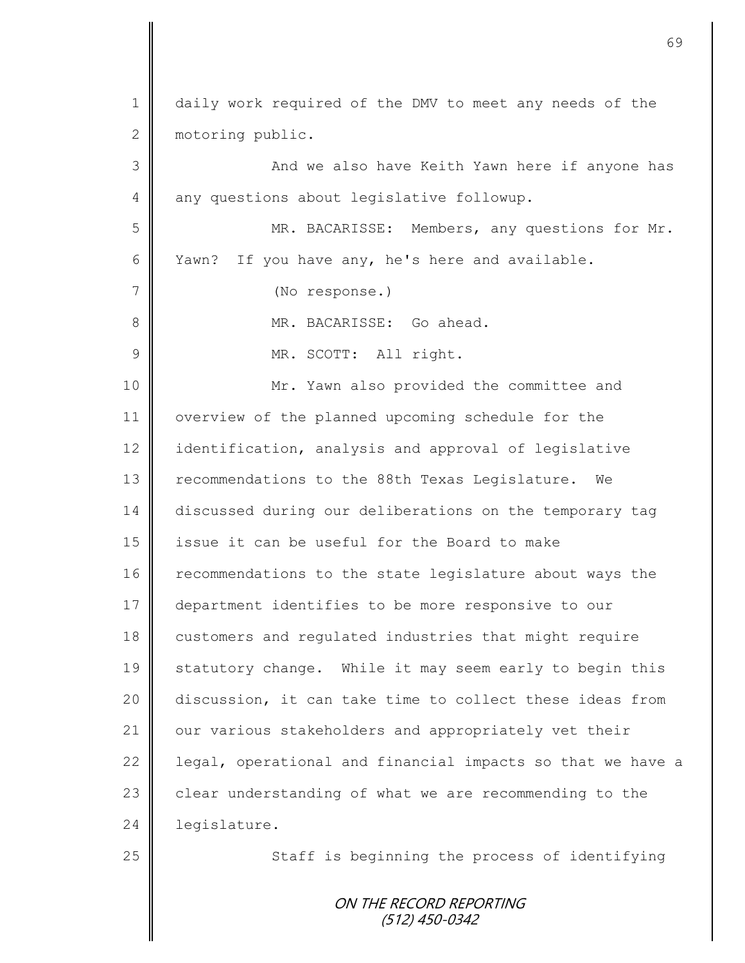| $\mathbf 1$   | daily work required of the DMV to meet any needs of the    |
|---------------|------------------------------------------------------------|
| $\mathbf{2}$  | motoring public.                                           |
| 3             | And we also have Keith Yawn here if anyone has             |
| 4             | any questions about legislative followup.                  |
| 5             | MR. BACARISSE: Members, any questions for Mr.              |
| 6             | If you have any, he's here and available.<br>Yawn?         |
| 7             | (No response.)                                             |
| 8             | MR. BACARISSE: Go ahead.                                   |
| $\mathcal{G}$ | MR. SCOTT: All right.                                      |
| 10            | Mr. Yawn also provided the committee and                   |
| 11            | overview of the planned upcoming schedule for the          |
| 12            | identification, analysis and approval of legislative       |
| 13            | recommendations to the 88th Texas Legislature. We          |
| 14            | discussed during our deliberations on the temporary tag    |
| 15            | issue it can be useful for the Board to make               |
| 16            | recommendations to the state legislature about ways the    |
| 17            | department identifies to be more responsive to our         |
| 18            | customers and regulated industries that might require      |
| 19            | statutory change. While it may seem early to begin this    |
| 20            | discussion, it can take time to collect these ideas from   |
| 21            | our various stakeholders and appropriately vet their       |
| 22            | legal, operational and financial impacts so that we have a |
| 23            | clear understanding of what we are recommending to the     |
| 24            | legislature.                                               |
| 25            | Staff is beginning the process of identifying              |
|               | ON THE RECORD REPORTING<br>(512) 450-0342                  |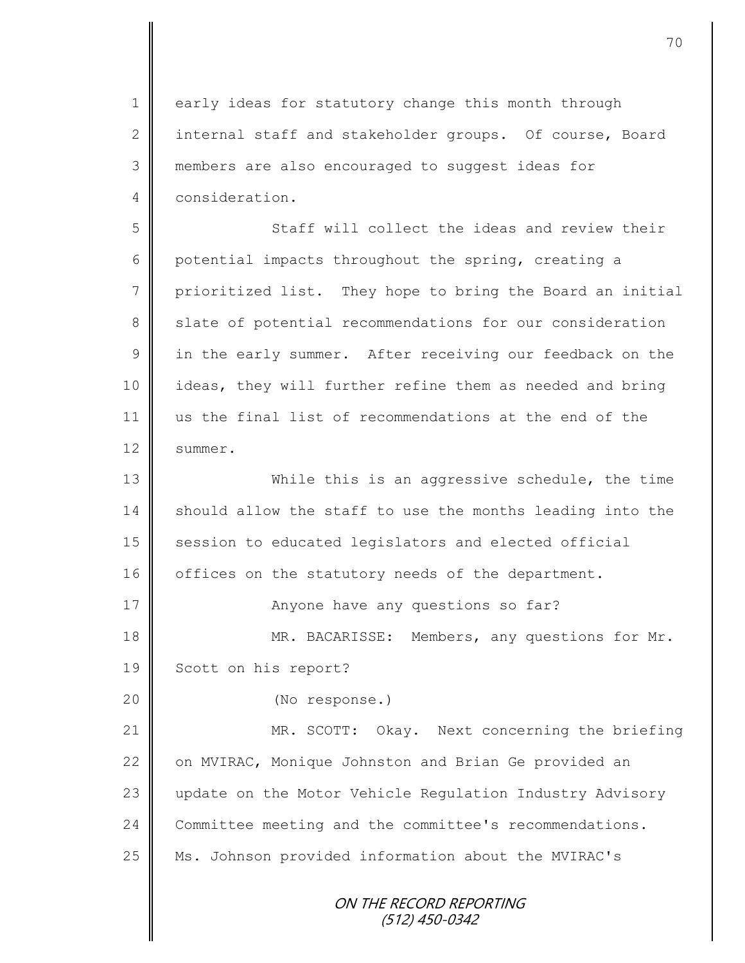1 early ideas for statutory change this month through 2 internal staff and stakeholder groups. Of course, Board 3 members are also encouraged to suggest ideas for 4 consideration. 5 Staff will collect the ideas and review their 6 potential impacts throughout the spring, creating a 7 prioritized list. They hope to bring the Board an initial 8 Slate of potential recommendations for our consideration 9 in the early summer. After receiving our feedback on the 10 || ideas, they will further refine them as needed and bring 11 us the final list of recommendations at the end of the 12 | summer. 13 While this is an aggressive schedule, the time 14 should allow the staff to use the months leading into the 15 session to educated legislators and elected official 16 offices on the statutory needs of the department. 17 | Anyone have any questions so far? 18 | MR. BACARISSE: Members, any questions for Mr. 19 | Scott on his report? 20 (No response.) 21 MR. SCOTT: Okay. Next concerning the briefing 22 | on MVIRAC, Monique Johnston and Brian Ge provided an

23 update on the Motor Vehicle Regulation Industry Advisory 24 Committee meeting and the committee's recommendations. 25 | Ms. Johnson provided information about the MVIRAC's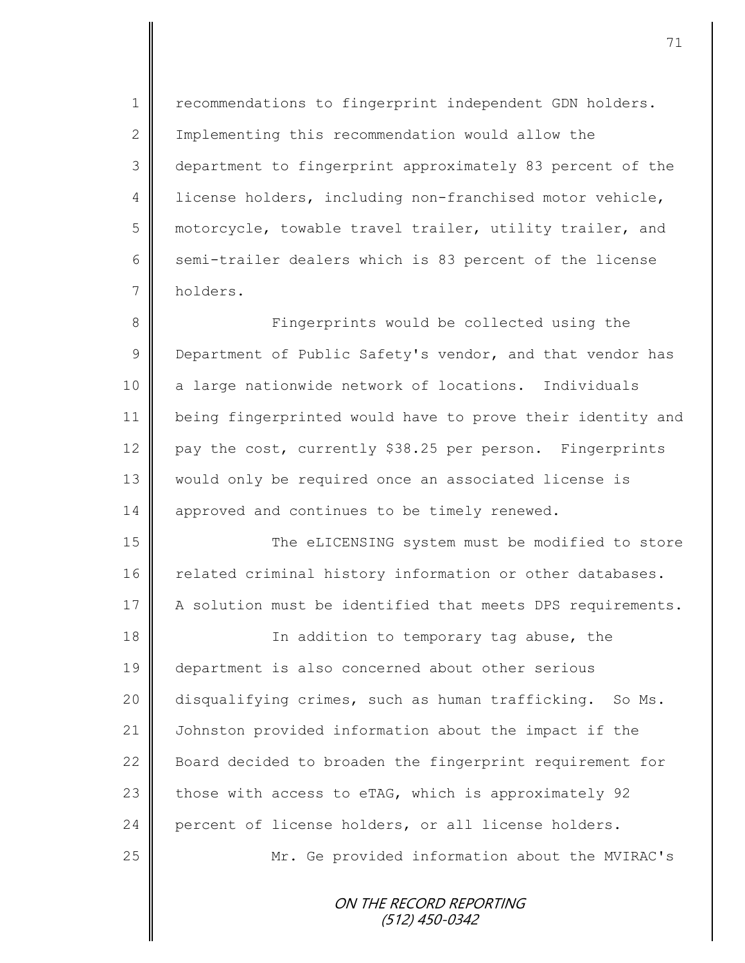1 | recommendations to fingerprint independent GDN holders. 2 | Implementing this recommendation would allow the 3 department to fingerprint approximately 83 percent of the 4 | license holders, including non-franchised motor vehicle, 5 motorcycle, towable travel trailer, utility trailer, and 6 semi-trailer dealers which is 83 percent of the license 7 holders.

8 || Fingerprints would be collected using the 9 Department of Public Safety's vendor, and that vendor has 10 a large nationwide network of locations. Individuals 11 being fingerprinted would have to prove their identity and 12 || pay the cost, currently \$38.25 per person. Fingerprints 13 || would only be required once an associated license is 14 | approved and continues to be timely renewed.

15 The eLICENSING system must be modified to store 16 related criminal history information or other databases. 17 A solution must be identified that meets DPS requirements.

**I In addition to temporary tag abuse, the** 19 | department is also concerned about other serious disqualifying crimes, such as human trafficking. So Ms. Johnston provided information about the impact if the **Board decided to broaden the fingerprint requirement for**  $\parallel$  those with access to eTAG, which is approximately 92 24 percent of license holders, or all license holders. Mr. Ge provided information about the MVIRAC's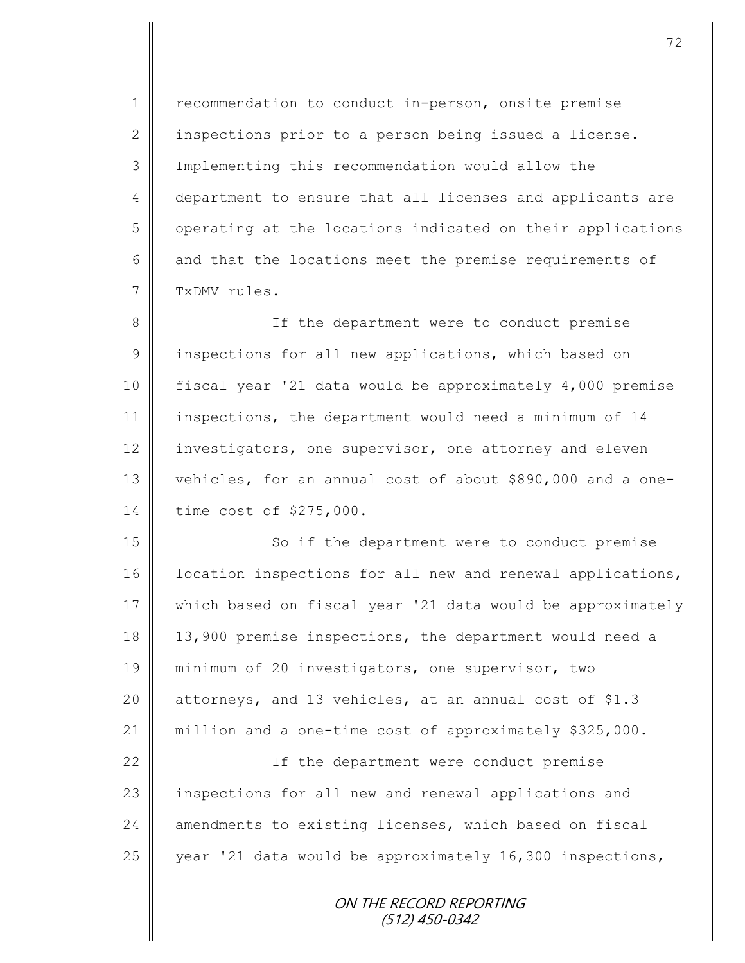1 | recommendation to conduct in-person, onsite premise 2 inspections prior to a person being issued a license. 3 Implementing this recommendation would allow the 4 department to ensure that all licenses and applicants are 5 | operating at the locations indicated on their applications 6  $\parallel$  and that the locations meet the premise requirements of 7 TxDMV rules.

8 || If the department were to conduct premise 9 | inspections for all new applications, which based on 10 fiscal year '21 data would be approximately 4,000 premise 11 inspections, the department would need a minimum of 14 12 investigators, one supervisor, one attorney and eleven 13 vehicles, for an annual cost of about \$890,000 and a one-14 time cost of \$275,000.

15 || So if the department were to conduct premise 16 | location inspections for all new and renewal applications, 17 which based on fiscal year '21 data would be approximately 18 | 13,900 premise inspections, the department would need a 19 minimum of 20 investigators, one supervisor, two 20  $\parallel$  attorneys, and 13 vehicles, at an annual cost of \$1.3 21 million and a one-time cost of approximately \$325,000.

22 || The department were conduct premise 23 inspections for all new and renewal applications and 24 amendments to existing licenses, which based on fiscal 25 year '21 data would be approximately 16,300 inspections,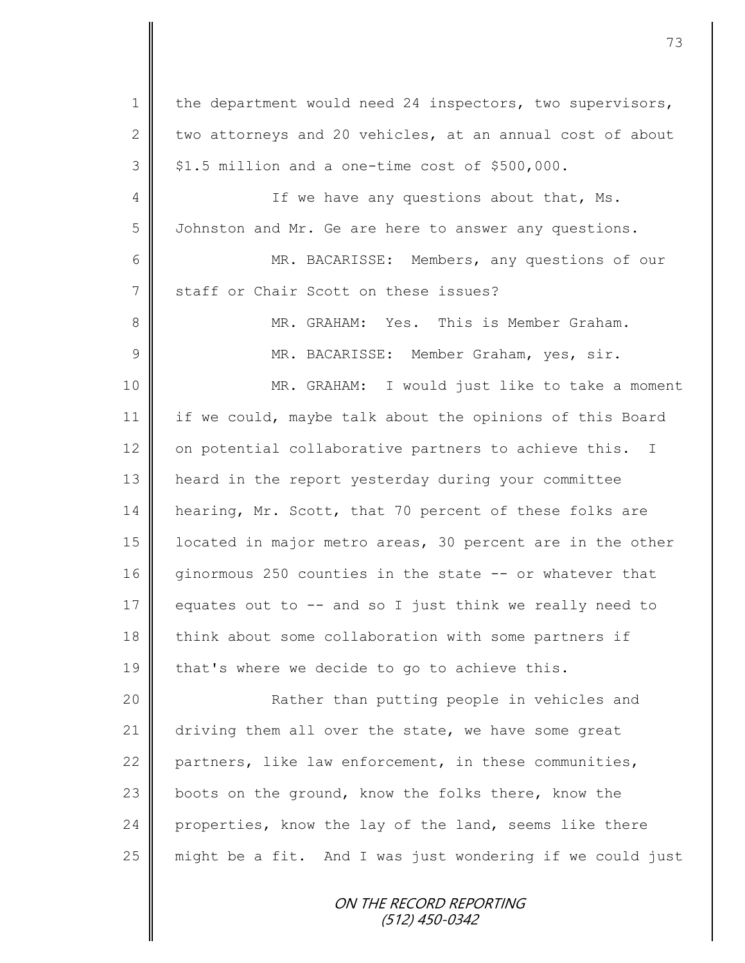1 | the department would need 24 inspectors, two supervisors, 2 two attorneys and 20 vehicles, at an annual cost of about  $3 \parallel$  \$1.5 million and a one-time cost of \$500,000. 4 || If we have any questions about that, Ms. 5 J Johnston and Mr. Ge are here to answer any questions. 6 MR. BACARISSE: Members, any questions of our 7 Staff or Chair Scott on these issues? 8 MR. GRAHAM: Yes. This is Member Graham. 9 || MR. BACARISSE: Member Graham, yes, sir. 10 MR. GRAHAM: I would just like to take a moment 11 if we could, maybe talk about the opinions of this Board 12  $\parallel$  on potential collaborative partners to achieve this. I 13 heard in the report yesterday during your committee 14 hearing, Mr. Scott, that 70 percent of these folks are 15 | located in major metro areas, 30 percent are in the other 16 ginormous 250 counties in the state -- or whatever that 17 equates out to  $-$  and so I just think we really need to 18 think about some collaboration with some partners if 19  $\parallel$  that's where we decide to go to achieve this. 20 || Rather than putting people in vehicles and 21 driving them all over the state, we have some great 22 partners, like law enforcement, in these communities, 23 boots on the ground, know the folks there, know the 24 properties, know the lay of the land, seems like there  $25$  might be a fit. And I was just wondering if we could just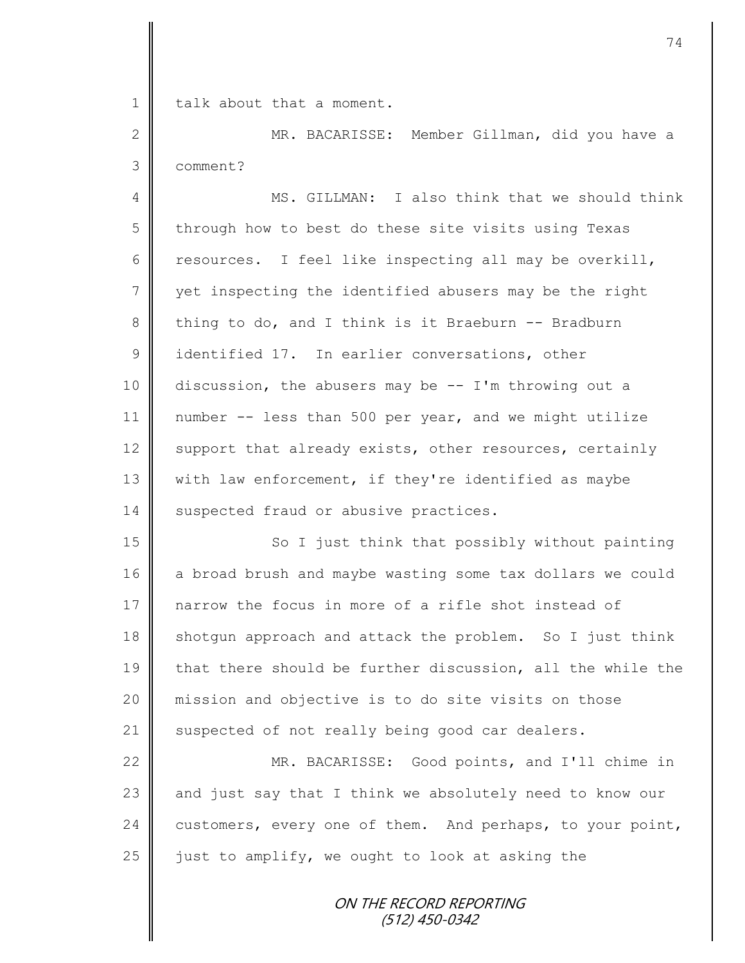1 **I** talk about that a moment.

2 MR. BACARISSE: Member Gillman, did you have a 3 comment?

4 MS. GILLMAN: I also think that we should think 5 through how to best do these site visits using Texas 6 resources. I feel like inspecting all may be overkill,  $7 \parallel$  yet inspecting the identified abusers may be the right 8 thing to do, and I think is it Braeburn -- Bradburn 9 didentified 17. In earlier conversations, other 10 discussion, the abusers may be -- I'm throwing out a 11 number -- less than 500 per year, and we might utilize 12 support that already exists, other resources, certainly 13 | with law enforcement, if they're identified as maybe 14 | suspected fraud or abusive practices.

15 || So I just think that possibly without painting 16 a broad brush and maybe wasting some tax dollars we could 17 narrow the focus in more of a rifle shot instead of  $18$  shotgun approach and attack the problem. So I just think 19 that there should be further discussion, all the while the 20 mission and objective is to do site visits on those 21 suspected of not really being good car dealers.

22 MR. BACARISSE: Good points, and I'll chime in  $\parallel$  and just say that I think we absolutely need to know our  $\parallel$  customers, every one of them. And perhaps, to your point,  $\parallel$  just to amplify, we ought to look at asking the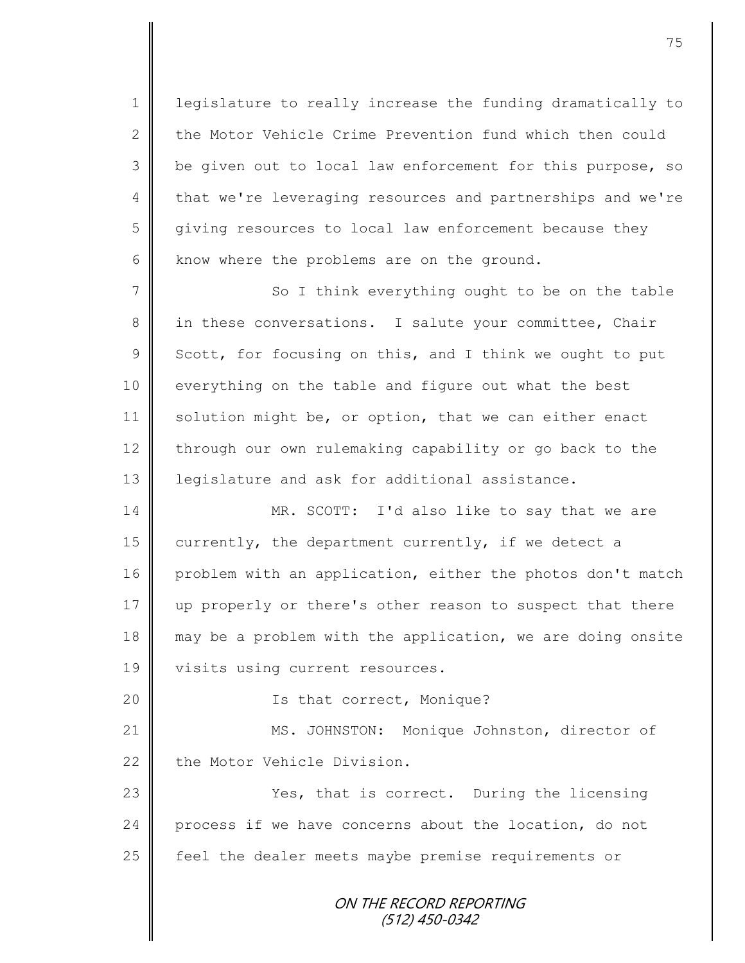1 legislature to really increase the funding dramatically to 2 the Motor Vehicle Crime Prevention fund which then could 3 | be given out to local law enforcement for this purpose, so 4 that we're leveraging resources and partnerships and we're 5 giving resources to local law enforcement because they  $6$  know where the problems are on the ground.

 $7 \parallel$  So I think everything ought to be on the table 8 in these conversations. I salute your committee, Chair  $9 \parallel$  Scott, for focusing on this, and I think we ought to put 10 | everything on the table and figure out what the best 11 solution might be, or option, that we can either enact 12 through our own rulemaking capability or go back to the 13 legislature and ask for additional assistance.

14 MR. SCOTT: I'd also like to say that we are 15 currently, the department currently, if we detect a 16 problem with an application, either the photos don't match 17 up properly or there's other reason to suspect that there 18 || may be a problem with the application, we are doing onsite 19 | visits using current resources.

20 || Ts that correct, Monique?

21 | MS. JOHNSTON: Monique Johnston, director of 22 the Motor Vehicle Division.

23 | Yes, that is correct. During the licensing 24 process if we have concerns about the location, do not 25 | feel the dealer meets maybe premise requirements or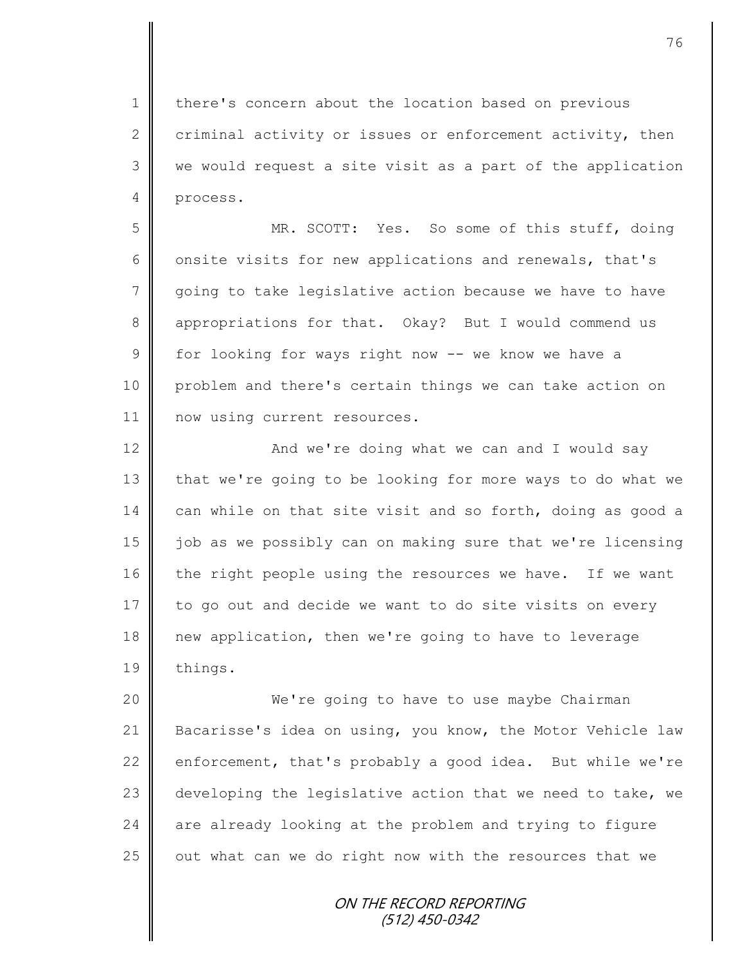1 | there's concern about the location based on previous 2 criminal activity or issues or enforcement activity, then 3 || we would request a site visit as a part of the application 4 process.

5 MR. SCOTT: Yes. So some of this stuff, doing 6 onsite visits for new applications and renewals, that's 7 going to take legislative action because we have to have 8 appropriations for that. Okay? But I would commend us  $9 \parallel$  for looking for ways right now -- we know we have a 10 problem and there's certain things we can take action on 11 | now using current resources.

12 | Mand we're doing what we can and I would say 13 that we're going to be looking for more ways to do what we 14 can while on that site visit and so forth, doing as good a 15 job as we possibly can on making sure that we're licensing 16 the right people using the resources we have. If we want 17 to go out and decide we want to do site visits on every 18 new application, then we're going to have to leverage 19 | things.

20 We're going to have to use maybe Chairman 21 | Bacarisse's idea on using, you know, the Motor Vehicle law 22 enforcement, that's probably a good idea. But while we're 23 developing the legislative action that we need to take, we 24  $\parallel$  are already looking at the problem and trying to figure 25  $\parallel$  out what can we do right now with the resources that we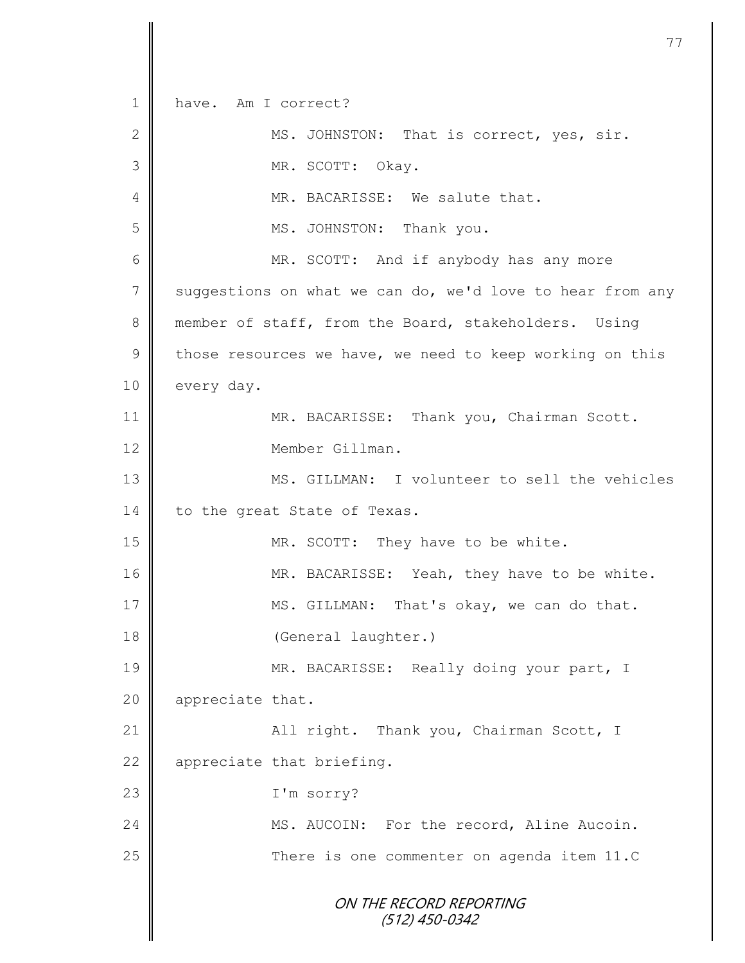ON THE RECORD REPORTING (512) 450-0342 1 have. Am I correct? 2 MS. JOHNSTON: That is correct, yes, sir. 3 MR. SCOTT: Okay. 4 || MR. BACARISSE: We salute that. 5 || MS. JOHNSTON: Thank you. 6 || MR. SCOTT: And if anybody has any more  $7 \parallel$  suggestions on what we can do, we'd love to hear from any 8 member of staff, from the Board, stakeholders. Using 9 those resources we have, we need to keep working on this 10 every day. 11 MR. BACARISSE: Thank you, Chairman Scott. 12 Member Gillman. 13 MS. GILLMAN: I volunteer to sell the vehicles 14 | to the great State of Texas. 15 | MR. SCOTT: They have to be white. 16 MR. BACARISSE: Yeah, they have to be white. 17 MS. GILLMAN: That's okay, we can do that. 18 | (General laughter.) 19 || MR. BACARISSE: Really doing your part, I 20 | appreciate that. 21 | All right. Thank you, Chairman Scott, I 22 | appreciate that briefing. 23 I'm sorry? 24 | MS. AUCOIN: For the record, Aline Aucoin. 25 || There is one commenter on agenda item 11.C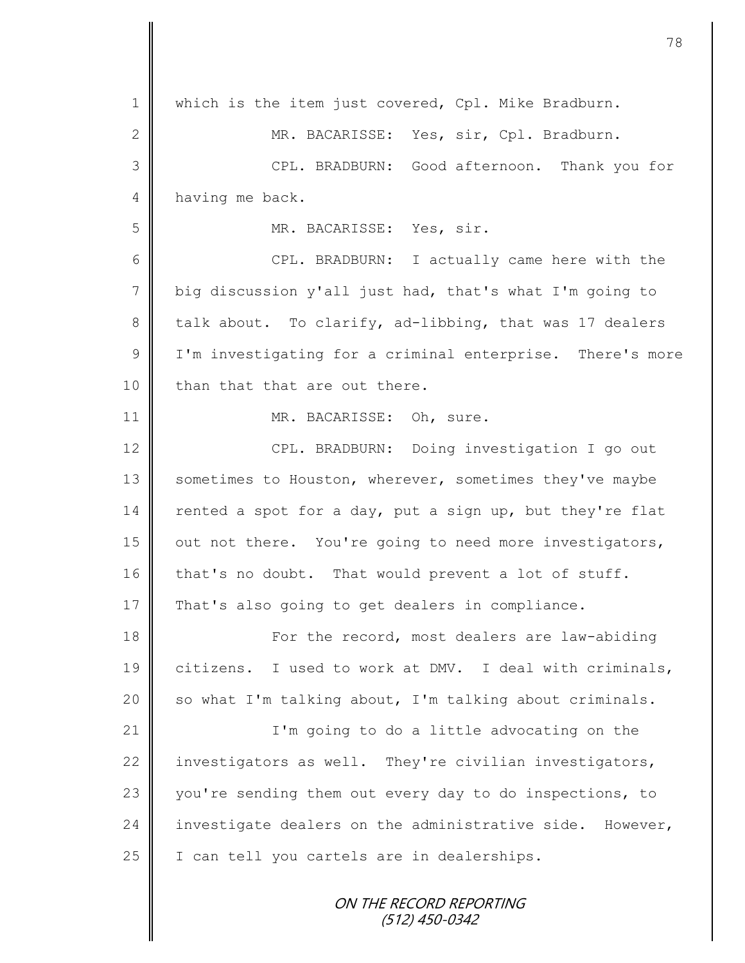| $\mathbf 1$    | which is the item just covered, Cpl. Mike Bradburn.       |
|----------------|-----------------------------------------------------------|
| 2              | MR. BACARISSE: Yes, sir, Cpl. Bradburn.                   |
| 3              | CPL. BRADBURN: Good afternoon. Thank you for              |
| $\overline{4}$ | having me back.                                           |
| 5              | MR. BACARISSE: Yes, sir.                                  |
| 6              | CPL. BRADBURN: I actually came here with the              |
| $7\phantom{.}$ | big discussion y'all just had, that's what I'm going to   |
| $8\,$          | talk about. To clarify, ad-libbing, that was 17 dealers   |
| $\overline{9}$ | I'm investigating for a criminal enterprise. There's more |
| 10             | than that that are out there.                             |
| 11             | MR. BACARISSE: Oh, sure.                                  |
| 12             | CPL. BRADBURN: Doing investigation I go out               |
| 13             | sometimes to Houston, wherever, sometimes they've maybe   |
| 14             | rented a spot for a day, put a sign up, but they're flat  |
| 15             | out not there. You're going to need more investigators,   |
| 16             | that's no doubt. That would prevent a lot of stuff.       |
| 17             | That's also going to get dealers in compliance.           |
| 18             | For the record, most dealers are law-abiding              |
| 19             | citizens. I used to work at DMV. I deal with criminals,   |
| 20             | so what I'm talking about, I'm talking about criminals.   |
| 21             | I'm going to do a little advocating on the                |
| 22             | investigators as well. They're civilian investigators,    |
| 23             | you're sending them out every day to do inspections, to   |
| 24             | investigate dealers on the administrative side. However,  |
| 25             | I can tell you cartels are in dealerships.                |
|                | ON THE RECORD REPORTING<br>$(512)$ 450-0342               |

 $\mathbf{I}$ II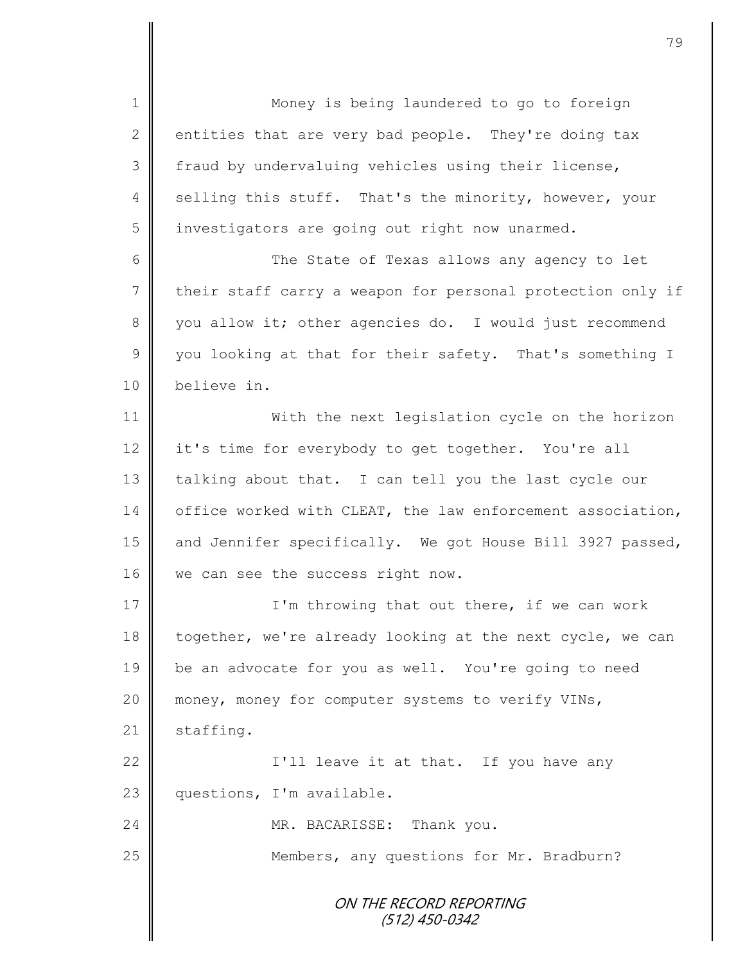ON THE RECORD REPORTING (512) 450-0342 1 || Money is being laundered to go to foreign 2 entities that are very bad people. They're doing tax 3 fraud by undervaluing vehicles using their license, 4 Selling this stuff. That's the minority, however, your 5 | investigators are going out right now unarmed. 6 The State of Texas allows any agency to let 7 their staff carry a weapon for personal protection only if 8 you allow it; other agencies do. I would just recommend 9 you looking at that for their safety. That's something I 10 believe in. 11 With the next legislation cycle on the horizon 12 it's time for everybody to get together. You're all 13 talking about that. I can tell you the last cycle our 14 office worked with CLEAT, the law enforcement association, 15 and Jennifer specifically. We got House Bill 3927 passed, 16 we can see the success right now. 17 | I'm throwing that out there, if we can work 18 | together, we're already looking at the next cycle, we can 19 be an advocate for you as well. You're going to need 20 || money, money for computer systems to verify VINs,  $21$  staffing. 22  $\parallel$  I'll leave it at that. If you have any 23 questions, I'm available. 24 MR. BACARISSE: Thank you. 25 Members, any questions for Mr. Bradburn?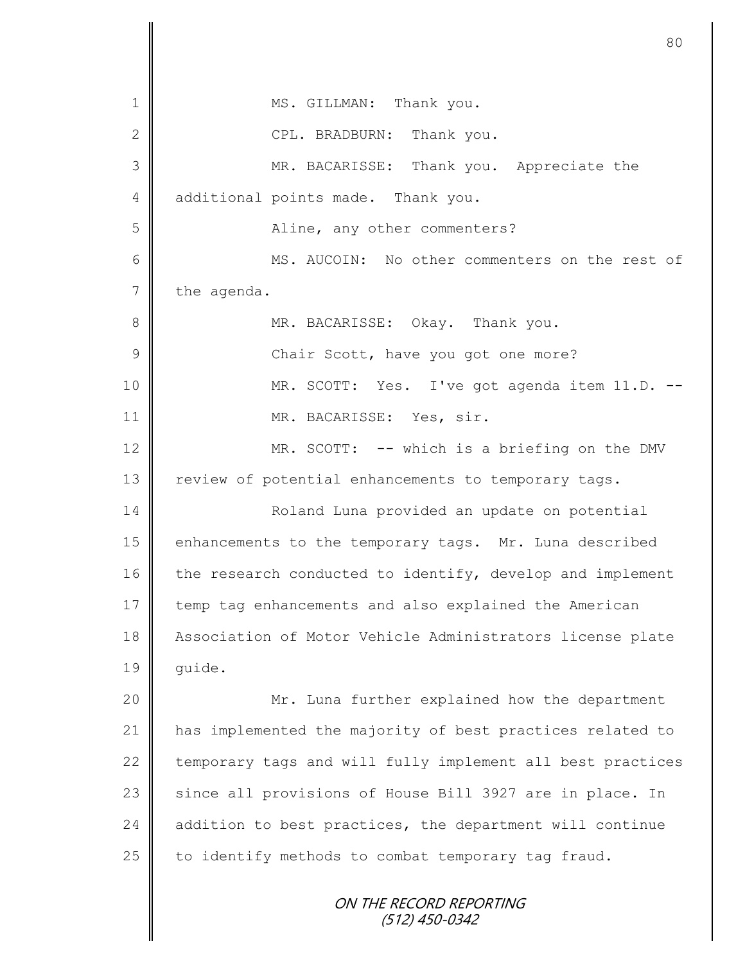|               | 80                                                         |
|---------------|------------------------------------------------------------|
| 1             | MS. GILLMAN: Thank you.                                    |
| $\mathbf{2}$  | CPL. BRADBURN: Thank you.                                  |
| 3             | MR. BACARISSE: Thank you. Appreciate the                   |
| 4             | additional points made. Thank you.                         |
| 5             | Aline, any other commenters?                               |
| 6             | MS. AUCOIN: No other commenters on the rest of             |
| 7             | the agenda.                                                |
| 8             | MR. BACARISSE: Okay. Thank you.                            |
| $\mathcal{G}$ | Chair Scott, have you got one more?                        |
| 10            | MR. SCOTT: Yes. I've got agenda item 11.D. --              |
| 11            | MR. BACARISSE: Yes, sir.                                   |
| 12            | MR. SCOTT: -- which is a briefing on the DMV               |
| 13            | review of potential enhancements to temporary tags.        |
| 14            | Roland Luna provided an update on potential                |
| 15            | enhancements to the temporary tags. Mr. Luna described     |
| 16            | the research conducted to identify, develop and implement  |
| 17            | temp tag enhancements and also explained the American      |
| 18            | Association of Motor Vehicle Administrators license plate  |
| 19            | quide.                                                     |
| 20            | Mr. Luna further explained how the department              |
| 21            | has implemented the majority of best practices related to  |
| 22            | temporary tags and will fully implement all best practices |
| 23            | since all provisions of House Bill 3927 are in place. In   |
| 24            | addition to best practices, the department will continue   |
| 25            | to identify methods to combat temporary tag fraud.         |
|               | ON THE RECORD REPORTING<br>(512) 450-0342                  |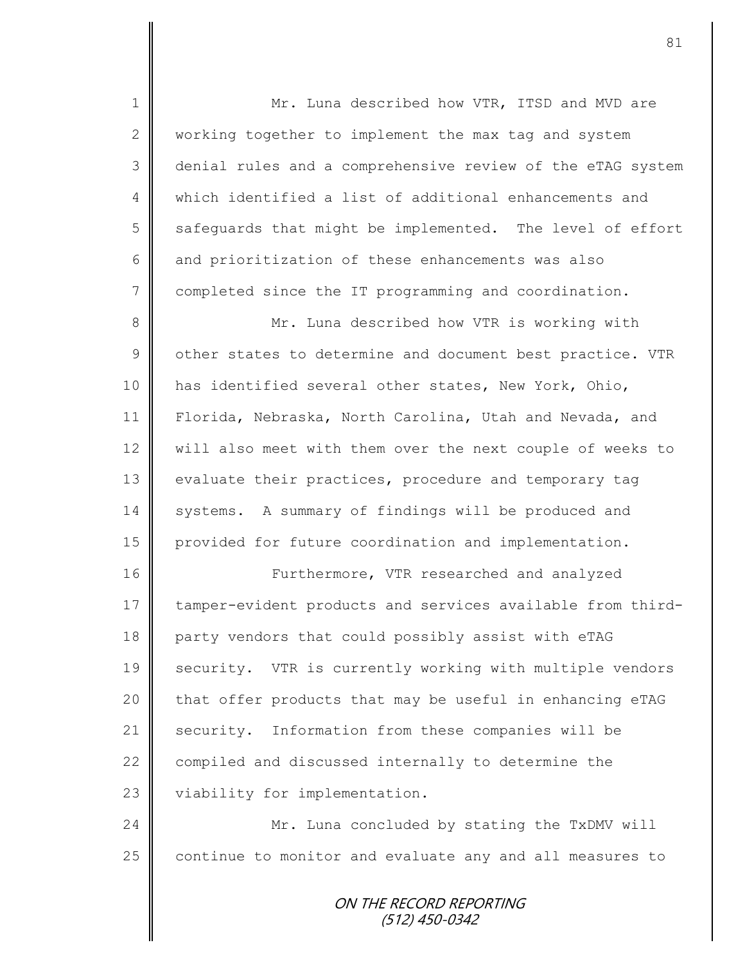1 || Mr. Luna described how VTR, ITSD and MVD are 2 working together to implement the max tag and system 3 denial rules and a comprehensive review of the eTAG system 4 || which identified a list of additional enhancements and  $5 \parallel$  safequards that might be implemented. The level of effort 6 and prioritization of these enhancements was also 7 completed since the IT programming and coordination. 8 Mr. Luna described how VTR is working with  $9 \parallel$  other states to determine and document best practice. VTR 10 has identified several other states, New York, Ohio, 11 Florida, Nebraska, North Carolina, Utah and Nevada, and 12 | will also meet with them over the next couple of weeks to 13 | evaluate their practices, procedure and temporary tag 14 systems. A summary of findings will be produced and 15 provided for future coordination and implementation. 16 **Furthermore, VTR** researched and analyzed 17 tamper-evident products and services available from third-18 party vendors that could possibly assist with eTAG 19 Security. VTR is currently working with multiple vendors  $20$  | that offer products that may be useful in enhancing eTAG 21 security. Information from these companies will be 22  $\parallel$  compiled and discussed internally to determine the 23 viability for implementation. 24 Mr. Luna concluded by stating the TxDMV will  $25$  continue to monitor and evaluate any and all measures to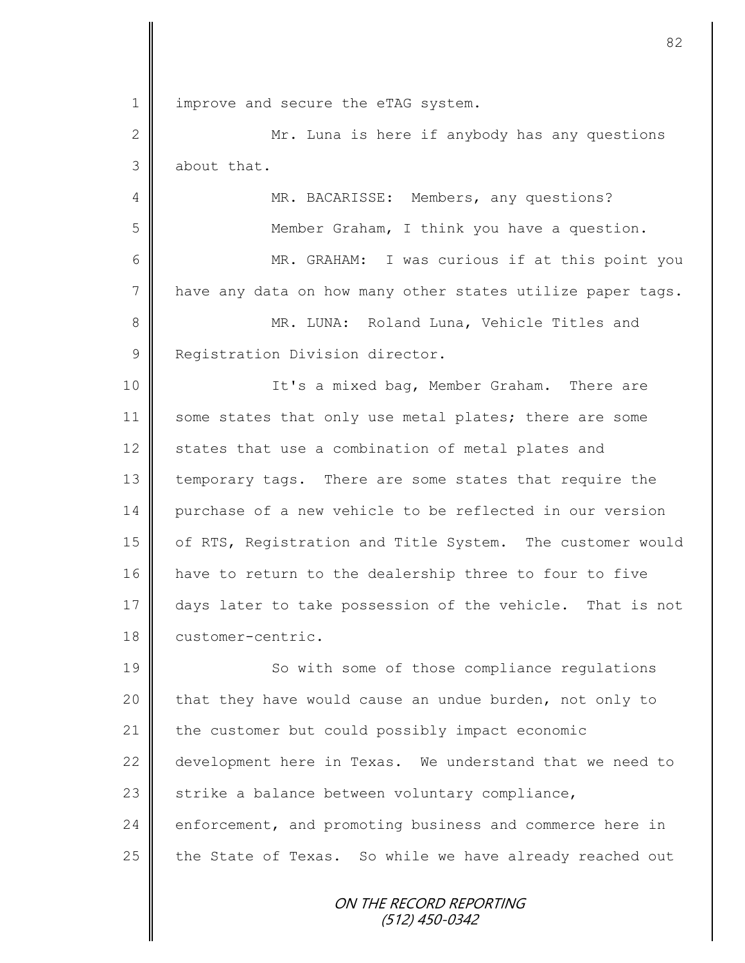1 | improve and secure the eTAG system.

2 || Mr. Luna is here if anybody has any questions 3 about that.

4 | MR. BACARISSE: Members, any questions? 5 Member Graham, I think you have a question. 6 || MR. GRAHAM: I was curious if at this point you 7 have any data on how many other states utilize paper tags. 8 || MR. LUNA: Roland Luna, Vehicle Titles and 9 | Registration Division director.

10 || It's a mixed bag, Member Graham. There are 11 some states that only use metal plates; there are some 12 states that use a combination of metal plates and 13 temporary tags. There are some states that require the 14 purchase of a new vehicle to be reflected in our version 15 | of RTS, Registration and Title System. The customer would 16 have to return to the dealership three to four to five 17 days later to take possession of the vehicle. That is not 18 customer-centric.

19 || So with some of those compliance regulations 20 that they have would cause an undue burden, not only to 21 the customer but could possibly impact economic 22 development here in Texas. We understand that we need to 23  $\parallel$  strike a balance between voluntary compliance, 24 enforcement, and promoting business and commerce here in 25  $\parallel$  the State of Texas. So while we have already reached out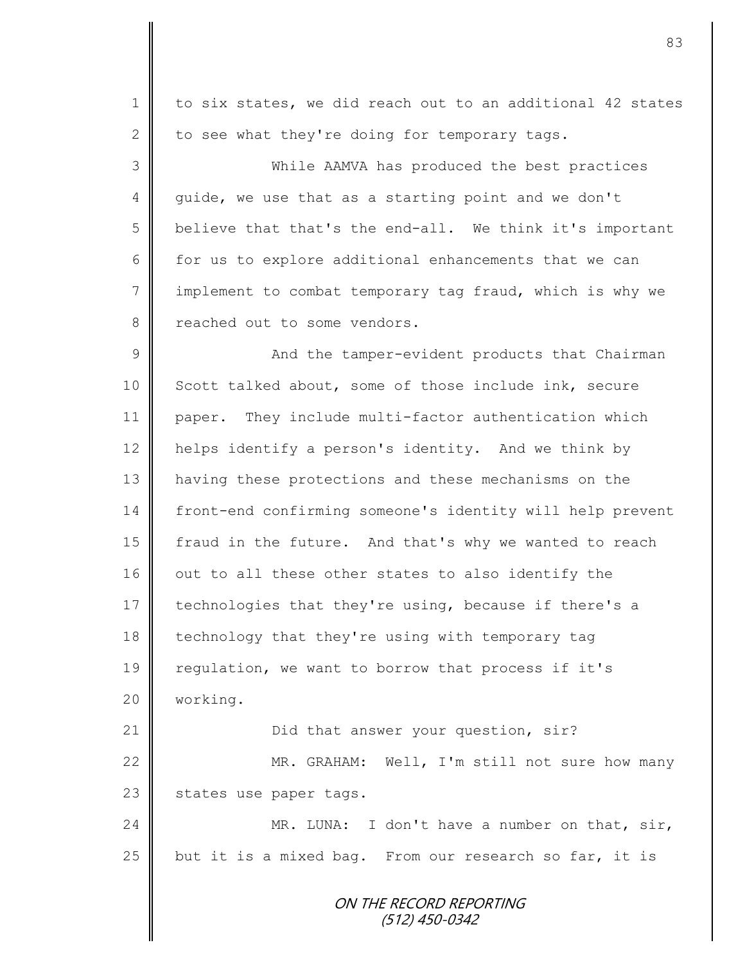ON THE RECORD REPORTING (512) 450-0342 1 to six states, we did reach out to an additional 42 states 2 to see what they're doing for temporary tags. 3 While AAMVA has produced the best practices 4 guide, we use that as a starting point and we don't  $5 \parallel$  believe that that's the end-all. We think it's important 6 for us to explore additional enhancements that we can 7 implement to combat temporary tag fraud, which is why we 8 **P** reached out to some vendors. 9 And the tamper-evident products that Chairman 10 Scott talked about, some of those include ink, secure 11 paper. They include multi-factor authentication which 12 | helps identify a person's identity. And we think by 13 | having these protections and these mechanisms on the 14 front-end confirming someone's identity will help prevent 15 | fraud in the future. And that's why we wanted to reach  $16$   $\parallel$  out to all these other states to also identify the 17 technologies that they're using, because if there's a 18 technology that they're using with temporary tag 19 | regulation, we want to borrow that process if it's 20 working. 21 | Did that answer your question, sir? 22 MR. GRAHAM: Well, I'm still not sure how many 23  $\parallel$  states use paper tags. 24 MR. LUNA: I don't have a number on that, sir, 25 but it is a mixed bag. From our research so far, it is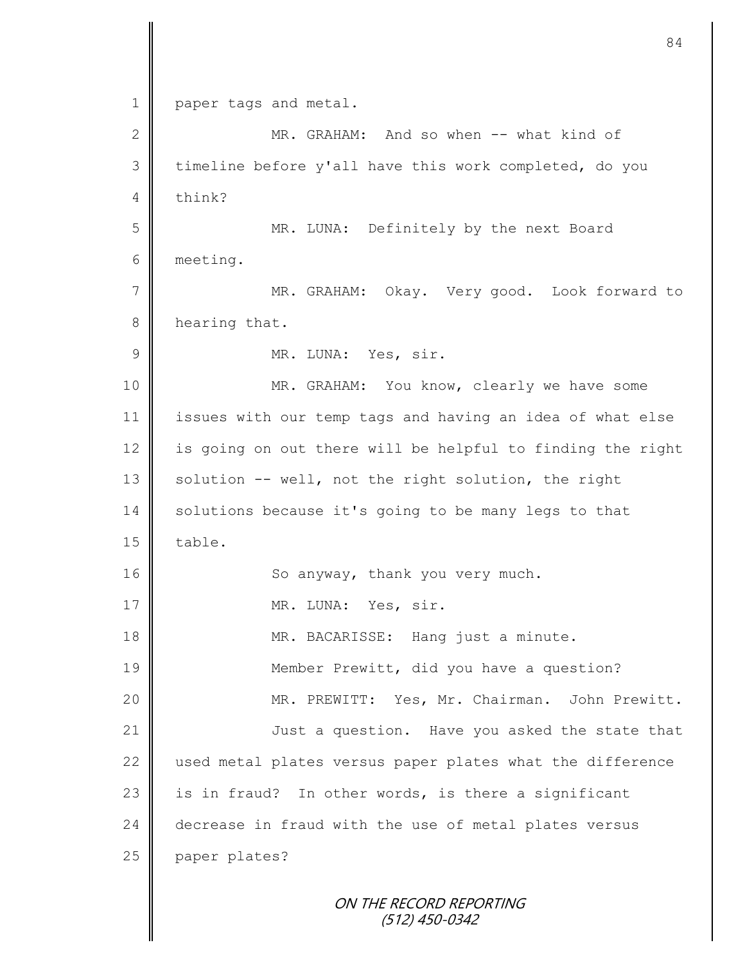|              | 84                                                         |
|--------------|------------------------------------------------------------|
| $\mathbf 1$  | paper tags and metal.                                      |
| $\mathbf{2}$ | MR. GRAHAM: And so when -- what kind of                    |
| 3            | timeline before y'all have this work completed, do you     |
| 4            | think?                                                     |
| 5            | MR. LUNA: Definitely by the next Board                     |
| 6            | meeting.                                                   |
| 7            | MR. GRAHAM: Okay. Very good. Look forward to               |
| 8            | hearing that.                                              |
| $\mathsf 9$  | MR. LUNA: Yes, sir.                                        |
| 10           | MR. GRAHAM: You know, clearly we have some                 |
| 11           | issues with our temp tags and having an idea of what else  |
| 12           | is going on out there will be helpful to finding the right |
| 13           | solution -- well, not the right solution, the right        |
| 14           | solutions because it's going to be many legs to that       |
| 15           | table.                                                     |
| 16           | So anyway, thank you very much.                            |
| 17           | MR. LUNA: Yes, sir.                                        |
| 18           | MR. BACARISSE: Hang just a minute.                         |
| 19           | Member Prewitt, did you have a question?                   |
| 20           | MR. PREWITT: Yes, Mr. Chairman. John Prewitt.              |
| 21           | Just a question. Have you asked the state that             |
| 22           | used metal plates versus paper plates what the difference  |
| 23           | is in fraud? In other words, is there a significant        |
| 24           | decrease in fraud with the use of metal plates versus      |
| 25           | paper plates?                                              |
|              |                                                            |
|              | ON THE RECORD REPORTING<br>$(512)$ 450-0342                |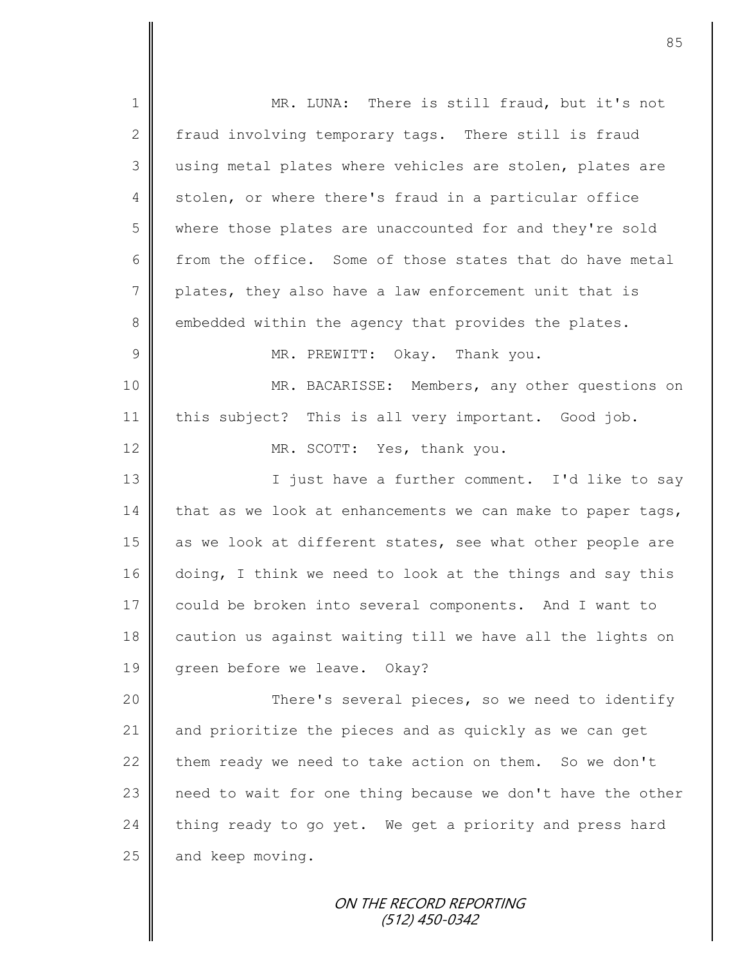| $\mathbf 1$     | MR. LUNA: There is still fraud, but it's not               |
|-----------------|------------------------------------------------------------|
| $\mathbf{2}$    | fraud involving temporary tags. There still is fraud       |
| 3               | using metal plates where vehicles are stolen, plates are   |
| $\overline{4}$  | stolen, or where there's fraud in a particular office      |
| 5               | where those plates are unaccounted for and they're sold    |
| 6               | from the office. Some of those states that do have metal   |
| $7\phantom{.0}$ | plates, they also have a law enforcement unit that is      |
| 8               | embedded within the agency that provides the plates.       |
| $\mathcal{G}$   | MR. PREWITT: Okay. Thank you.                              |
| 10              | MR. BACARISSE: Members, any other questions on             |
| 11              | this subject? This is all very important. Good job.        |
| 12              | MR. SCOTT: Yes, thank you.                                 |
| 13              | I just have a further comment. I'd like to say             |
| 14              | that as we look at enhancements we can make to paper tags, |
| 15              | as we look at different states, see what other people are  |
| 16              | doing, I think we need to look at the things and say this  |
| 17              | could be broken into several components. And I want to     |
| 18              | caution us against waiting till we have all the lights on  |
| 19              | green before we leave. Okay?                               |
| 20              | There's several pieces, so we need to identify             |
| 21              | and prioritize the pieces and as quickly as we can get     |
| 22              | them ready we need to take action on them. So we don't     |
| 23              | need to wait for one thing because we don't have the other |
| 24              | thing ready to go yet. We get a priority and press hard    |
| 25              | and keep moving.                                           |
|                 |                                                            |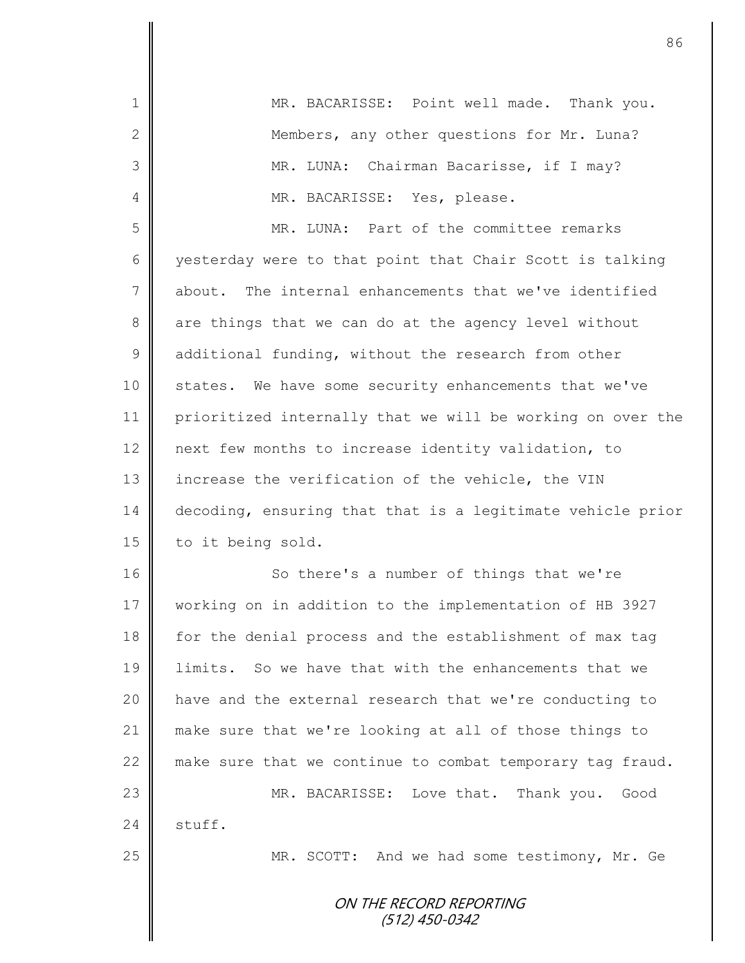| 1             | MR. BACARISSE: Point well made. Thank you.                 |
|---------------|------------------------------------------------------------|
| 2             | Members, any other questions for Mr. Luna?                 |
| 3             | MR. LUNA: Chairman Bacarisse, if I may?                    |
| 4             | MR. BACARISSE: Yes, please.                                |
| 5             | MR. LUNA: Part of the committee remarks                    |
| 6             | yesterday were to that point that Chair Scott is talking   |
| 7             | about. The internal enhancements that we've identified     |
| 8             | are things that we can do at the agency level without      |
| $\mathcal{G}$ | additional funding, without the research from other        |
| 10            | states. We have some security enhancements that we've      |
| 11            | prioritized internally that we will be working on over the |
| 12            | next few months to increase identity validation, to        |
| 13            | increase the verification of the vehicle, the VIN          |
| 14            | decoding, ensuring that that is a legitimate vehicle prior |
| 15            | to it being sold.                                          |
| 16            | So there's a number of things that we're                   |
| 17            | working on in addition to the implementation of HB 3927    |
| 18            | for the denial process and the establishment of max tag    |
| 19            | limits. So we have that with the enhancements that we      |
| 20            | have and the external research that we're conducting to    |
| 21            | make sure that we're looking at all of those things to     |
| 22            | make sure that we continue to combat temporary tag fraud.  |
| 23            | MR. BACARISSE: Love that. Thank you. Good                  |
| 24            | stuff.                                                     |
| 25            | MR. SCOTT: And we had some testimony, Mr. Ge               |
|               |                                                            |
|               | ON THE RECORD REPORTING<br>(512) 450-0342                  |
|               |                                                            |

 $\overline{\mathsf{I}}$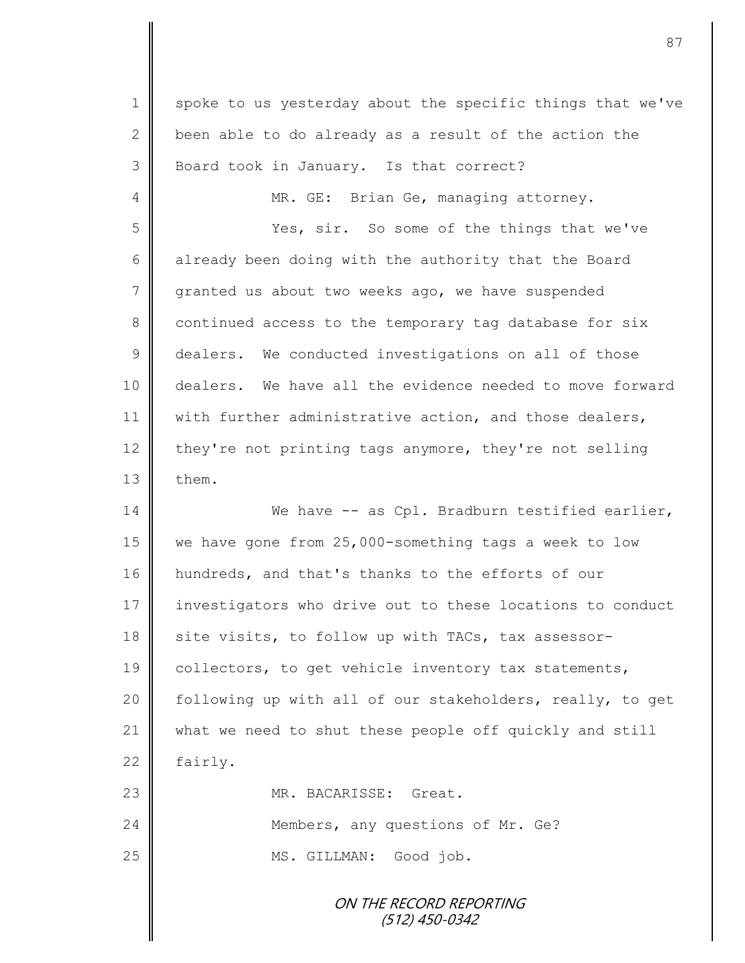ON THE RECORD REPORTING 1 spoke to us yesterday about the specific things that we've 2  $\parallel$  been able to do already as a result of the action the 3 | Board took in January. Is that correct? 4 || MR. GE: Brian Ge, managing attorney. 5 Subsequent So some of the things that we've 6 already been doing with the authority that the Board 7 granted us about two weeks ago, we have suspended 8 continued access to the temporary tag database for six 9 dealers. We conducted investigations on all of those 10 dealers. We have all the evidence needed to move forward 11 | with further administrative action, and those dealers, 12 they're not printing tags anymore, they're not selling  $13$   $\blacksquare$  them. 14 We have -- as Cpl. Bradburn testified earlier, 15 we have gone from 25,000-something tags a week to low 16 hundreds, and that's thanks to the efforts of our 17 investigators who drive out to these locations to conduct 18 site visits, to follow up with TACs, tax assessor-19 | collectors, to get vehicle inventory tax statements, 20 | following up with all of our stakeholders, really, to get 21 what we need to shut these people off quickly and still  $22$  | fairly. 23 MR. BACARISSE: Great. 24 **Members, any questions of Mr. Ge?** 25 || MS. GILLMAN: Good job.

(512) 450-0342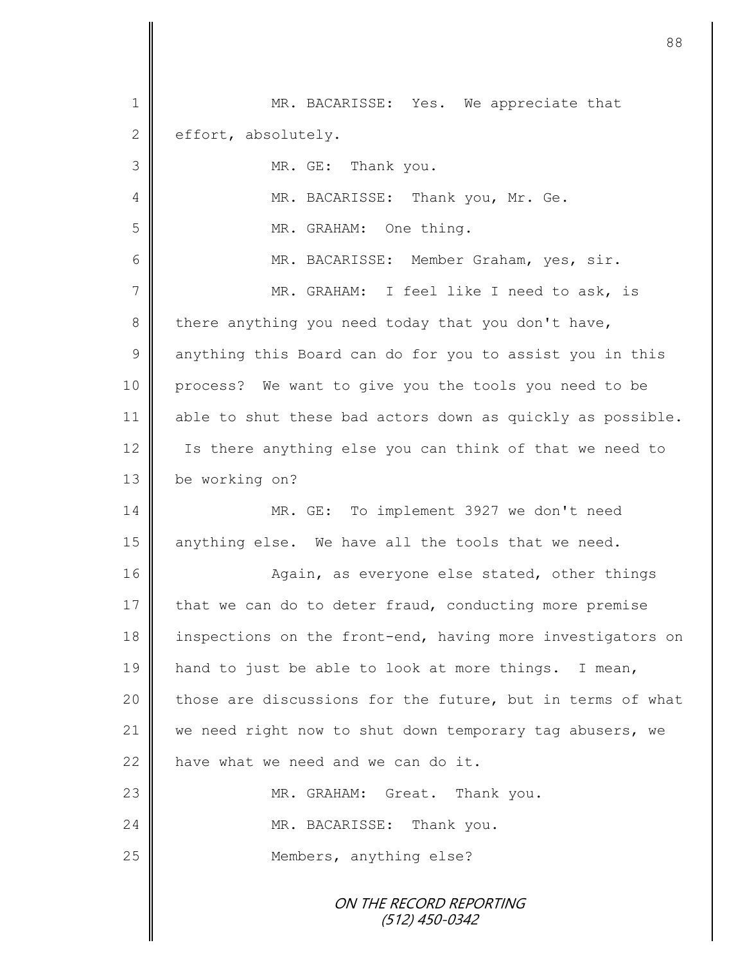| $\mathbf 1$     | MR. BACARISSE: Yes. We appreciate that                     |
|-----------------|------------------------------------------------------------|
| $\mathbf{2}$    | effort, absolutely.                                        |
| 3               | MR. GE: Thank you.                                         |
| 4               | MR. BACARISSE: Thank you, Mr. Ge.                          |
| 5               | MR. GRAHAM: One thing.                                     |
| 6               | MR. BACARISSE: Member Graham, yes, sir.                    |
| $7\phantom{.0}$ | MR. GRAHAM: I feel like I need to ask, is                  |
| $8\,$           | there anything you need today that you don't have,         |
| $\mathcal{G}$   | anything this Board can do for you to assist you in this   |
| 10              | process? We want to give you the tools you need to be      |
| 11              | able to shut these bad actors down as quickly as possible. |
| 12              | Is there anything else you can think of that we need to    |
| 13              | be working on?                                             |
| 14              | MR. GE: To implement 3927 we don't need                    |
| 15              | anything else. We have all the tools that we need.         |
| 16              | Again, as everyone else stated, other things               |
| 17              | that we can do to deter fraud, conducting more premise     |
| 18              | inspections on the front-end, having more investigators on |
| 19              | hand to just be able to look at more things. I mean,       |
| 20              | those are discussions for the future, but in terms of what |
| 21              | we need right now to shut down temporary tag abusers, we   |
| 22              | have what we need and we can do it.                        |
| 23              | MR. GRAHAM: Great. Thank you.                              |
| 24              | MR. BACARISSE: Thank you.                                  |
| 25              | Members, anything else?                                    |
|                 | ON THE RECORD REPORTING<br>(512) 450-0342                  |

 $\mathbf l$ II

II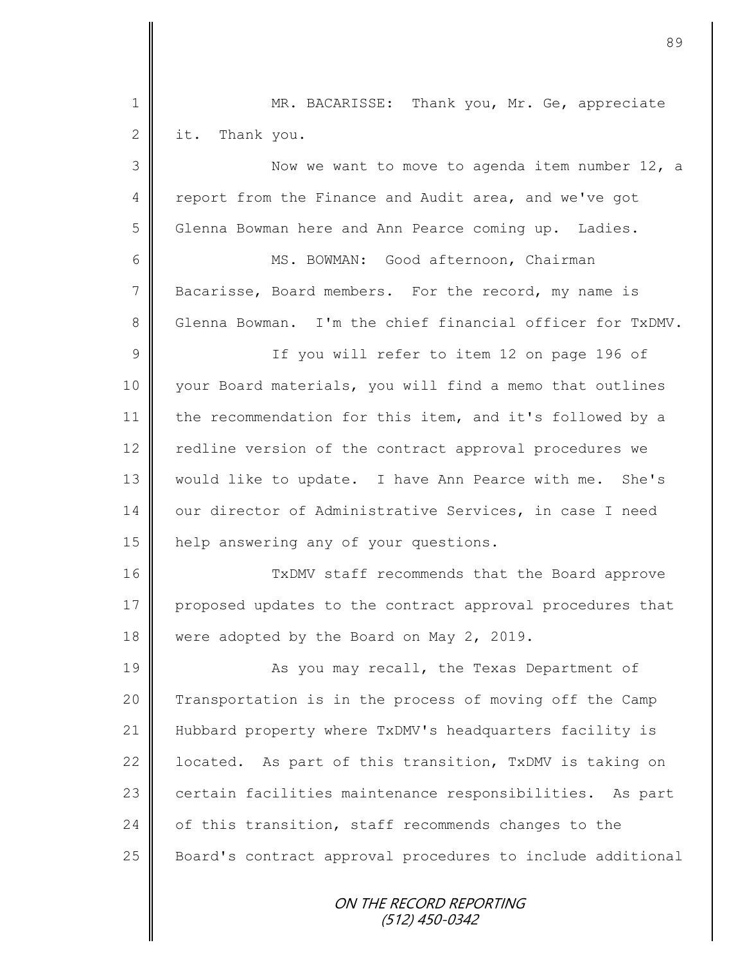| $\mathbf 1$    | MR. BACARISSE: Thank you, Mr. Ge, appreciate               |
|----------------|------------------------------------------------------------|
| $\mathbf{2}$   | it. Thank you.                                             |
| 3              | Now we want to move to agenda item number 12, a            |
| $\overline{4}$ | report from the Finance and Audit area, and we've got      |
| 5              | Glenna Bowman here and Ann Pearce coming up. Ladies.       |
| 6              | MS. BOWMAN: Good afternoon, Chairman                       |
| 7              | Bacarisse, Board members. For the record, my name is       |
| 8              | Glenna Bowman. I'm the chief financial officer for TxDMV.  |
| 9              | If you will refer to item 12 on page 196 of                |
| 10             | your Board materials, you will find a memo that outlines   |
| 11             | the recommendation for this item, and it's followed by a   |
| 12             | redline version of the contract approval procedures we     |
| 13             | would like to update. I have Ann Pearce with me. She's     |
| 14             | our director of Administrative Services, in case I need    |
| 15             | help answering any of your questions.                      |
| 16             | TxDMV staff recommends that the Board approve              |
| 17             | proposed updates to the contract approval procedures that  |
| 18             | were adopted by the Board on May 2, 2019.                  |
| 19             | As you may recall, the Texas Department of                 |
| 20             | Transportation is in the process of moving off the Camp    |
| 21             | Hubbard property where TxDMV's headquarters facility is    |
| 22             | located. As part of this transition, TxDMV is taking on    |
| 23             | certain facilities maintenance responsibilities. As part   |
| 24             | of this transition, staff recommends changes to the        |
| 25             | Board's contract approval procedures to include additional |
|                | ON THE RECORD REPORTING<br>(512) 450-0342                  |

Ш I

II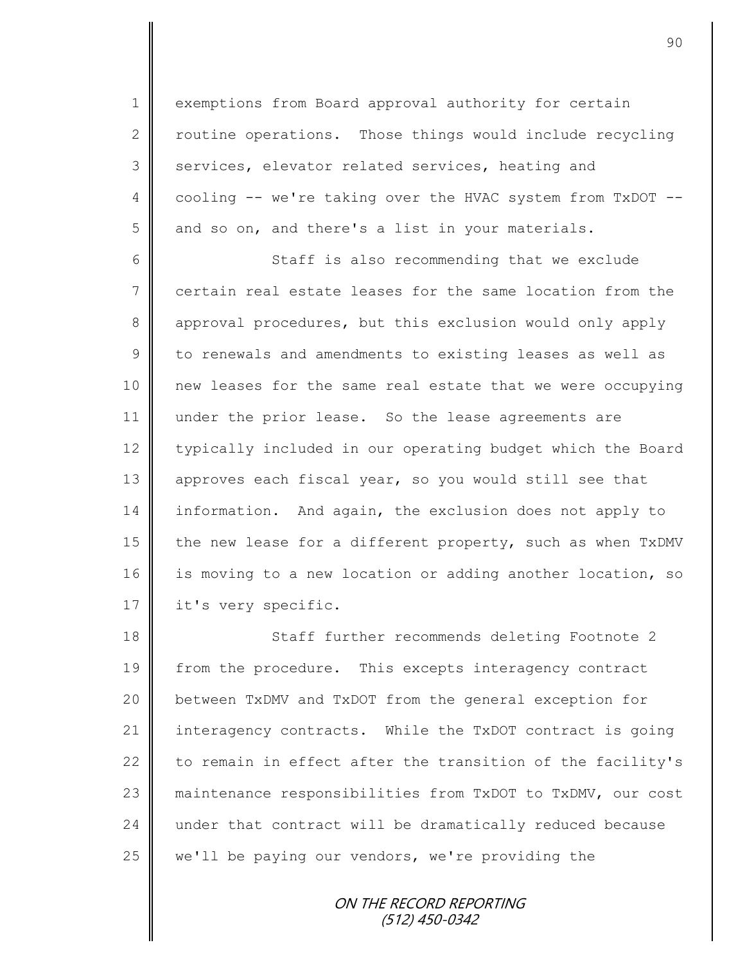1 exemptions from Board approval authority for certain  $2 \parallel$  routine operations. Those things would include recycling 3 | services, elevator related services, heating and 4 cooling -- we're taking over the HVAC system from TxDOT -- $5 \parallel$  and so on, and there's a list in your materials.

6 Staff is also recommending that we exclude 7 certain real estate leases for the same location from the 8 approval procedures, but this exclusion would only apply 9 to renewals and amendments to existing leases as well as 10 new leases for the same real estate that we were occupying 11 || under the prior lease. So the lease agreements are 12 | typically included in our operating budget which the Board 13 | approves each fiscal year, so you would still see that 14 information. And again, the exclusion does not apply to 15 the new lease for a different property, such as when  $TxDW$ 16 is moving to a new location or adding another location, so 17 | it's very specific.

18 Staff further recommends deleting Footnote 2 19 from the procedure. This excepts interagency contract 20 between TxDMV and TxDOT from the general exception for 21 interagency contracts. While the TxDOT contract is going 22  $\parallel$  to remain in effect after the transition of the facility's 23 maintenance responsibilities from TxDOT to TxDMV, our cost 24 under that contract will be dramatically reduced because  $25$  we'll be paying our vendors, we're providing the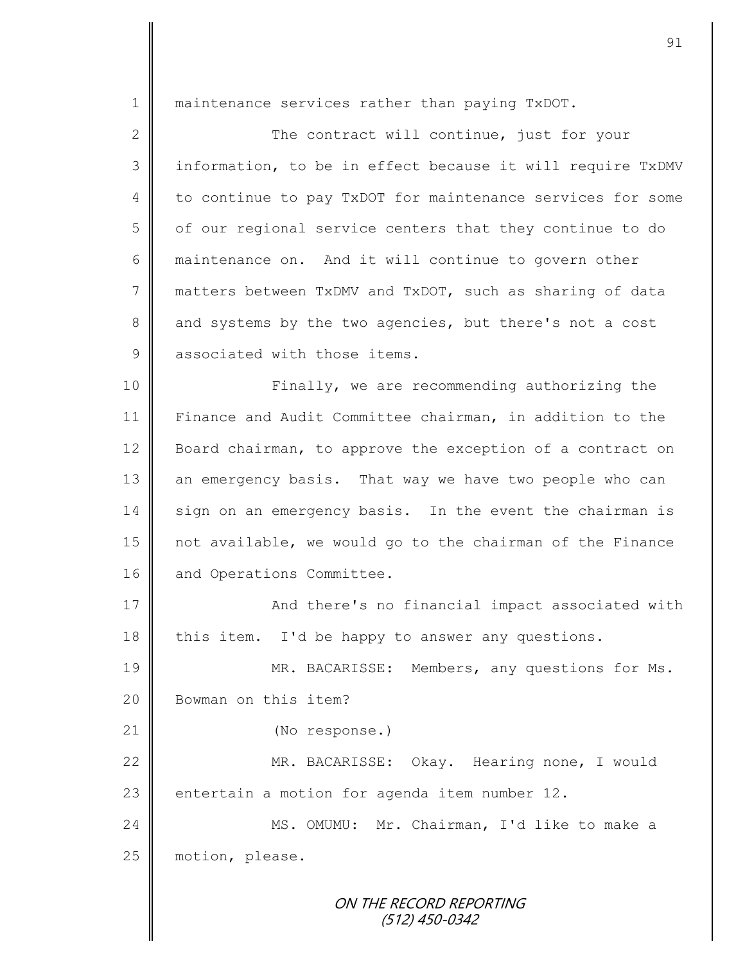1 | maintenance services rather than paying TxDOT.

2 || The contract will continue, just for your 3 | information, to be in effect because it will require TxDMV 4 to continue to pay TxDOT for maintenance services for some  $5 \parallel$  of our regional service centers that they continue to do 6 maintenance on. And it will continue to govern other 7 matters between TxDMV and TxDOT, such as sharing of data 8 and systems by the two agencies, but there's not a cost 9 associated with those items.

10 || Finally, we are recommending authorizing the 11 Finance and Audit Committee chairman, in addition to the 12 Board chairman, to approve the exception of a contract on 13 an emergency basis. That way we have two people who can 14 sign on an emergency basis. In the event the chairman is 15 not available, we would go to the chairman of the Finance 16 and Operations Committee.

17 | And there's no financial impact associated with  $18$  this item. I'd be happy to answer any questions.

19 MR. BACARISSE: Members, any questions for Ms. 20 **Bowman** on this item?

21 | (No response.)

22 MR. BACARISSE: Okay. Hearing none, I would 23  $\parallel$  entertain a motion for agenda item number 12.

24 MS. OMUMU: Mr. Chairman, I'd like to make a 25 | motion, please.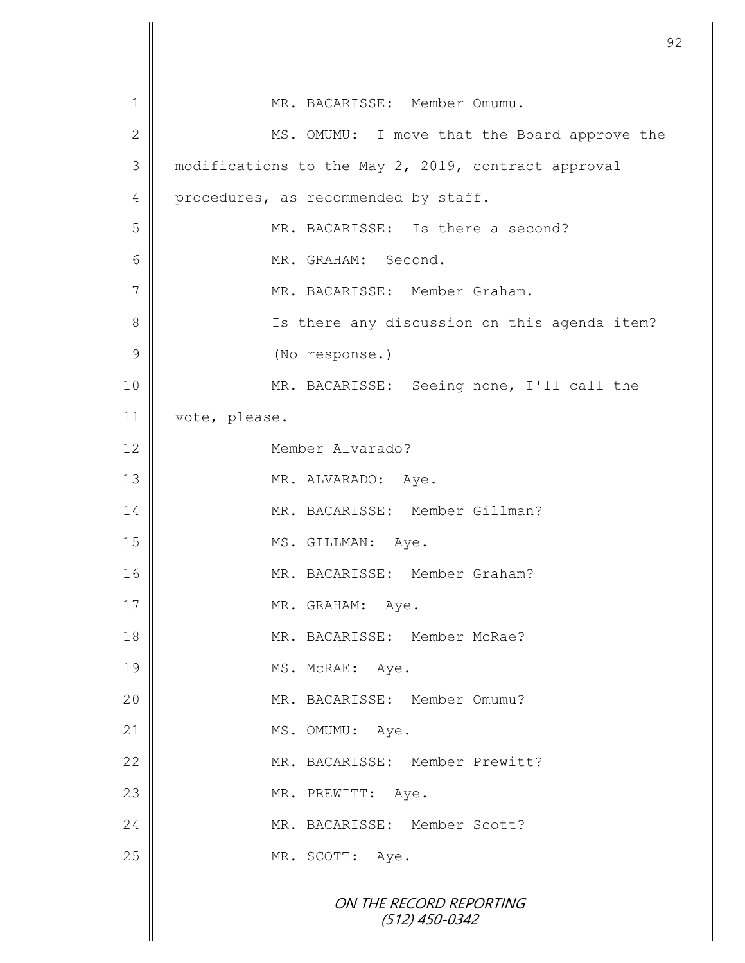|              | 9                                                   |
|--------------|-----------------------------------------------------|
| $\mathbf 1$  | MR. BACARISSE: Member Omumu.                        |
| $\mathbf{2}$ | MS. OMUMU: I move that the Board approve the        |
| 3            | modifications to the May 2, 2019, contract approval |
| 4            | procedures, as recommended by staff.                |
| 5            | MR. BACARISSE: Is there a second?                   |
| 6            | MR. GRAHAM: Second.                                 |
| 7            | MR. BACARISSE: Member Graham.                       |
| 8            | Is there any discussion on this agenda item?        |
| 9            | (No response.)                                      |
| 10           | MR. BACARISSE: Seeing none, I'll call the           |
| 11           | vote, please.                                       |
| 12           | Member Alvarado?                                    |
| 13           | MR. ALVARADO: Aye.                                  |
| 14           | MR. BACARISSE: Member Gillman?                      |
| 15           | MS. GILLMAN: Aye.                                   |
| 16           | MR. BACARISSE: Member Graham?                       |
| 17           | MR. GRAHAM: Aye.                                    |
| 18           | MR. BACARISSE: Member McRae?                        |
| 19           | MS. McRAE: Aye.                                     |
| 20           | MR. BACARISSE: Member Omumu?                        |
| 21           | MS. OMUMU: Aye.                                     |
| 22           | MR. BACARISSE: Member Prewitt?                      |
| 23           | MR. PREWITT: Aye.                                   |
| 24           | MR. BACARISSE: Member Scott?                        |
| 25           | MR. SCOTT: Aye.                                     |
|              | ON THE RECORD REPORTING<br>$(512)$ 450-0342         |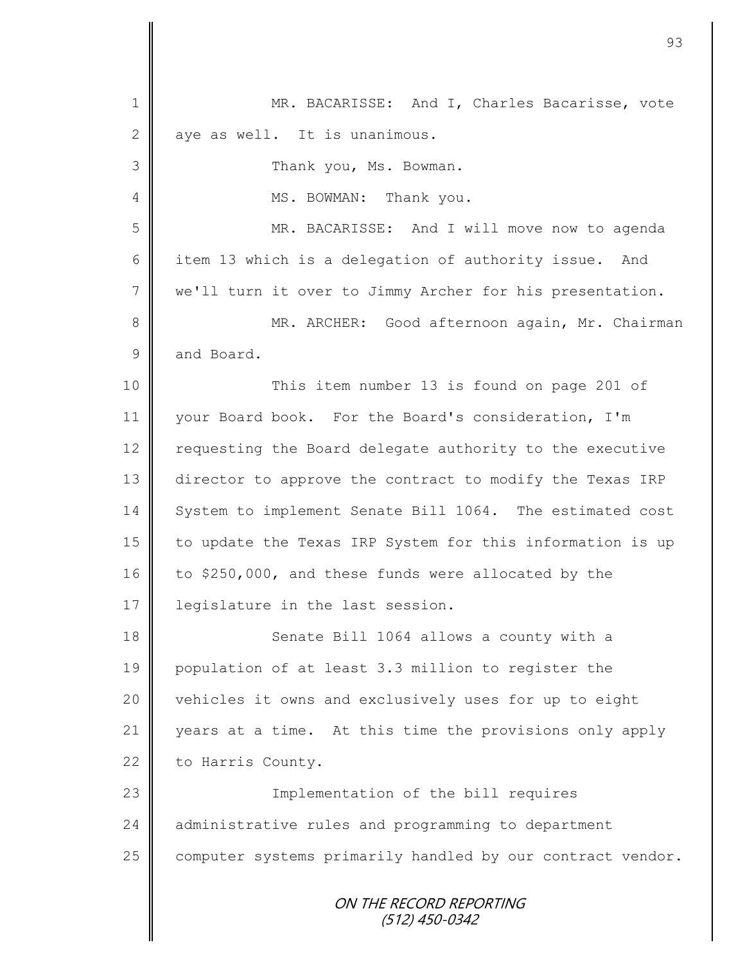ON THE RECORD REPORTING (512) 450-0342 1 || MR. BACARISSE: And I, Charles Bacarisse, vote  $2 \parallel$  aye as well. It is unanimous. 3 **Thank you, Ms. Bowman.** 4 || MS. BOWMAN: Thank you. 5 MR. BACARISSE: And I will move now to agenda 6 item 13 which is a delegation of authority issue. And 7 we'll turn it over to Jimmy Archer for his presentation. 8 || MR. ARCHER: Good afternoon again, Mr. Chairman 9 and Board. 10 || This item number 13 is found on page 201 of 11 your Board book. For the Board's consideration, I'm 12 | requesting the Board delegate authority to the executive 13 director to approve the contract to modify the Texas IRP 14 System to implement Senate Bill 1064. The estimated cost 15 | to update the Texas IRP System for this information is up 16 to \$250,000, and these funds were allocated by the 17 | legislature in the last session. 18 **Senate Bill 1064 allows a county with a** 19 population of at least 3.3 million to register the 20 vehicles it owns and exclusively uses for up to eight 21 years at a time. At this time the provisions only apply 22 | to Harris County. 23 || Implementation of the bill requires 24 administrative rules and programming to department 25  $\parallel$  computer systems primarily handled by our contract vendor.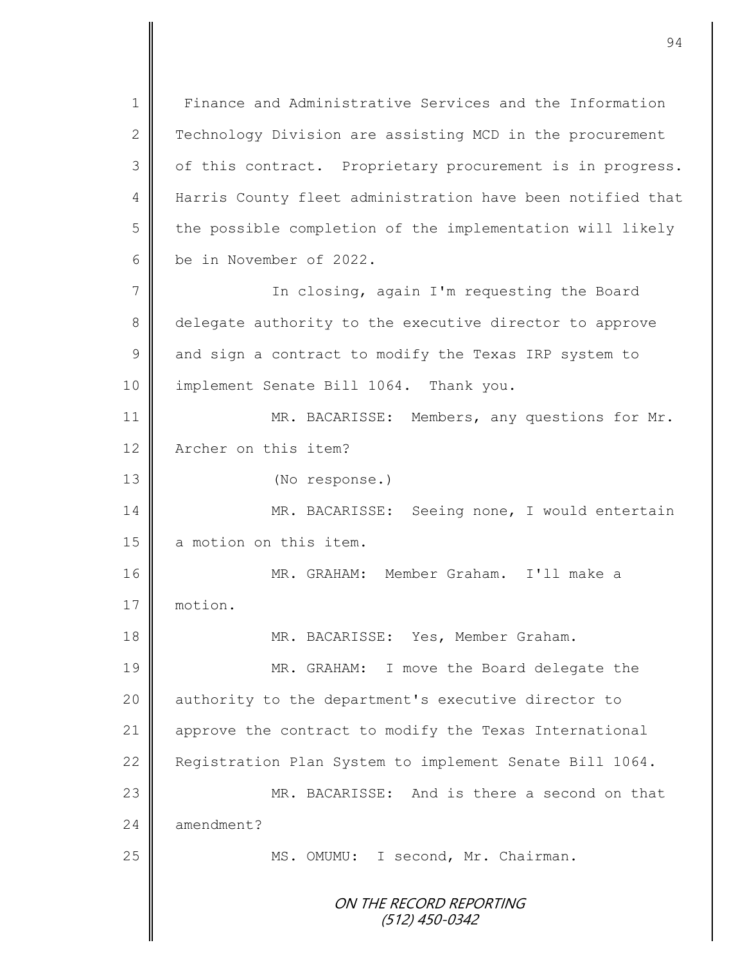ON THE RECORD REPORTING (512) 450-0342 1 Finance and Administrative Services and the Information 2 Technology Division are assisting MCD in the procurement 3 | of this contract. Proprietary procurement is in progress. 4 | Harris County fleet administration have been notified that  $5 \parallel$  the possible completion of the implementation will likely 6 be in November of 2022. 7 || In closing, again I'm requesting the Board 8 delegate authority to the executive director to approve 9 | and sign a contract to modify the Texas IRP system to 10 || implement Senate Bill 1064. Thank you. 11 MR. BACARISSE: Members, any questions for Mr. 12 **A**rcher on this item? 13 (No response.) 14 MR. BACARISSE: Seeing none, I would entertain 15 a motion on this item. 16 | MR. GRAHAM: Member Graham. I'll make a 17 motion. 18 || MR. BACARISSE: Yes, Member Graham. 19 MR. GRAHAM: I move the Board delegate the 20 | authority to the department's executive director to 21 approve the contract to modify the Texas International 22 Registration Plan System to implement Senate Bill 1064. 23 MR. BACARISSE: And is there a second on that  $24 \parallel$  amendment? 25 | MS. OMUMU: I second, Mr. Chairman.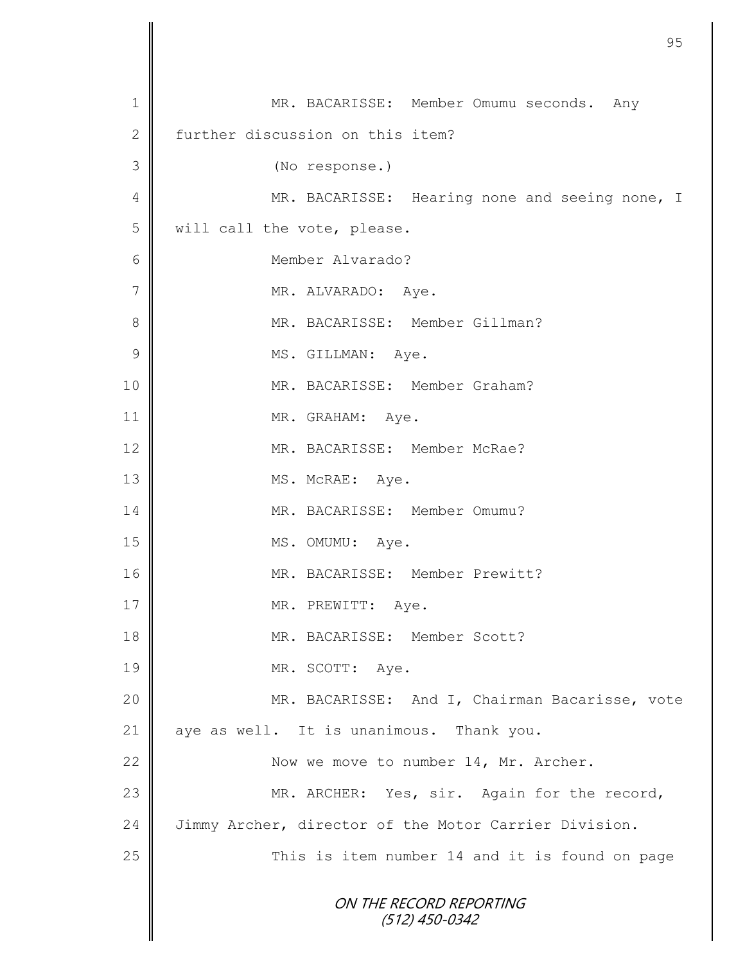|                | 95                                                    |
|----------------|-------------------------------------------------------|
|                |                                                       |
| 1              | MR. BACARISSE: Member Omumu seconds. Any              |
| $\mathbf{2}$   | further discussion on this item?                      |
| 3              | (No response.)                                        |
| 4              | MR. BACARISSE: Hearing none and seeing none, I        |
| 5              | will call the vote, please.                           |
| 6              | Member Alvarado?                                      |
| $\overline{7}$ | MR. ALVARADO: Aye.                                    |
| 8              | MR. BACARISSE: Member Gillman?                        |
| $\mathcal{G}$  | MS. GILLMAN: Aye.                                     |
| 10             | MR. BACARISSE: Member Graham?                         |
| 11             | MR. GRAHAM: Aye.                                      |
| 12             | MR. BACARISSE: Member McRae?                          |
| 13             | MS. McRAE: Aye.                                       |
| 14             | MR. BACARISSE: Member Omumu?                          |
| 15             | MS. OMUMU:<br>Aye.                                    |
| 16             | MR. BACARISSE: Member Prewitt?                        |
| 17             | MR. PREWITT: Aye.                                     |
| 18             | MR. BACARISSE: Member Scott?                          |
| 19             | MR. SCOTT: Aye.                                       |
| 20             | MR. BACARISSE: And I, Chairman Bacarisse, vote        |
| 21             | aye as well. It is unanimous. Thank you.              |
| 22             | Now we move to number 14, Mr. Archer.                 |
| 23             | MR. ARCHER: Yes, sir. Again for the record,           |
| 24             | Jimmy Archer, director of the Motor Carrier Division. |
| 25             | This is item number 14 and it is found on page        |
|                | ON THE RECORD REPORTING<br>$(512)$ 450-0342           |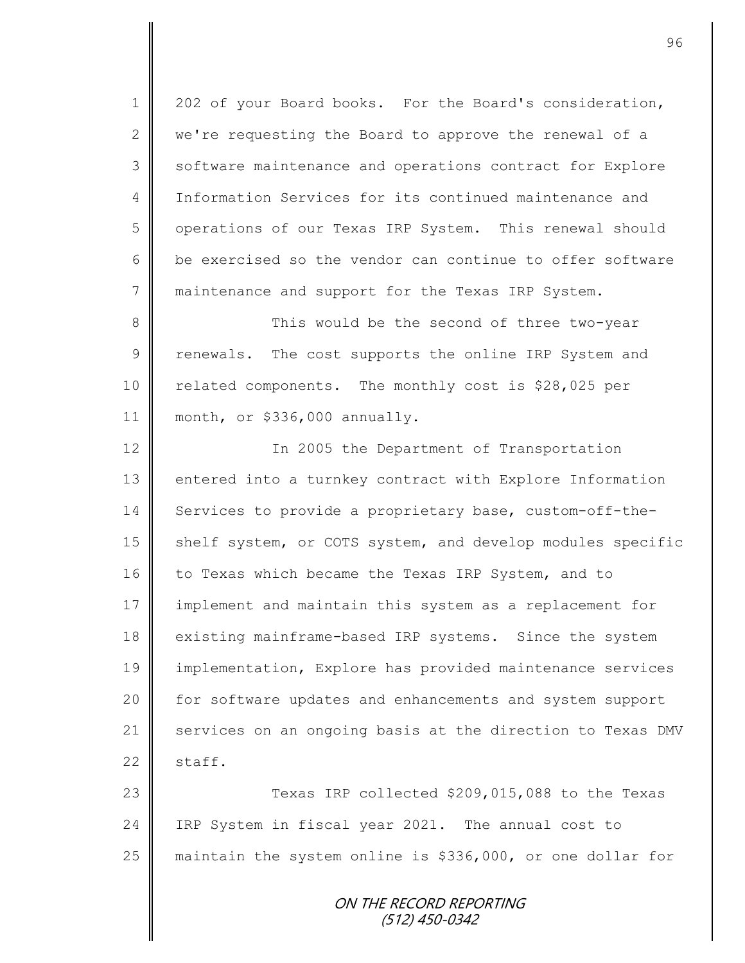1 202 of your Board books. For the Board's consideration, 2  $\parallel$  we're requesting the Board to approve the renewal of a 3 Software maintenance and operations contract for Explore 4 Information Services for its continued maintenance and 5 | operations of our Texas IRP System. This renewal should 6 be exercised so the vendor can continue to offer software 7 maintenance and support for the Texas IRP System.

8 This would be the second of three two-year  $9 \parallel$  renewals. The cost supports the online IRP System and 10 | related components. The monthly cost is \$28,025 per 11 month, or \$336,000 annually.

12 | The 2005 the Department of Transportation 13 | entered into a turnkey contract with Explore Information 14 Services to provide a proprietary base, custom-off-the-15 | shelf system, or COTS system, and develop modules specific 16 to Texas which became the Texas IRP System, and to 17 implement and maintain this system as a replacement for 18 existing mainframe-based IRP systems. Since the system 19 implementation, Explore has provided maintenance services 20 | for software updates and enhancements and system support 21 services on an ongoing basis at the direction to Texas DMV  $22 \parallel$  staff.

23 Texas IRP collected \$209,015,088 to the Texas 24 IRP System in fiscal year 2021. The annual cost to 25 | maintain the system online is \$336,000, or one dollar for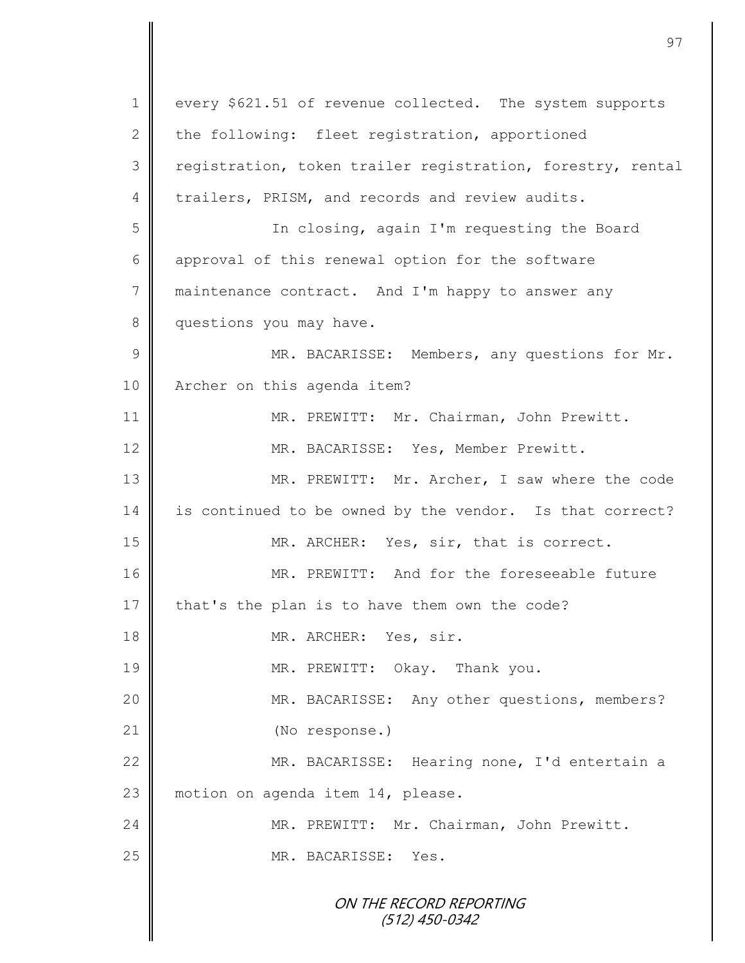ON THE RECORD REPORTING (512) 450-0342 1 every \$621.51 of revenue collected. The system supports 2 the following: fleet registration, apportioned 3 | registration, token trailer registration, forestry, rental  $4 \parallel$  trailers, PRISM, and records and review audits. 5 In closing, again I'm requesting the Board 6 approval of this renewal option for the software 7 maintenance contract. And I'm happy to answer any 8 questions you may have. 9 || MR. BACARISSE: Members, any questions for Mr. 10 | Archer on this agenda item? 11 | MR. PREWITT: Mr. Chairman, John Prewitt. 12 | MR. BACARISSE: Yes, Member Prewitt. 13 MR. PREWITT: Mr. Archer, I saw where the code 14 is continued to be owned by the vendor. Is that correct? 15 MR. ARCHER: Yes, sir, that is correct. 16 MR. PREWITT: And for the foreseeable future 17  $\parallel$  that's the plan is to have them own the code? 18 || MR. ARCHER: Yes, sir. 19 || MR. PREWITT: Okay. Thank you. 20 MR. BACARISSE: Any other questions, members? 21 (No response.) 22 | MR. BACARISSE: Hearing none, I'd entertain a 23 motion on agenda item 14, please. 24 MR. PREWITT: Mr. Chairman, John Prewitt. 25 MR. BACARISSE: Yes.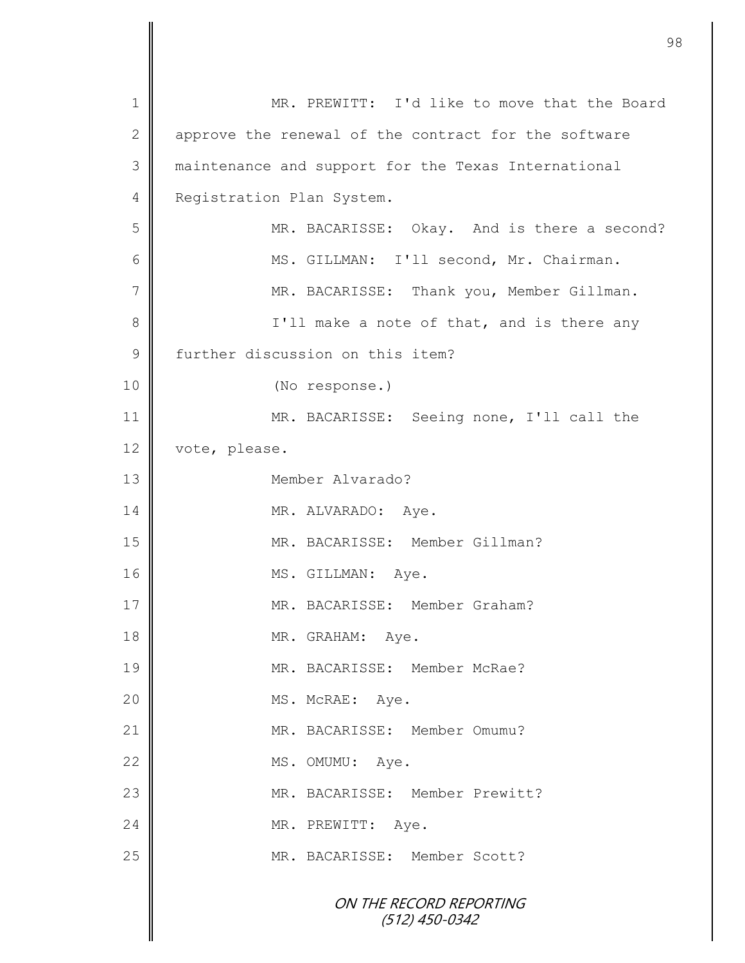ON THE RECORD REPORTING (512) 450-0342 1 MR. PREWITT: I'd like to move that the Board 2 || approve the renewal of the contract for the software 3 maintenance and support for the Texas International 4 **Registration Plan System.** 5 MR. BACARISSE: Okay. And is there a second? 6 || MS. GILLMAN: I'll second, Mr. Chairman. 7 | MR. BACARISSE: Thank you, Member Gillman. 8 || I'll make a note of that, and is there any 9 further discussion on this item? 10 || (No response.) 11 || MR. BACARISSE: Seeing none, I'll call the 12 vote, please. 13 Member Alvarado? 14 MR. ALVARADO: Aye. 15 | MR. BACARISSE: Member Gillman? 16 MS. GILLMAN: Aye. 17 MR. BACARISSE: Member Graham? 18 MR. GRAHAM: Aye. 19 MR. BACARISSE: Member McRae? 20 NS. McRAE: Aye. 21 | MR. BACARISSE: Member Omumu? 22 MS. OMUMU: Aye. 23 || MR. BACARISSE: Member Prewitt? 24 NR. PREWITT: Aye. 25 || MR. BACARISSE: Member Scott?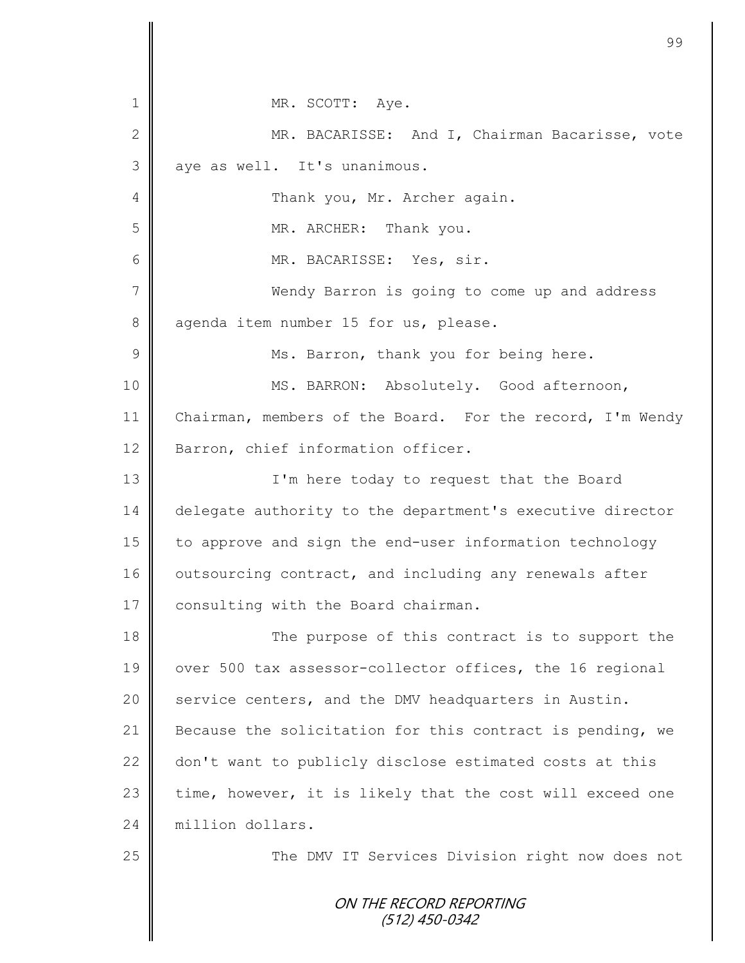|    | 99                                                        |
|----|-----------------------------------------------------------|
|    |                                                           |
| 1  | MR. SCOTT: Aye.                                           |
| 2  | MR. BACARISSE: And I, Chairman Bacarisse, vote            |
| 3  | aye as well. It's unanimous.                              |
| 4  | Thank you, Mr. Archer again.                              |
| 5  | MR. ARCHER: Thank you.                                    |
| 6  | MR. BACARISSE: Yes, sir.                                  |
| 7  | Wendy Barron is going to come up and address              |
| 8  | agenda item number 15 for us, please.                     |
| 9  | Ms. Barron, thank you for being here.                     |
| 10 | MS. BARRON: Absolutely. Good afternoon,                   |
| 11 | Chairman, members of the Board. For the record, I'm Wendy |
| 12 | Barron, chief information officer.                        |
| 13 | I'm here today to request that the Board                  |
| 14 | delegate authority to the department's executive director |
| 15 | to approve and sign the end-user information technology   |
| 16 | outsourcing contract, and including any renewals after    |
| 17 | consulting with the Board chairman.                       |
| 18 | The purpose of this contract is to support the            |
| 19 | over 500 tax assessor-collector offices, the 16 regional  |
| 20 | service centers, and the DMV headquarters in Austin.      |
| 21 | Because the solicitation for this contract is pending, we |
| 22 | don't want to publicly disclose estimated costs at this   |
| 23 | time, however, it is likely that the cost will exceed one |
| 24 | million dollars.                                          |
| 25 | The DMV IT Services Division right now does not           |
|    | ON THE RECORD REPORTING<br>(512) 450-0342                 |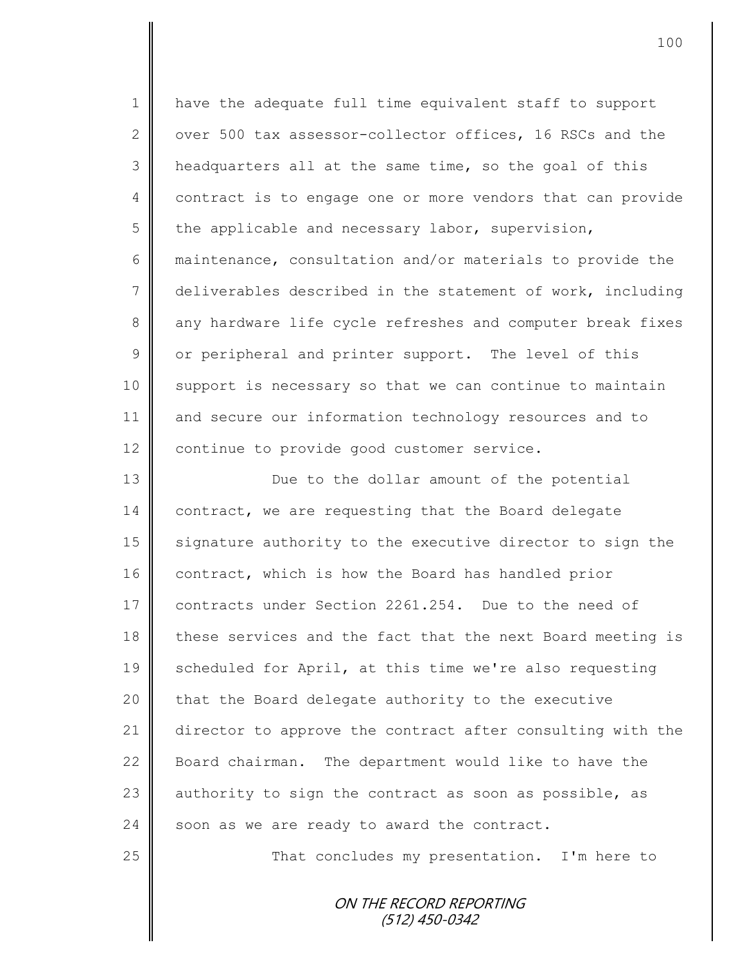1 || have the adequate full time equivalent staff to support 2 over 500 tax assessor-collector offices, 16 RSCs and the 3 | headquarters all at the same time, so the goal of this 4 contract is to engage one or more vendors that can provide  $5 \parallel$  the applicable and necessary labor, supervision, 6 maintenance, consultation and/or materials to provide the 7 deliverables described in the statement of work, including 8 any hardware life cycle refreshes and computer break fixes 9 | or peripheral and printer support. The level of this 10 || support is necessary so that we can continue to maintain 11 and secure our information technology resources and to 12 | continue to provide good customer service. 13 || Due to the dollar amount of the potential 14 contract, we are requesting that the Board delegate 15 signature authority to the executive director to sign the

16 contract, which is how the Board has handled prior 17 contracts under Section 2261.254. Due to the need of 18 these services and the fact that the next Board meeting is 19 Scheduled for April, at this time we're also requesting  $20$  | that the Board delegate authority to the executive 21 director to approve the contract after consulting with the 22 Board chairman. The department would like to have the 23 authority to sign the contract as soon as possible, as  $24$  soon as we are ready to award the contract.

25 | That concludes my presentation. I'm here to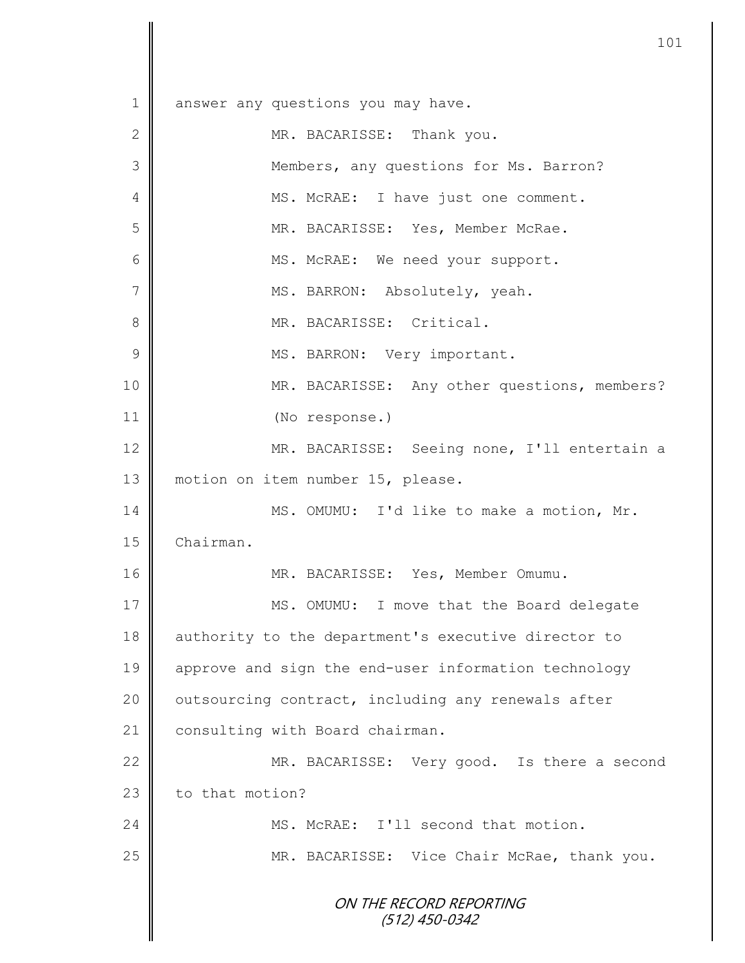ON THE RECORD REPORTING (512) 450-0342 1 answer any questions you may have. 2 MR. BACARISSE: Thank you. 3 Members, any questions for Ms. Barron? 4 || MS. McRAE: I have just one comment. 5 MR. BACARISSE: Yes, Member McRae. 6 || MS. McRAE: We need your support. 7 MS. BARRON: Absolutely, yeah. 8 || MR. BACARISSE: Critical. 9 || MS. BARRON: Very important. 10 || MR. BACARISSE: Any other questions, members? 11 (No response.) 12 | MR. BACARISSE: Seeing none, I'll entertain a 13 motion on item number 15, please. 14 MS. OMUMU: I'd like to make a motion, Mr. 15 | Chairman. 16 MR. BACARISSE: Yes, Member Omumu. 17 || MS. OMUMU: I move that the Board delegate 18 authority to the department's executive director to 19 approve and sign the end-user information technology 20 | outsourcing contract, including any renewals after 21 | consulting with Board chairman. 22 MR. BACARISSE: Very good. Is there a second  $23$  to that motion? 24 MS. McRAE: I'll second that motion. 25 | MR. BACARISSE: Vice Chair McRae, thank you.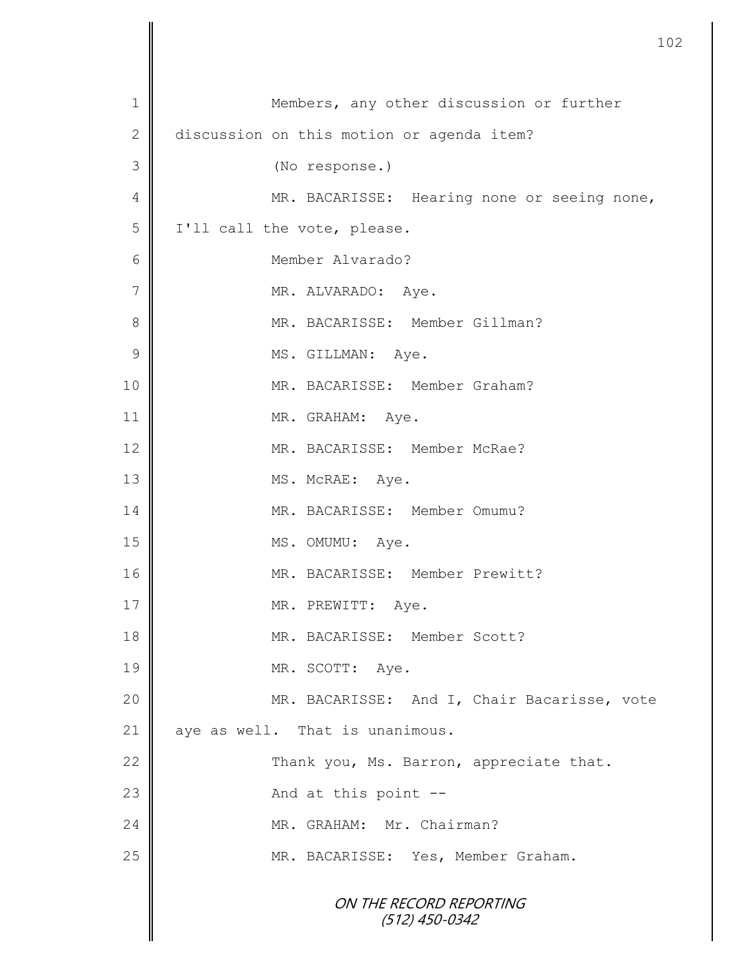|                | 1                                           |
|----------------|---------------------------------------------|
| 1              | Members, any other discussion or further    |
| $\mathbf{2}$   | discussion on this motion or agenda item?   |
| 3              | (No response.)                              |
| 4              | MR. BACARISSE: Hearing none or seeing none, |
| 5              | I'll call the vote, please.                 |
| 6              | Member Alvarado?                            |
| $\overline{7}$ | MR. ALVARADO: Aye.                          |
| 8              | MR. BACARISSE: Member Gillman?              |
| 9              | MS. GILLMAN: Aye.                           |
| 10             | MR. BACARISSE: Member Graham?               |
| 11             | MR. GRAHAM: Aye.                            |
| 12             | MR. BACARISSE: Member McRae?                |
| 13             | MS. McRAE: Aye.                             |
| 14             | MR. BACARISSE: Member Omumu?                |
| 15             | MS. OMUMU: Aye.                             |
| 16             | MR. BACARISSE: Member Prewitt?              |
| 17             | MR. PREWITT: Aye.                           |
| 18             | MR. BACARISSE: Member Scott?                |
| 19             | MR. SCOTT: Aye.                             |
| 20             | MR. BACARISSE: And I, Chair Bacarisse, vote |
| 21             | aye as well. That is unanimous.             |
| 22             | Thank you, Ms. Barron, appreciate that.     |
| 23             | And at this point --                        |
| 24             | MR. GRAHAM: Mr. Chairman?                   |
| 25             | MR. BACARISSE: Yes, Member Graham.          |
|                | ON THE RECORD REPORTING<br>$(512)$ 450-0342 |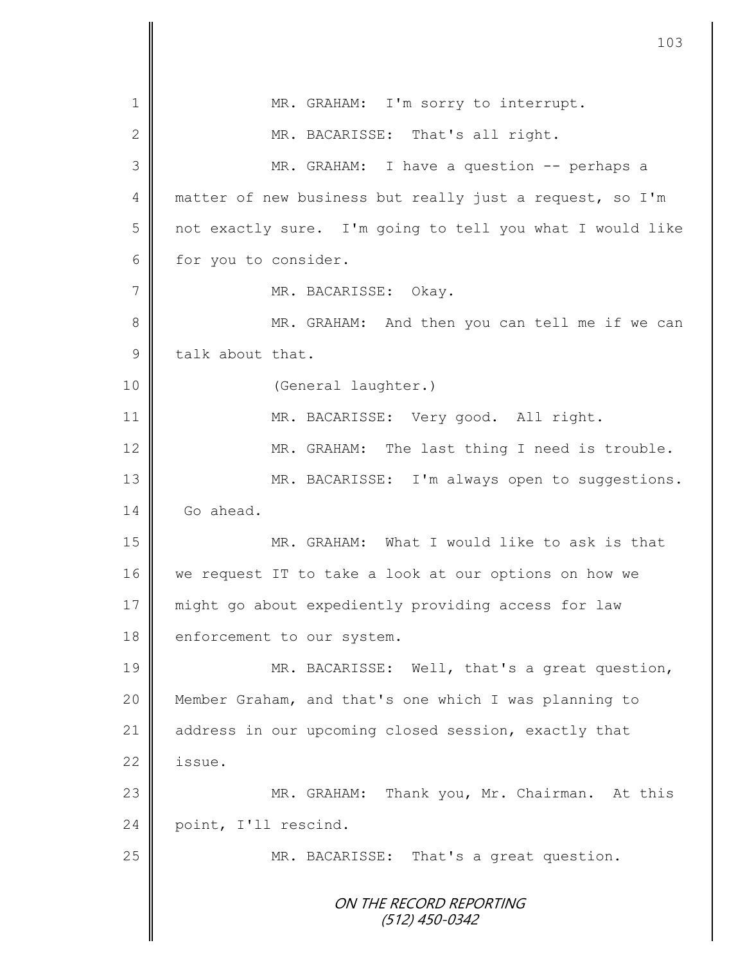|               | 103                                                       |
|---------------|-----------------------------------------------------------|
|               |                                                           |
| 1             | MR. GRAHAM: I'm sorry to interrupt.                       |
| 2             | MR. BACARISSE: That's all right.                          |
| 3             | MR. GRAHAM: I have a question -- perhaps a                |
| 4             | matter of new business but really just a request, so I'm  |
| 5             | not exactly sure. I'm going to tell you what I would like |
| 6             | for you to consider.                                      |
| 7             | MR. BACARISSE:<br>Okay.                                   |
| 8             | MR. GRAHAM: And then you can tell me if we can            |
| $\mathcal{G}$ | talk about that.                                          |
| 10            | (General laughter.)                                       |
| 11            | MR. BACARISSE: Very good. All right.                      |
| 12            | MR. GRAHAM: The last thing I need is trouble.             |
| 13            | MR. BACARISSE: I'm always open to suggestions.            |
| 14            | Go ahead.                                                 |
| 15            | MR. GRAHAM: What I would like to ask is that              |
| 16            | we request IT to take a look at our options on how we     |
| 17            | might go about expediently providing access for law       |
| 18            | enforcement to our system.                                |
| 19            | MR. BACARISSE: Well, that's a great question,             |
| 20            | Member Graham, and that's one which I was planning to     |
| 21            | address in our upcoming closed session, exactly that      |
| 22            | issue.                                                    |
| 23            | MR. GRAHAM: Thank you, Mr. Chairman. At this              |
| 24            | point, I'll rescind.                                      |
| 25            | MR. BACARISSE: That's a great question.                   |
|               | ON THE RECORD REPORTING<br>(512) 450-0342                 |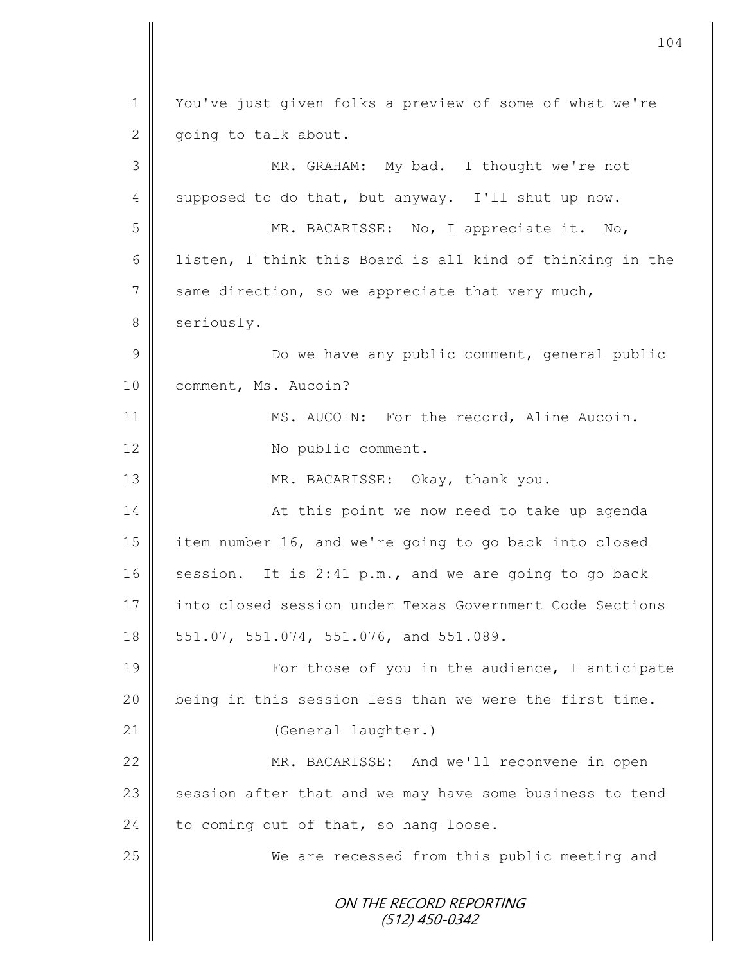ON THE RECORD REPORTING (512) 450-0342 1 | You've just given folks a preview of some of what we're 2  $\parallel$  going to talk about. 3 MR. GRAHAM: My bad. I thought we're not 4 supposed to do that, but anyway. I'll shut up now. 5 MR. BACARISSE: No, I appreciate it. No, 6 | listen, I think this Board is all kind of thinking in the  $7 \parallel$  same direction, so we appreciate that very much, 8 seriously. 9 || Do we have any public comment, general public 10 **Comment, Ms. Aucoin?** 11 | MS. AUCOIN: For the record, Aline Aucoin. 12 No public comment. 13 MR. BACARISSE: Okay, thank you. 14 At this point we now need to take up agenda 15 item number 16, and we're going to go back into closed 16 Session. It is 2:41 p.m., and we are going to go back 17 | into closed session under Texas Government Code Sections 18 || 551.07, 551.074, 551.076, and 551.089. 19 || For those of you in the audience, I anticipate  $20$  | being in this session less than we were the first time. 21 | (General laughter.) 22 MR. BACARISSE: And we'll reconvene in open  $23$  session after that and we may have some business to tend 24 to coming out of that, so hang loose. 25 We are recessed from this public meeting and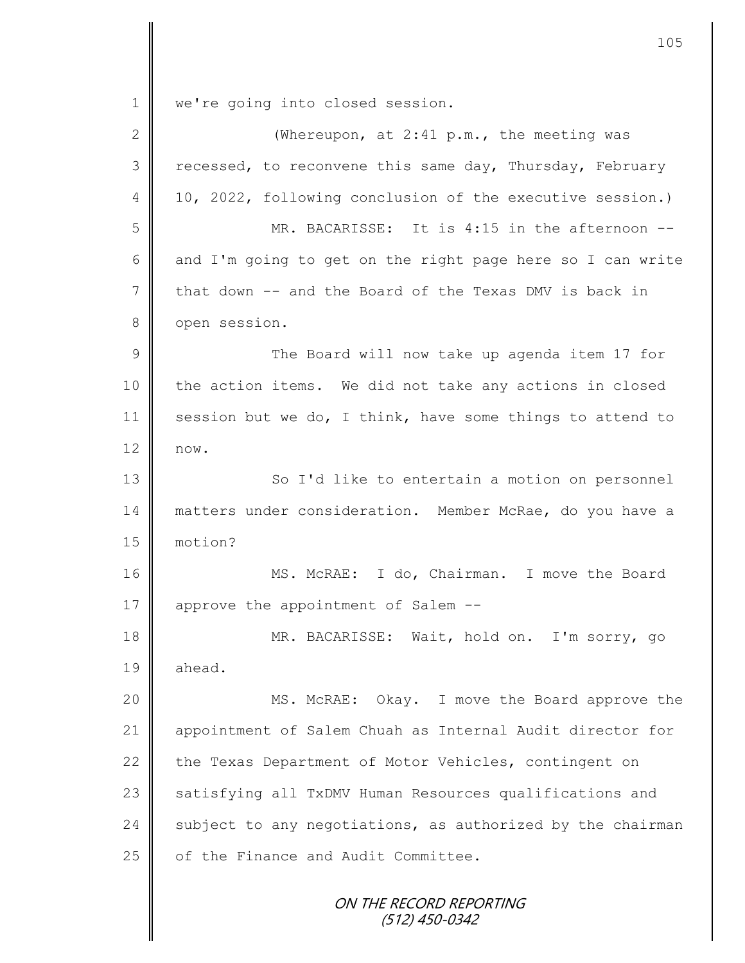1 we're going into closed session.

| $\mathbf{2}$   | (Whereupon, at $2:41$ p.m., the meeting was                |
|----------------|------------------------------------------------------------|
| 3              | recessed, to reconvene this same day, Thursday, February   |
| 4              | 10, 2022, following conclusion of the executive session.)  |
| 5              | MR. BACARISSE: It is 4:15 in the afternoon --              |
| 6              | and I'm going to get on the right page here so I can write |
| 7              | that down -- and the Board of the Texas DMV is back in     |
| $8\,$          | open session.                                              |
| $\overline{9}$ | The Board will now take up agenda item 17 for              |
| 10             | the action items. We did not take any actions in closed    |
| 11             | session but we do, I think, have some things to attend to  |
| 12             | now.                                                       |
| 13             | So I'd like to entertain a motion on personnel             |
| 14             | matters under consideration. Member McRae, do you have a   |
| 15             | motion?                                                    |
| 16             | MS. McRAE: I do, Chairman. I move the Board                |
| 17             | approve the appointment of Salem --                        |
| 18             | MR. BACARISSE: Wait, hold on. I'm sorry, go                |
| 19             | ahead.                                                     |
| 20             | MS. McRAE: Okay. I move the Board approve the              |
| 21             | appointment of Salem Chuah as Internal Audit director for  |
| 22             | the Texas Department of Motor Vehicles, contingent on      |
| 23             | satisfying all TxDMV Human Resources qualifications and    |
| 24             | subject to any negotiations, as authorized by the chairman |
| 25             | of the Finance and Audit Committee.                        |
|                | ON THE RECORD REPORTING<br>$(512)$ 450-0342                |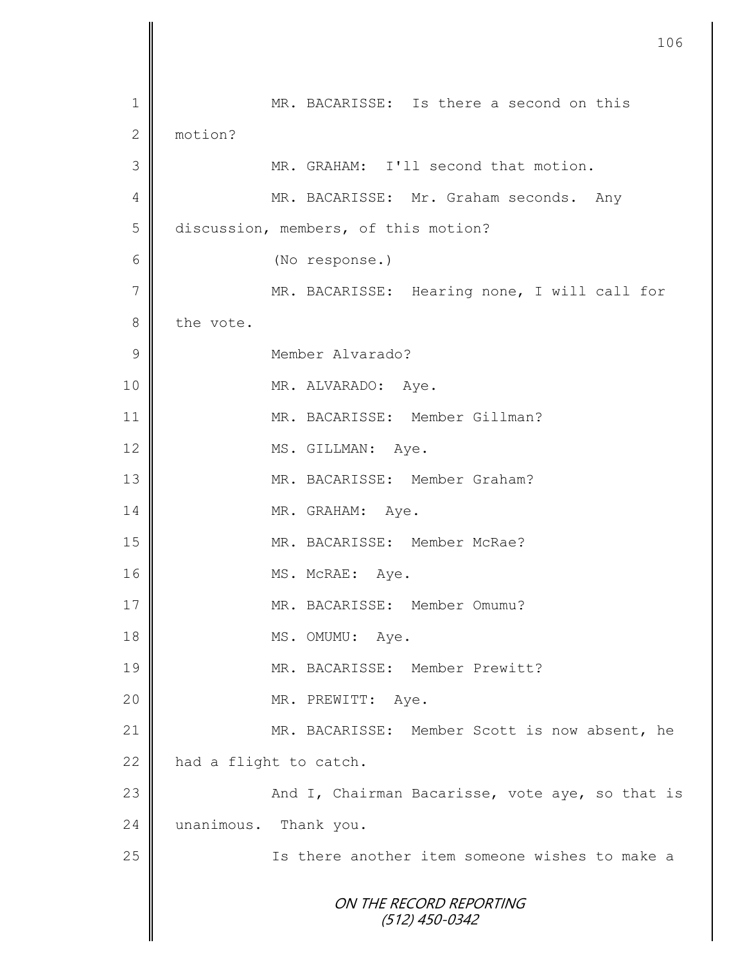|                | 106                                             |
|----------------|-------------------------------------------------|
| $\mathbf 1$    | MR. BACARISSE: Is there a second on this        |
| $\mathbf{2}$   | motion?                                         |
| 3              | MR. GRAHAM: I'll second that motion.            |
| $\overline{4}$ | MR. BACARISSE: Mr. Graham seconds. Any          |
| 5              | discussion, members, of this motion?            |
| 6              | (No response.)                                  |
| $\overline{7}$ | MR. BACARISSE: Hearing none, I will call for    |
| $8\,$          | the vote.                                       |
| $\mathcal{G}$  | Member Alvarado?                                |
| 10             | MR. ALVARADO: Aye.                              |
| 11             | MR. BACARISSE: Member Gillman?                  |
| 12             | MS. GILLMAN: Aye.                               |
| 13             | MR. BACARISSE: Member Graham?                   |
| 14             | MR. GRAHAM: Aye.                                |
| 15             | MR. BACARISSE: Member McRae?                    |
| 16             | MS. McRAE: Aye.                                 |
| 17             | MR. BACARISSE: Member Omumu?                    |
| 18             | MS. OMUMU: Aye.                                 |
| 19             | MR. BACARISSE: Member Prewitt?                  |
| 20             | MR. PREWITT: Aye.                               |
| 21             | MR. BACARISSE: Member Scott is now absent, he   |
| 22             | had a flight to catch.                          |
| 23             | And I, Chairman Bacarisse, vote aye, so that is |
| 24             | unanimous. Thank you.                           |
| 25             | Is there another item someone wishes to make a  |
|                | ON THE RECORD REPORTING<br>$(512)$ 450-0342     |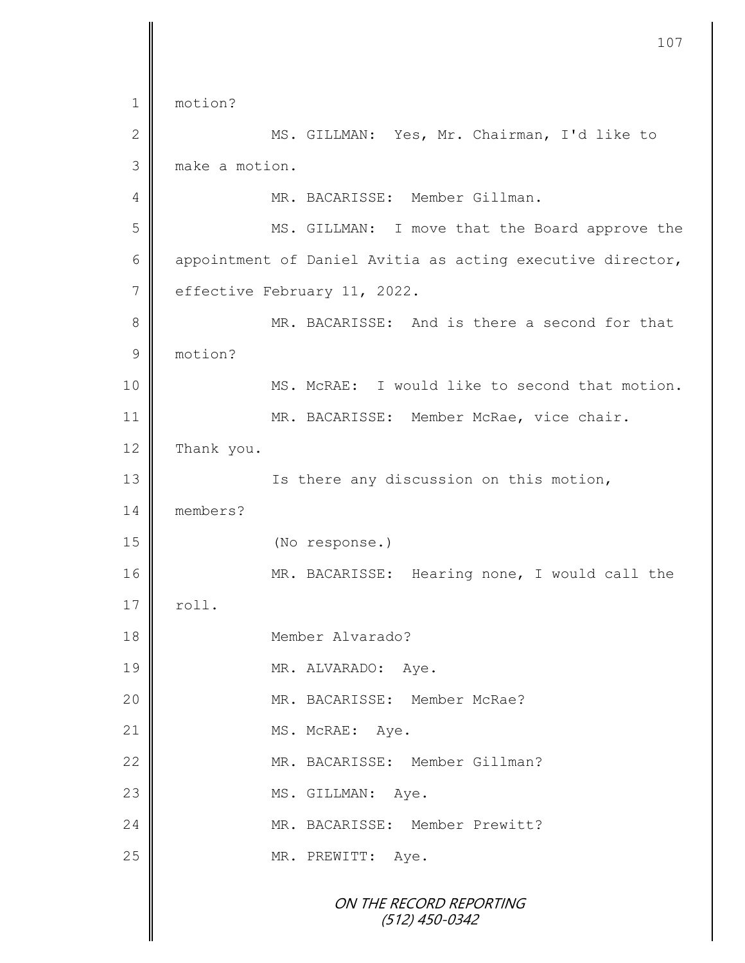ON THE RECORD REPORTING (512) 450-0342 1 motion? 2 || MS. GILLMAN: Yes, Mr. Chairman, I'd like to 3 make a motion. 4 MR. BACARISSE: Member Gillman. 5 || MS. GILLMAN: I move that the Board approve the 6  $\parallel$  appointment of Daniel Avitia as acting executive director, 7 | effective February 11, 2022. 8 MR. BACARISSE: And is there a second for that 9 motion? 10 **MS. McRAE:** I would like to second that motion. 11 | MR. BACARISSE: Member McRae, vice chair. 12 Thank you. 13 | Ts there any discussion on this motion, 14 members? 15 (No response.) 16 || MR. BACARISSE: Hearing none, I would call the  $17 \parallel$  roll. 18 Member Alvarado? 19 || MR. ALVARADO: Aye. 20 || MR. BACARISSE: Member McRae? 21 MS. McRAE: Aye. 22 WR. BACARISSE: Member Gillman? 23 MS. GILLMAN: Aye. 24 WR. BACARISSE: Member Prewitt? 25 MR. PREWITT: Aye.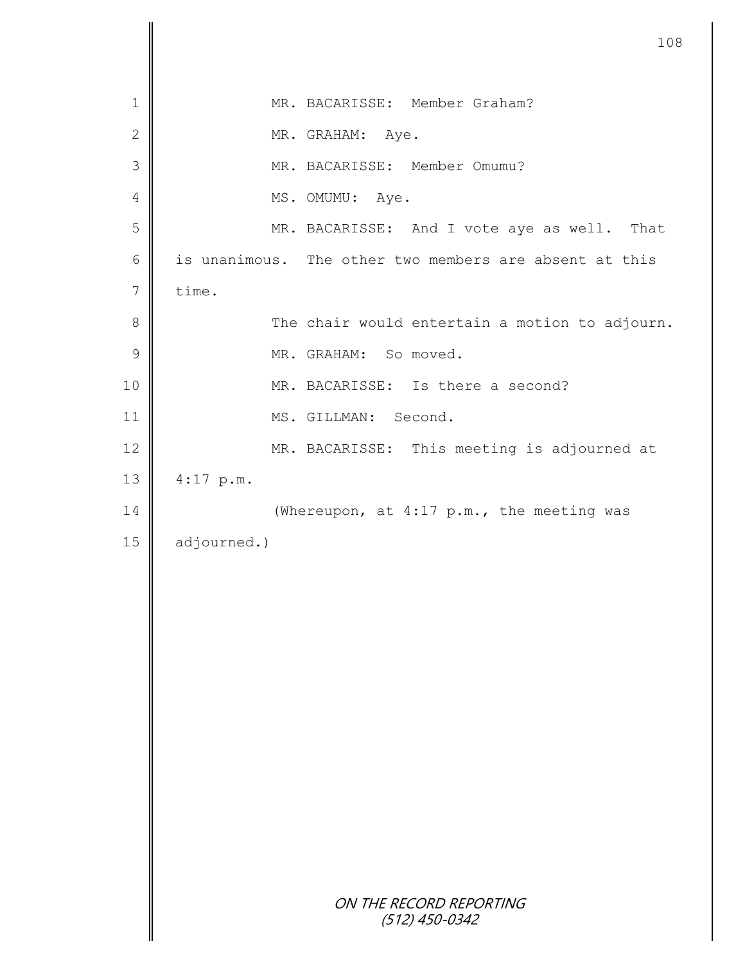|             | 108                                                    |
|-------------|--------------------------------------------------------|
| $\mathbf 1$ | MR. BACARISSE: Member Graham?                          |
| $\sqrt{2}$  | MR. GRAHAM: Aye.                                       |
| 3           | MR. BACARISSE: Member Omumu?                           |
| 4           | MS. OMUMU: Aye.                                        |
| 5           | MR. BACARISSE: And I vote aye as well. That            |
| $\epsilon$  | is unanimous. The other two members are absent at this |
| $\sqrt{}$   | time.                                                  |
| $8\,$       | The chair would entertain a motion to adjourn.         |
| $\mathsf 9$ | MR. GRAHAM: So moved.                                  |
| 10          | MR. BACARISSE: Is there a second?                      |
| 11          | MS. GILLMAN: Second.                                   |
| 12          | MR. BACARISSE: This meeting is adjourned at            |
| 13          | $4:17$ p.m.                                            |
| 14          | (Whereupon, at 4:17 p.m., the meeting was              |
| 15          | adjourned.)                                            |
|             |                                                        |
|             |                                                        |
|             |                                                        |
|             |                                                        |
|             |                                                        |
|             |                                                        |
|             |                                                        |
|             |                                                        |
|             |                                                        |
|             |                                                        |
|             | ON THE RECORD REPORTING<br>$(512)$ 450-0342            |